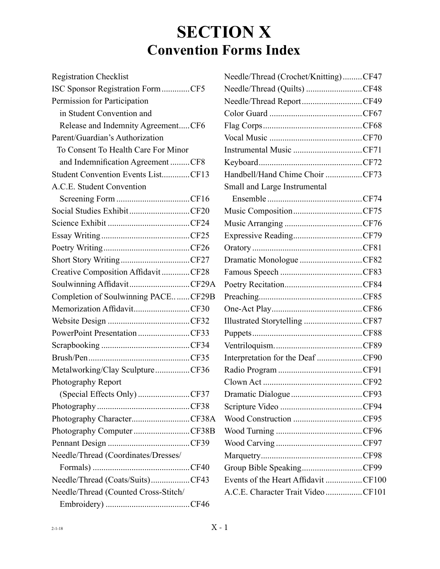# **SECTION X Convention Forms Index**

| <b>Registration Checklist</b>        |  |
|--------------------------------------|--|
| ISC Sponsor Registration FormCF5     |  |
| Permission for Participation         |  |
| in Student Convention and            |  |
| Release and Indemnity AgreementCF6   |  |
| Parent/Guardian's Authorization      |  |
| To Consent To Health Care For Minor  |  |
| and Indemnification Agreement CF8    |  |
| Student Convention Events ListCF13   |  |
| A.C.E. Student Convention            |  |
|                                      |  |
| Social Studies ExhibitCF20           |  |
|                                      |  |
|                                      |  |
|                                      |  |
| Short Story WritingCF27              |  |
| Creative Composition AffidavitCF28   |  |
| Soulwinning AffidavitCF29A           |  |
| Completion of Soulwinning PACECF29B  |  |
| Memorization AffidavitCF30           |  |
|                                      |  |
| PowerPoint PresentationCF33          |  |
|                                      |  |
|                                      |  |
| Metalworking/Clay SculptureCF36      |  |
| Photography Report                   |  |
| (Special Effects Only) CF37          |  |
|                                      |  |
| Photography CharacterCF38A           |  |
| Photography Computer CF38B           |  |
|                                      |  |
| Needle/Thread (Coordinates/Dresses/  |  |
|                                      |  |
| Needle/Thread (Coats/Suits)CF43      |  |
| Needle/Thread (Counted Cross-Stitch/ |  |
|                                      |  |

| Needle/Thread (Crochet/Knitting)CF47 |  |
|--------------------------------------|--|
| Needle/Thread (Quilts) CF48          |  |
| Needle/Thread ReportCF49             |  |
|                                      |  |
|                                      |  |
|                                      |  |
| Instrumental Music CF71              |  |
|                                      |  |
| Handbell/Hand Chime Choir CF73       |  |
| Small and Large Instrumental         |  |
|                                      |  |
| Music CompositionCF75                |  |
|                                      |  |
| Expressive ReadingCF79               |  |
|                                      |  |
| Dramatic Monologue CF82              |  |
|                                      |  |
|                                      |  |
|                                      |  |
|                                      |  |
| Illustrated Storytelling CF87        |  |
|                                      |  |
|                                      |  |
| Interpretation for the Deaf CF90     |  |
|                                      |  |
|                                      |  |
| Dramatic Dialogue CF93               |  |
|                                      |  |
| Wood Construction CF95               |  |
|                                      |  |
|                                      |  |
|                                      |  |
| Group Bible SpeakingCF99             |  |
| Events of the Heart Affidavit CF100  |  |
| A.C.E. Character Trait Video CF101   |  |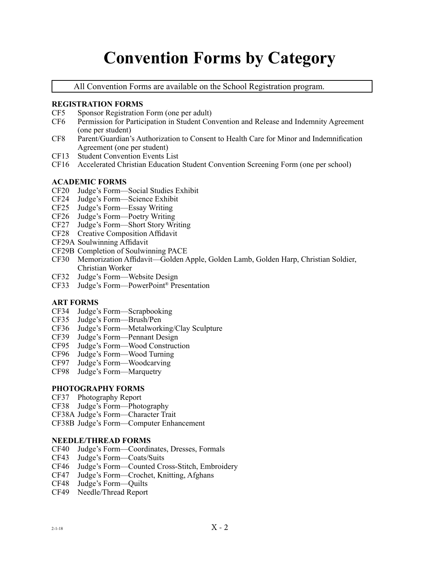# **Convention Forms by Category**

All Convention Forms are available on the [School Registration program.](http://www.aceministries.com/conventions/ISC/updates.aspx)

#### **REGISTRATION FORMS**

- CF5 Sponsor Registration Form (one per adult)
- CF6 Permission for Participation in Student Convention and Release and Indemnity Agreement (one per student)
- CF8 Parent/Guardian's Authorization to Consent to Health Care for Minor and Indemnification Agreement (one per student)
- CF13 Student Convention Events List
- CF16 Accelerated Christian Education Student Convention Screening Form (one per school)

#### **ACADEMIC FORMS**

- CF20 Judge's Form—Social Studies Exhibit
- CF24 Judge's Form—Science Exhibit
- CF25 Judge's Form—Essay Writing
- CF26 Judge's Form—Poetry Writing
- CF27 Judge's Form—Short Story Writing
- CF28 Creative Composition Affidavit
- CF29A Soulwinning Affidavit
- CF29B Completion of Soulwinning PACE
- CF30 Memorization Affidavit—Golden Apple, Golden Lamb, Golden Harp, Christian Soldier, Christian Worker
- CF32 Judge's Form—Website Design
- CF33 Judge's Form—PowerPoint® Presentation

#### **ART FORMS**

- CF34 Judge's Form—Scrapbooking
- CF35 Judge's Form—Brush/Pen
- CF36 Judge's Form—Metalworking/Clay Sculpture
- CF39 Judge's Form—Pennant Design
- CF95 Judge's Form—Wood Construction
- CF96 Judge's Form—Wood Turning
- CF97 Judge's Form—Woodcarving
- CF98 Judge's Form—Marquetry

#### **PHOTOGRAPHY FORMS**

- CF37 Photography Report
- CF38 Judge's Form—Photography
- CF38A Judge's Form—Character Trait
- CF38B Judge's Form—Computer Enhancement

#### **NEEDLE/THREAD FORMS**

- CF40 Judge's Form—Coordinates, Dresses, Formals
- CF43 Judge's Form—Coats/Suits
- CF46 Judge's Form—Counted Cross-Stitch, Embroidery
- CF47 Judge's Form—Crochet, Knitting, Afghans
- CF48 Judge's Form—Quilts
- CF49 Needle/Thread Report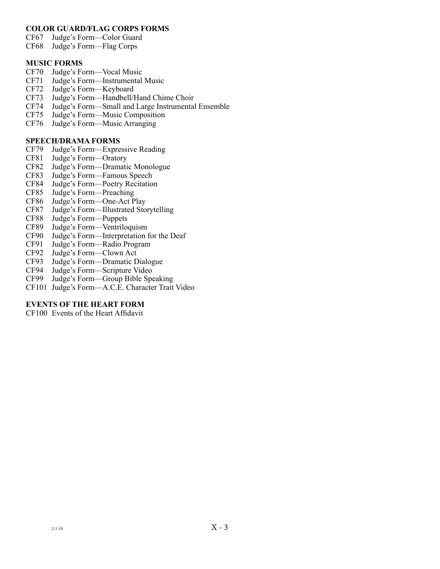#### **COLOR GUARD/FLAG CORPS FORMS**

- CF67 Judge's Form—Color Guard
- CF68 Judge's Form—Flag Corps

#### **MUSIC FORMS**

- CF70 Judge's Form—Vocal Music
- CF71 Judge's Form—Instrumental Music
- CF72 Judge's Form—Keyboard
- CF73 Judge's Form—Handbell/Hand Chime Choir
- CF74 Judge's Form—Small and Large Instrumental Ensemble
- Judge's Form—Music Composition
- CF76 Judge's Form—Music Arranging

#### **SPEECH/DRAMA FORMS**

- CF79 Judge's Form—Expressive Reading
- CF81 Judge's Form—Oratory<br>CF82 Judge's Form—Dramati
- CF82 Judge's Form—Dramatic Monologue<br>CF83 Judge's Form—Famous Speech
- Judge's Form—Famous Speech
- CF84 Judge's Form—Poetry Recitation<br>CF85 Judge's Form—Preaching
- CF85 Judge's Form—Preaching
- CF86 Judge's Form—One-Act Play
- Judge's Form—Illustrated Storytelling
- CF88 Judge's Form—Puppets
- Judge's Form—Ventriloquism
- CF90 Judge's Form—Interpretation for the Deaf
- Judge's Form—Radio Program
- CF92 Judge's Form—Clown Act
- CF93 Judge's Form—Dramatic Dialogue<br>CF94 Judge's Form—Scripture Video
- Judge's Form—Scripture Video
- CF99 Judge's Form––Group Bible Speaking
- CF101 Judge's Form––A.C.E. Character Trait Video

#### **EVENTS OF THE HEART FORM**

CF100 Events of the Heart Affidavit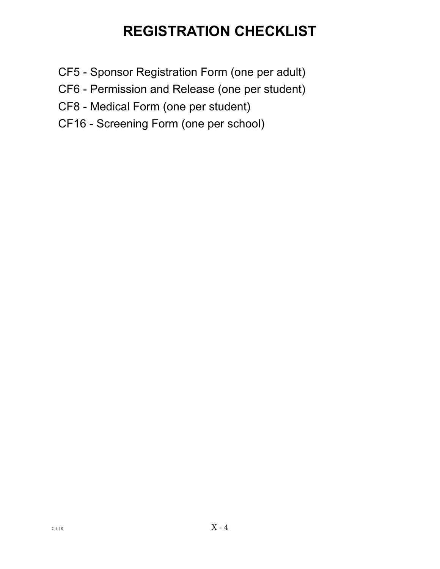# **REGISTRATION CHECKLIST**

- CF5 Sponsor Registration Form (one per adult)
- CF6 Permission and Release (one per student)
- CF8 Medical Form (one per student)
- CF16 Screening Form (one per school)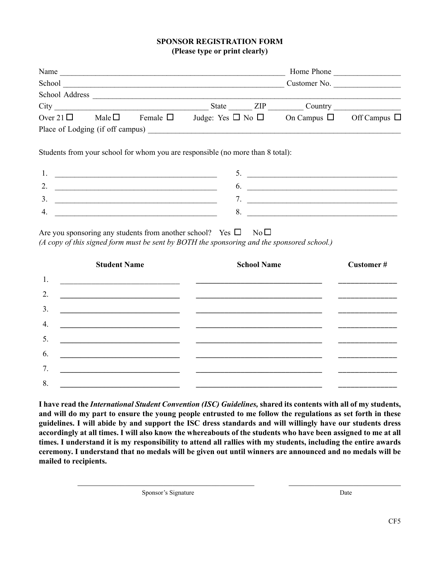#### **SPONSOR REGISTRATION FORM (Please type or print clearly)**

| Name                                                                                                                                                                                                                           |                |               |                             |       | Home Phone       |                   |
|--------------------------------------------------------------------------------------------------------------------------------------------------------------------------------------------------------------------------------|----------------|---------------|-----------------------------|-------|------------------|-------------------|
| School                                                                                                                                                                                                                         |                |               |                             |       | Customer No.     |                   |
| School Address                                                                                                                                                                                                                 |                |               |                             |       |                  |                   |
| City the contract of the contract of the contract of the contract of the contract of the contract of the contract of the contract of the contract of the contract of the contract of the contract of the contract of the contr |                |               | State                       | - ZIP | Country          |                   |
| Over 21 $\Box$                                                                                                                                                                                                                 | Male $\square$ | Female $\Box$ | Judge: Yes $\Box$ No $\Box$ |       | On Campus $\Box$ | Off Campus $\Box$ |
| Place of Lodging (if off campus)                                                                                                                                                                                               |                |               |                             |       |                  |                   |

Students from your school for whom you are responsible (no more than 8 total):

| <u>.</u> |  |
|----------|--|
|          |  |
|          |  |

Are you sponsoring any students from another school? Yes  $\Box$  No  $\Box$ *(A copy of this signed form must be sent by BOTH the sponsoring and the sponsored school.)*

|    | <b>School Name</b><br><b>Student Name</b>                         |                                                                                                                       | Customer# |  |  |  |  |
|----|-------------------------------------------------------------------|-----------------------------------------------------------------------------------------------------------------------|-----------|--|--|--|--|
| 1. |                                                                   |                                                                                                                       |           |  |  |  |  |
| 2. | <u> 1989 - Johann Barbara, margaret eta idazlearia (h. 1989).</u> |                                                                                                                       |           |  |  |  |  |
| 3. |                                                                   |                                                                                                                       |           |  |  |  |  |
| 4. |                                                                   |                                                                                                                       |           |  |  |  |  |
| 5. |                                                                   | <u> 1989 - Johann John Stein, mars an deutscher Stein und der Stein und der Stein und der Stein und der Stein und</u> |           |  |  |  |  |
| 6. | <u> 1989 - Johann Barbara, martxa eta idazlea (h. 1989).</u>      |                                                                                                                       |           |  |  |  |  |
| 7. |                                                                   |                                                                                                                       |           |  |  |  |  |
| 8. |                                                                   |                                                                                                                       |           |  |  |  |  |

**I have read the** *International Student Convention (ISC) Guidelines,* **shared its contents with all of my students, and will do my part to ensure the young people entrusted to me follow the regulations as set forth in these guidelines. I will abide by and support the ISC dress standards and will willingly have our students dress accordingly at all times. I will also know the whereabouts of the students who have been assigned to me at all times. I understand it is my responsibility to attend all rallies with my students, including the entire awards ceremony. I understand that no medals will be given out until winners are announced and no medals will be mailed to recipients.**

 $\_$ 

Sponsor's Signature Date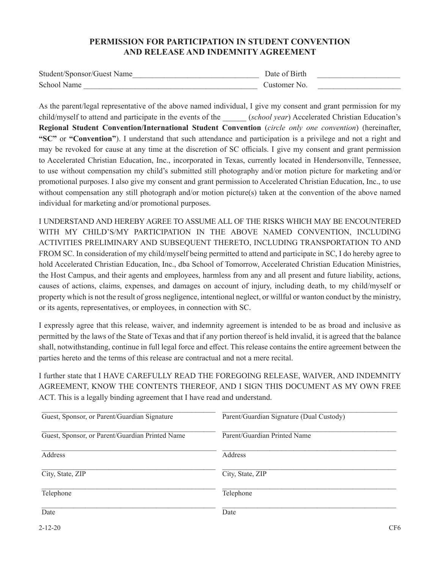#### **PERMISSION FOR PARTICIPATION IN STUDENT CONVENTION AND RELEASE AND INDEMNITY AGREEMENT**

| Student/Sponsor/Guest Name | Date of Birth |  |
|----------------------------|---------------|--|
| School Name                | Customer No.  |  |

As the parent/legal representative of the above named individual, I give my consent and grant permission for my child/myself to attend and participate in the events of the \_\_\_\_\_\_ (*school year*) Accelerated Christian Education's **Regional Student Convention/International Student Convention** (*circle only one convention*) (hereinafter, **"SC"** or **"Convention"**). I understand that such attendance and participation is a privilege and not a right and may be revoked for cause at any time at the discretion of SC officials. I give my consent and grant permission to Accelerated Christian Education, Inc., incorporated in Texas, currently located in Hendersonville, Tennessee, to use without compensation my child's submitted still photography and/or motion picture for marketing and/or promotional purposes. I also give my consent and grant permission to Accelerated Christian Education, Inc., to use without compensation any still photograph and/or motion picture(s) taken at the convention of the above named individual for marketing and/or promotional purposes.

I UNDERSTAND AND HEREBY AGREE TO ASSUME ALL OF THE RISKS WHICH MAY BE ENCOUNTERED WITH MY CHILD'S/MY PARTICIPATION IN THE ABOVE NAMED CONVENTION, INCLUDING ACTIVITIES PRELIMINARY AND SUBSEQUENT THERETO, INCLUDING TRANSPORTATION TO AND FROM SC. In consideration of my child/myself being permitted to attend and participate in SC, I do hereby agree to hold Accelerated Christian Education, Inc., dba School of Tomorrow, Accelerated Christian Education Ministries, the Host Campus, and their agents and employees, harmless from any and all present and future liability, actions, causes of actions, claims, expenses, and damages on account of injury, including death, to my child/myself or property which is not the result of gross negligence, intentional neglect, or willful or wanton conduct by the ministry, or its agents, representatives, or employees, in connection with SC.

I expressly agree that this release, waiver, and indemnity agreement is intended to be as broad and inclusive as permitted by the laws of the State of Texas and that if any portion thereof is held invalid, it is agreed that the balance shall, notwithstanding, continue in full legal force and effect. This release contains the entire agreement between the parties hereto and the terms of this release are contractual and not a mere recital.

I further state that I HAVE CAREFULLY READ THE FOREGOING RELEASE, WAIVER, AND INDEMNITY AGREEMENT, KNOW THE CONTENTS THEREOF, AND I SIGN THIS DOCUMENT AS MY OWN FREE ACT. This is a legally binding agreement that I have read and understand.

| Guest, Sponsor, or Parent/Guardian Signature    | Parent/Guardian Signature (Dual Custody) |
|-------------------------------------------------|------------------------------------------|
| Guest, Sponsor, or Parent/Guardian Printed Name | Parent/Guardian Printed Name             |
| <b>Address</b>                                  | <b>Address</b>                           |
| City, State, ZIP                                | City, State, ZIP                         |
| Telephone                                       | Telephone                                |
| Date                                            | Date                                     |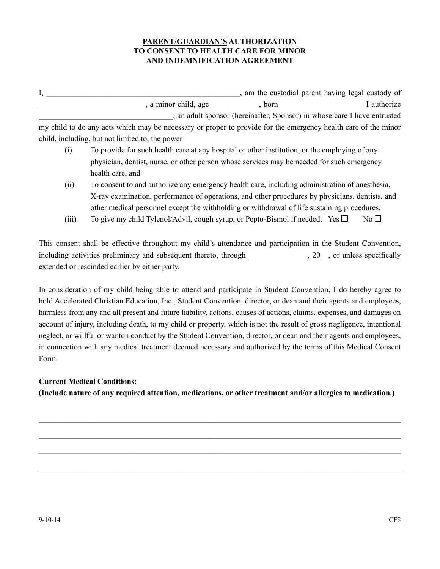#### **PARENT/GUARDIAN'S AUTHORIZATION TO CONSENT TO HEALTH CARE FOR MINOR AND INDEMNIFICATION AGREEMENT**

I, \_\_\_\_\_\_\_\_\_\_\_\_\_\_\_\_\_\_\_\_\_\_\_\_\_\_\_\_\_\_\_\_\_\_\_\_\_\_\_\_\_\_\_\_\_\_\_\_\_, am the custodial parent having legal custody of , a minor child, age example born a multiplier of  $\Box$  authorize \_\_\_\_\_\_\_\_\_\_\_\_\_\_\_\_\_\_\_\_\_\_\_\_\_\_\_\_\_\_\_\_\_\_, an adult sponsor (hereinafter, Sponsor) in whose care I have entrusted my child to do any acts which may be necessary or proper to provide for the emergency health care of the minor

child, including, but not limited to, the power

- (i) To provide for such health care at any hospital or other institution, or the employing of any physician, dentist, nurse, or other person whose services may be needed for such emergency health care, and
- (ii) To consent to and authorize any emergency health care, including administration of anesthesia, X-ray examination, performance of operations, and other procedures by physicians, dentists, and other medical personnel except the withholding or withdrawal of life sustaining procedures.
- (iii) To give my child Tylenol/Advil, cough syrup, or Pepto-Bismol if needed. Yes  $\square$  No  $\square$

This consent shall be effective throughout my child's attendance and participation in the Student Convention, including activities preliminary and subsequent thereto, through  $\qquad \qquad$ , 20, or unless specifically extended or rescinded earlier by either party.

In consideration of my child being able to attend and participate in Student Convention, I do hereby agree to hold Accelerated Christian Education, Inc., Student Convention, director, or dean and their agents and employees, harmless from any and all present and future liability, actions, causes of actions, claims, expenses, and damages on account of injury, including death, to my child or property, which is not the result of gross negligence, intentional neglect, or willful or wanton conduct by the Student Convention, director, or dean and their agents and employees, in connection with any medical treatment deemed necessary and authorized by the terms of this Medical Consent Form.

#### **Current Medical Conditions:**

**(Include nature of any required attention, medications, or other treatment and/or allergies to medication.)**

 $\_$  , and the set of the set of the set of the set of the set of the set of the set of the set of the set of the set of the set of the set of the set of the set of the set of the set of the set of the set of the set of th

 $\_$ 

 $\_$ 

\_\_\_\_\_\_\_\_\_\_\_\_\_\_\_\_\_\_\_\_\_\_\_\_\_\_\_\_\_\_\_\_\_\_\_\_\_\_\_\_\_\_\_\_\_\_\_\_\_\_\_\_\_\_\_\_\_\_\_\_\_\_\_\_\_\_\_\_\_\_\_\_\_\_\_\_\_\_\_\_\_\_\_\_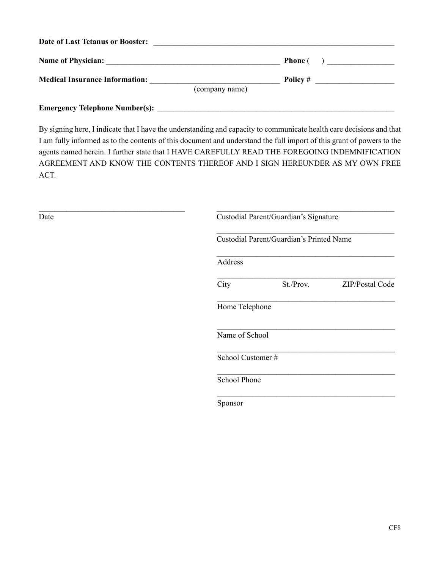| <b>Name of Physician:</b><br><u> 1980 - Andrea Andrew Maria (h. 1980).</u> | <b>Phone</b> ( |
|----------------------------------------------------------------------------|----------------|
| <b>Medical Insurance Information:</b>                                      | Policy $#$     |
| (company name)                                                             |                |

By signing here, I indicate that I have the understanding and capacity to communicate health care decisions and that I am fully informed as to the contents of this document and understand the full import of this grant of powers to the agents named herein. I further state that I HAVE CAREFULLY READ THE FOREGOING INDEMNIFICATION AGREEMENT AND KNOW THE CONTENTS THEREOF AND I SIGN HEREUNDER AS MY OWN FREE ACT.

| Date | Custodial Parent/Guardian's Signature    |
|------|------------------------------------------|
|      | Custodial Parent/Guardian's Printed Name |
|      | Address                                  |
|      | City<br>St./Prov.<br>ZIP/Postal Code     |
|      | Home Telephone                           |
|      | Name of School                           |
|      | School Customer#                         |
|      | School Phone                             |
|      | Sponsor                                  |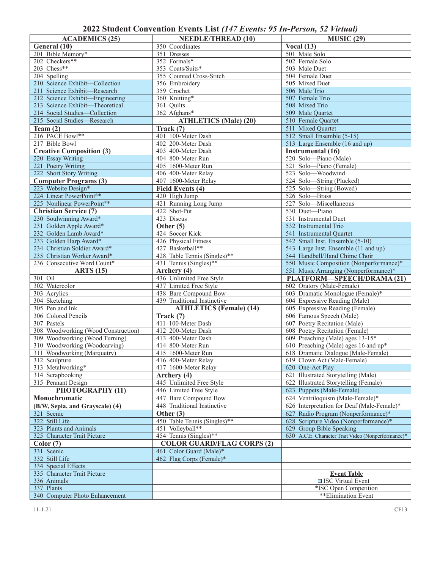### **2022 Student Convention Events List** *(147 Events: 95 In-Person, 52 Virtual)*

| <b>ACADEMICS (25)</b>                                           | <b>NEEDLE/THREAD (10)</b>                           | <b>MUSIC (29)</b>                                                |
|-----------------------------------------------------------------|-----------------------------------------------------|------------------------------------------------------------------|
| General (10)                                                    | 350 Coordinates                                     | Vocal $(13)$                                                     |
| 201 Bible Memory*                                               | 351 Dresses                                         | 501 Male Solo                                                    |
| 202 Checkers**                                                  | 352 Formals*                                        | 502 Female Solo                                                  |
| 203 Chess**                                                     | 353 Coats/Suits*                                    | 503 Male Duet                                                    |
| 204 Spelling                                                    | 355 Counted Cross-Stitch                            | 504 Female Duet                                                  |
| 210 Science Exhibit-Collection                                  |                                                     | 505 Mixed Duet                                                   |
|                                                                 | 356 Embroidery                                      | 506 Male Trio                                                    |
| 211 Science Exhibit-Research<br>212 Science Exhibit-Engineering | 359 Crochet<br>360 Knitting*                        | 507 Female Trio                                                  |
| 213 Science Exhibit-Theoretical                                 |                                                     | 508 Mixed Trio                                                   |
| 214 Social Studies-Collection                                   | 361 Quilts<br>362 Afghans*                          | 509 Male Quartet                                                 |
|                                                                 |                                                     |                                                                  |
| 215 Social Studies-Research                                     | <b>ATHLETICS</b> (Male) (20)                        | 510 Female Quartet                                               |
| Team $(2)$<br>216 PACE Bowl**                                   | Track (7)                                           | 511 Mixed Quartet                                                |
|                                                                 | 401 100-Meter Dash                                  | 512 Small Ensemble (5-15)                                        |
| 217 Bible Bowl                                                  | 402 200-Meter Dash                                  | 513 Large Ensemble (16 and up)                                   |
| <b>Creative Composition (3)</b>                                 | 403 400-Meter Dash                                  | Instrumental (16)                                                |
| 220 Essay Writing                                               | 404 800-Meter Run                                   | 520 Solo-Piano (Male)                                            |
| 221 Poetry Writing                                              | 405 1600-Meter Run                                  | 521 Solo-Piano (Female)                                          |
| 222 Short Story Writing                                         | 406 400-Meter Relay                                 | 523 Solo-Woodwind                                                |
| <b>Computer Programs (3)</b>                                    | 407 1600-Meter Relay                                | 524 Solo-String (Plucked)                                        |
| 223 Website Design*                                             | Field Events (4)                                    | 525 Solo-String (Bowed)                                          |
| 224 Linear PowerPoint®*                                         | 420 High Jump                                       | 526 Solo-Brass                                                   |
| 225 Nonlinear PowerPoint®*                                      | 421 Running Long Jump                               | 527 Solo-Miscellaneous                                           |
| <b>Christian Service (7)</b>                                    | 422 Shot-Put                                        | 530 Duet-Piano                                                   |
| 230 Soulwinning Award*                                          | 423 Discus                                          | 531 Instrumental Duet                                            |
| 231 Golden Apple Award*                                         | Other $(5)$                                         | 532 Instrumental Trio                                            |
| 232 Golden Lamb Award*                                          | 424 Soccer Kick                                     | 541 Instrumental Quartet                                         |
| 233 Golden Harp Award*                                          | 426 Physical Fitness                                | 542 Small Inst. Ensemble (5-10)                                  |
| 234 Christian Soldier Award*                                    | 427 Basketball**                                    | 543 Large Inst. Ensemble (11 and up)                             |
| 235 Christian Worker Award*                                     | 428 Table Tennis (Singles)**                        | 544 Handbell/Hand Chime Choir                                    |
| 236 Consecutive Word Count*                                     | 431 Tennis (Singles)**                              | 550 Music Composition (Nonperformance)*                          |
|                                                                 |                                                     |                                                                  |
| <b>ARTS</b> (15)                                                | Archery (4)                                         | 551 Music Arranging (Nonperformance)*                            |
| 301 Oil                                                         | 436 Unlimited Free Style                            | PLATFORM-SPEECH/DRAMA (21)                                       |
| 302 Watercolor                                                  | 437 Limited Free Style                              | 602 Oratory (Male-Female)                                        |
| 303 Acrylics                                                    | 438 Bare Compound Bow                               | 603 Dramatic Monologue (Female)*                                 |
| 304 Sketching                                                   | 439 Traditional Instinctive                         |                                                                  |
| 305 Pen and Ink                                                 |                                                     | 604 Expressive Reading (Male)<br>605 Expressive Reading (Female) |
| 306 Colored Pencils                                             | <b>ATHLETICS</b> (Female) (14)<br>$\text{Track}(7)$ |                                                                  |
|                                                                 |                                                     | 606 Famous Speech (Male)<br>607 Poetry Recitation (Male)         |
| 307 Pastels                                                     | 411 100-Meter Dash                                  |                                                                  |
| 308 Woodworking (Wood Construction)                             | 412 200-Meter Dash                                  | 608 Poetry Recitation (Female)                                   |
| 309 Woodworking (Wood Turning)                                  | 413 400-Meter Dash                                  | 609 Preaching (Male) ages 13-15*                                 |
| 310 Woodworking (Woodcarving)                                   | 414 800-Meter Run<br>415 1600-Meter Run             | 610 Preaching (Male) ages 16 and up*                             |
| 311 Woodworking (Marquetry)<br>312 Sculpture                    |                                                     | 618 Dramatic Dialogue (Male-Female)                              |
|                                                                 | 416 400-Meter Relay                                 | 619 Clown Act (Male-Female)<br>620 One-Act Play                  |
| 313 Metalworking*                                               | 417 1600-Meter Relay                                |                                                                  |
| 314 Scrapbooking                                                | Archery (4)                                         | 621 Illustrated Storytelling (Male)                              |
| 315 Pennant Design                                              | 445 Unlimited Free Style                            | 622 Illustrated Storytelling (Female)                            |
| PHOTOGRAPHY (11)                                                | 446 Limited Free Style                              | 623 Puppets (Male-Female)                                        |
| Monochromatic                                                   | 447 Bare Compound Bow                               | 624 Ventriloquism (Male-Female)*                                 |
| (B/W, Sepia, and Grayscale) (4)                                 | 448 Traditional Instinctive                         | 626 Interpretation for Deaf (Male-Female)*                       |
| 321 Scenic                                                      | Other $(3)$                                         | 627 Radio Program (Nonperformance)*                              |
| 322 Still Life                                                  | 450 Table Tennis (Singles)**                        | 628 Scripture Video (Nonperformance)*                            |
| 323 Plants and Animals                                          | 451 Volleyball**                                    | 629 Group Bible Speaking                                         |
| 325 Character Trait Picture                                     | 454 Tennis (Singles)**                              | 630 A.C.E. Character Trait Video (Nonperformance)*               |
| Color(7)                                                        | <b>COLOR GUARD/FLAG CORPS (2)</b>                   |                                                                  |
| 331 Scenic                                                      | 461 Color Guard (Male)*                             |                                                                  |
| 332 Still Life                                                  | 462 Flag Corps (Female)*                            |                                                                  |
| 334 Special Effects                                             |                                                     |                                                                  |
| 335 Character Trait Picture                                     |                                                     | <b>Event Table</b>                                               |
| 336 Animals                                                     |                                                     | □ ISC Virtual Event                                              |
| 337 Plants<br>340 Computer Photo Enhancement                    |                                                     | *ISC Open Competition<br>**Elimination Event                     |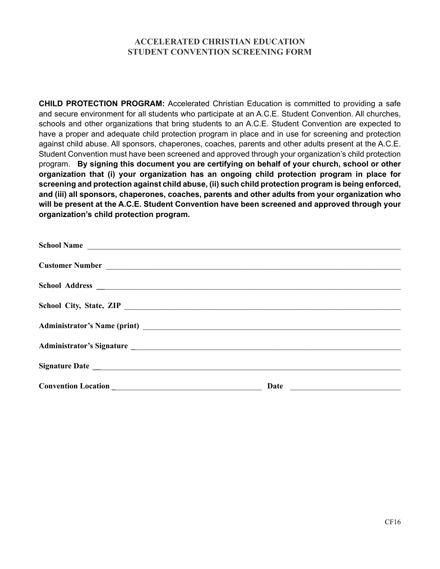#### **ACCELERATED CHRISTIAN EDUCATION STUDENT CONVENTION SCREENING FORM**

**CHILD PROTECTION PROGRAM:** Accelerated Christian Education is committed to providing a safe and secure environment for all students who participate at an A.C.E. Student Convention. All churches, schools and other organizations that bring students to an A.C.E. Student Convention are expected to have a proper and adequate child protection program in place and in use for screening and protection against child abuse. All sponsors, chaperones, coaches, parents and other adults present at the A.C.E. Student Convention must have been screened and approved through your organization's child protection program. **By signing this document you are certifying on behalf of your church, school or other organization that (i) your organization has an ongoing child protection program in place for screening and protection against child abuse, (ii) such child protection program is being enforced, and (iii) all sponsors, chaperones, coaches, parents and other adults from your organization who will be present at the A.C.E. Student Convention have been screened and approved through your organization's child protection program.**

| School Name             |      |                                                                                                                                                                                                                                      |
|-------------------------|------|--------------------------------------------------------------------------------------------------------------------------------------------------------------------------------------------------------------------------------------|
|                         |      |                                                                                                                                                                                                                                      |
|                         |      |                                                                                                                                                                                                                                      |
|                         |      |                                                                                                                                                                                                                                      |
|                         |      |                                                                                                                                                                                                                                      |
| School City, State, ZIP |      |                                                                                                                                                                                                                                      |
|                         |      |                                                                                                                                                                                                                                      |
|                         |      |                                                                                                                                                                                                                                      |
|                         |      |                                                                                                                                                                                                                                      |
|                         |      |                                                                                                                                                                                                                                      |
|                         |      |                                                                                                                                                                                                                                      |
|                         | Date | <u> 1989 - Johann Harry Harry Harry Harry Harry Harry Harry Harry Harry Harry Harry Harry Harry Harry Harry Harry Harry Harry Harry Harry Harry Harry Harry Harry Harry Harry Harry Harry Harry Harry Harry Harry Harry Harry Ha</u> |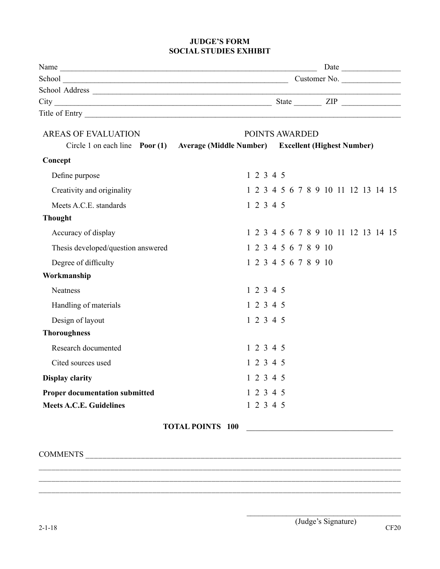#### **JUDGE'S FORM SOCIAL STUDIES EXHIBIT**

| $City$ $ZIP$                                                                      |                         |  |           |                      |  |  |  |  |                                     |
|-----------------------------------------------------------------------------------|-------------------------|--|-----------|----------------------|--|--|--|--|-------------------------------------|
|                                                                                   |                         |  |           |                      |  |  |  |  |                                     |
| <b>AREAS OF EVALUATION</b>                                                        |                         |  |           | POINTS AWARDED       |  |  |  |  |                                     |
| Circle 1 on each line Poor (1) Average (Middle Number) Excellent (Highest Number) |                         |  |           |                      |  |  |  |  |                                     |
| Concept                                                                           |                         |  |           |                      |  |  |  |  |                                     |
| Define purpose                                                                    |                         |  | 1 2 3 4 5 |                      |  |  |  |  |                                     |
| Creativity and originality                                                        |                         |  |           |                      |  |  |  |  | 1 2 3 4 5 6 7 8 9 10 11 12 13 14 15 |
| Meets A.C.E. standards                                                            |                         |  | 12345     |                      |  |  |  |  |                                     |
| <b>Thought</b>                                                                    |                         |  |           |                      |  |  |  |  |                                     |
| Accuracy of display                                                               |                         |  |           |                      |  |  |  |  | 1 2 3 4 5 6 7 8 9 10 11 12 13 14 15 |
| Thesis developed/question answered                                                |                         |  |           | 1 2 3 4 5 6 7 8 9 10 |  |  |  |  |                                     |
| Degree of difficulty                                                              |                         |  |           | 1 2 3 4 5 6 7 8 9 10 |  |  |  |  |                                     |
| Workmanship                                                                       |                         |  |           |                      |  |  |  |  |                                     |
| Neatness                                                                          |                         |  | 12345     |                      |  |  |  |  |                                     |
| Handling of materials                                                             |                         |  | 1 2 3 4 5 |                      |  |  |  |  |                                     |
| Design of layout                                                                  |                         |  | 1 2 3 4 5 |                      |  |  |  |  |                                     |
| <b>Thoroughness</b>                                                               |                         |  |           |                      |  |  |  |  |                                     |
| Research documented                                                               |                         |  | 1 2 3 4 5 |                      |  |  |  |  |                                     |
| Cited sources used                                                                |                         |  | 1 2 3 4 5 |                      |  |  |  |  |                                     |
| <b>Display clarity</b>                                                            |                         |  | 1 2 3 4 5 |                      |  |  |  |  |                                     |
| <b>Proper documentation submitted</b>                                             |                         |  | 1 2 3 4 5 |                      |  |  |  |  |                                     |
| <b>Meets A.C.E. Guidelines</b>                                                    |                         |  | 1 2 3 4 5 |                      |  |  |  |  |                                     |
|                                                                                   | <b>TOTAL POINTS 100</b> |  |           |                      |  |  |  |  |                                     |
|                                                                                   |                         |  |           |                      |  |  |  |  |                                     |

\_\_\_\_\_\_\_\_\_\_\_\_\_\_\_\_\_\_\_\_\_\_\_\_\_\_\_\_\_\_\_\_\_\_\_\_\_\_\_\_\_\_\_\_\_\_\_\_\_\_\_\_\_\_\_\_\_\_\_\_\_\_\_\_\_\_\_\_\_\_\_\_\_\_\_\_\_\_\_\_\_\_\_\_\_\_ \_\_\_\_\_\_\_\_\_\_\_\_\_\_\_\_\_\_\_\_\_\_\_\_\_\_\_\_\_\_\_\_\_\_\_\_\_\_\_\_\_\_\_\_\_\_\_\_\_\_\_\_\_\_\_\_\_\_\_\_\_\_\_\_\_\_\_\_\_\_\_\_\_\_\_\_\_\_\_\_\_\_\_\_\_\_ \_\_\_\_\_\_\_\_\_\_\_\_\_\_\_\_\_\_\_\_\_\_\_\_\_\_\_\_\_\_\_\_\_\_\_\_\_\_\_\_\_\_\_\_\_\_\_\_\_\_\_\_\_\_\_\_\_\_\_\_\_\_\_\_\_\_\_\_\_\_\_\_\_\_\_\_\_\_\_\_\_\_\_\_\_\_

COMMENTS \_\_\_\_\_\_\_\_\_\_\_\_\_\_\_\_\_\_\_\_\_\_\_\_\_\_\_\_\_\_\_\_\_\_\_\_\_\_\_\_\_\_\_\_\_\_\_\_\_\_\_\_\_\_\_\_\_\_\_\_\_\_\_\_\_\_\_\_\_\_\_\_\_\_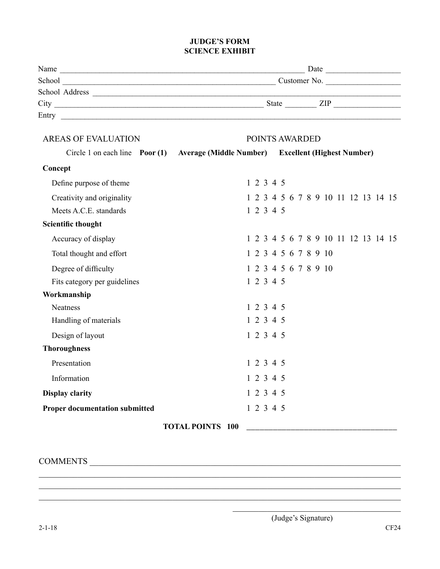#### **JUDGE'S FORM SCIENCE EXHIBIT**

| Name           | Date                |
|----------------|---------------------|
| School         | Customer No.        |
| School Address |                     |
| City           | State<br><b>ZIP</b> |
| Entry          |                     |
|                |                     |

| <b>AREAS OF EVALUATION</b>                   |                                                    | POINTS AWARDED |  |  |  |                      |  |  |                                     |
|----------------------------------------------|----------------------------------------------------|----------------|--|--|--|----------------------|--|--|-------------------------------------|
| Circle 1 on each line $\frac{P}{Q}$ Poor (1) | Average (Middle Number) Excellent (Highest Number) |                |  |  |  |                      |  |  |                                     |
| Concept                                      |                                                    |                |  |  |  |                      |  |  |                                     |
| Define purpose of theme                      |                                                    | 1 2 3 4 5      |  |  |  |                      |  |  |                                     |
| Creativity and originality                   |                                                    |                |  |  |  |                      |  |  | 1 2 3 4 5 6 7 8 9 10 11 12 13 14 15 |
| Meets A.C.E. standards                       |                                                    | 1 2 3 4 5      |  |  |  |                      |  |  |                                     |
| <b>Scientific thought</b>                    |                                                    |                |  |  |  |                      |  |  |                                     |
| Accuracy of display                          |                                                    |                |  |  |  |                      |  |  | 1 2 3 4 5 6 7 8 9 10 11 12 13 14 15 |
| Total thought and effort                     |                                                    |                |  |  |  | 1 2 3 4 5 6 7 8 9 10 |  |  |                                     |
| Degree of difficulty                         |                                                    |                |  |  |  | 1 2 3 4 5 6 7 8 9 10 |  |  |                                     |
| Fits category per guidelines                 |                                                    | 1 2 3 4 5      |  |  |  |                      |  |  |                                     |
| Workmanship                                  |                                                    |                |  |  |  |                      |  |  |                                     |
| Neatness                                     |                                                    | 1 2 3 4 5      |  |  |  |                      |  |  |                                     |
| Handling of materials                        |                                                    | 1 2 3 4 5      |  |  |  |                      |  |  |                                     |
| Design of layout                             |                                                    | 1 2 3 4 5      |  |  |  |                      |  |  |                                     |
| <b>Thoroughness</b>                          |                                                    |                |  |  |  |                      |  |  |                                     |
| Presentation                                 |                                                    | 1 2 3 4 5      |  |  |  |                      |  |  |                                     |
| Information                                  |                                                    | 1 2 3 4 5      |  |  |  |                      |  |  |                                     |
| <b>Display clarity</b>                       |                                                    | 12345          |  |  |  |                      |  |  |                                     |
| <b>Proper documentation submitted</b>        |                                                    | 1 2 3 4 5      |  |  |  |                      |  |  |                                     |
|                                              | <b>TOTAL POINTS 100</b>                            |                |  |  |  |                      |  |  |                                     |

 $\_$  , and the set of the set of the set of the set of the set of the set of the set of the set of the set of the set of the set of the set of the set of the set of the set of the set of the set of the set of the set of th  $\_$  , and the set of the set of the set of the set of the set of the set of the set of the set of the set of the set of the set of the set of the set of the set of the set of the set of the set of the set of the set of th

### COMMENTS \_\_\_\_\_\_\_\_\_\_\_\_\_\_\_\_\_\_\_\_\_\_\_\_\_\_\_\_\_\_\_\_\_\_\_\_\_\_\_\_\_\_\_\_\_\_\_\_\_\_\_\_\_\_\_\_\_\_\_\_\_\_\_\_\_\_\_\_\_\_\_\_

\_\_\_\_\_\_\_\_\_\_\_\_\_\_\_\_\_\_\_\_\_\_\_\_\_\_\_\_\_\_\_\_\_\_\_\_\_\_\_\_\_\_\_\_\_\_\_\_\_\_\_\_\_\_\_\_\_\_\_\_\_\_\_\_\_\_\_\_\_\_\_\_\_\_\_\_\_\_\_\_\_\_\_\_ \_\_\_\_\_\_\_\_\_\_\_\_\_\_\_\_\_\_\_\_\_\_\_\_\_\_\_\_\_\_\_\_\_\_\_\_\_\_\_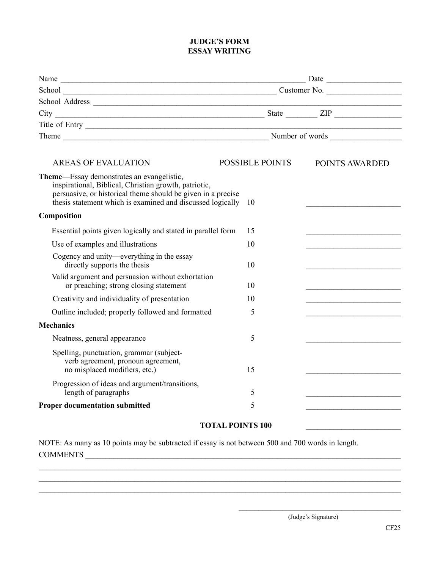#### **JUDGE'S FORM ESSAY WRITING**

|                                                                                                                                                                                                                                  |    |                        | $\sqrt{a}$ Date $\sqrt{a}$ |
|----------------------------------------------------------------------------------------------------------------------------------------------------------------------------------------------------------------------------------|----|------------------------|----------------------------|
|                                                                                                                                                                                                                                  |    |                        |                            |
|                                                                                                                                                                                                                                  |    |                        |                            |
|                                                                                                                                                                                                                                  |    |                        |                            |
| Title of Entry                                                                                                                                                                                                                   |    |                        |                            |
|                                                                                                                                                                                                                                  |    |                        |                            |
| <b>AREAS OF EVALUATION</b>                                                                                                                                                                                                       |    | <b>POSSIBLE POINTS</b> | POINTS AWARDED             |
| Theme—Essay demonstrates an evangelistic,<br>inspirational, Biblical, Christian growth, patriotic,<br>persuasive, or historical theme should be given in a precise<br>thesis statement which is examined and discussed logically | 10 |                        |                            |
| Composition                                                                                                                                                                                                                      |    |                        |                            |
| Essential points given logically and stated in parallel form                                                                                                                                                                     | 15 |                        |                            |
| Use of examples and illustrations                                                                                                                                                                                                | 10 |                        |                            |
| Cogency and unity—everything in the essay<br>directly supports the thesis                                                                                                                                                        | 10 |                        |                            |
| Valid argument and persuasion without exhortation<br>or preaching; strong closing statement                                                                                                                                      | 10 |                        |                            |
| Creativity and individuality of presentation                                                                                                                                                                                     | 10 |                        |                            |
| Outline included; properly followed and formatted                                                                                                                                                                                |    |                        |                            |
| <b>Mechanics</b>                                                                                                                                                                                                                 |    |                        |                            |
| Neatness, general appearance                                                                                                                                                                                                     | 5  |                        |                            |
| Spelling, punctuation, grammar (subject-<br>verb agreement, pronoun agreement,<br>no misplaced modifiers, etc.)                                                                                                                  | 15 |                        |                            |
| Progression of ideas and argument/transitions,<br>length of paragraphs                                                                                                                                                           | 5  |                        |                            |
| <b>Proper documentation submitted</b>                                                                                                                                                                                            | 5  |                        |                            |
|                                                                                                                                                                                                                                  |    |                        |                            |

#### **TOTAL POINTS 100** \_\_\_\_\_\_\_\_\_\_\_\_\_\_\_\_\_\_\_\_\_\_\_\_

 $\_$  , and the set of the set of the set of the set of the set of the set of the set of the set of the set of the set of the set of the set of the set of the set of the set of the set of the set of the set of the set of th  $\_$  , and the set of the set of the set of the set of the set of the set of the set of the set of the set of the set of the set of the set of the set of the set of the set of the set of the set of the set of the set of th  $\_$  , and the set of the set of the set of the set of the set of the set of the set of the set of the set of the set of the set of the set of the set of the set of the set of the set of the set of the set of the set of th

NOTE: As many as 10 points may be subtracted if essay is not between 500 and 700 words in length. COMMENTS \_\_\_\_\_\_\_\_\_\_\_\_\_\_\_\_\_\_\_\_\_\_\_\_\_\_\_\_\_\_\_\_\_\_\_\_\_\_\_\_\_\_\_\_\_\_\_\_\_\_\_\_\_\_\_\_\_\_\_\_\_\_\_\_\_\_\_\_\_\_\_\_\_\_\_\_\_\_\_

\_\_\_\_\_\_\_\_\_\_\_\_\_\_\_\_\_\_\_\_\_\_\_\_\_\_\_\_\_\_\_\_\_\_\_\_\_\_\_\_\_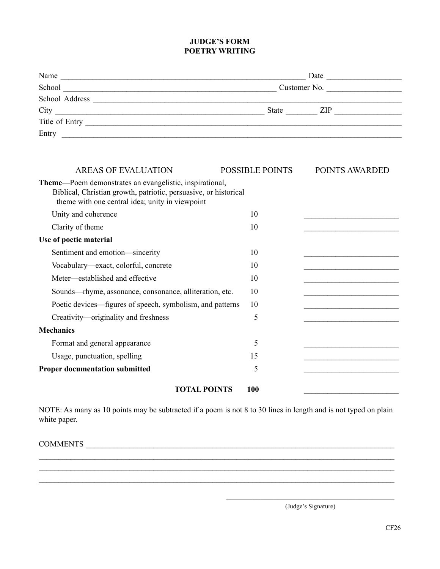#### **JUDGE'S FORM POETRY WRITING**

| Customer No.                                                                                                                       |                        |  |
|------------------------------------------------------------------------------------------------------------------------------------|------------------------|--|
|                                                                                                                                    |                        |  |
|                                                                                                                                    |                        |  |
|                                                                                                                                    |                        |  |
|                                                                                                                                    |                        |  |
|                                                                                                                                    |                        |  |
|                                                                                                                                    |                        |  |
|                                                                                                                                    | <b>POINTS AWARDED</b>  |  |
| <b>Theme—Poem demonstrates an evangelistic, inspirational,</b><br>Biblical, Christian growth, patriotic, persuasive, or historical |                        |  |
| 10                                                                                                                                 |                        |  |
| 10                                                                                                                                 |                        |  |
|                                                                                                                                    |                        |  |
| 10                                                                                                                                 |                        |  |
| 10                                                                                                                                 |                        |  |
|                                                                                                                                    | <b>POSSIBLE POINTS</b> |  |

**TOTAL POINTS** 100

Meter—established and effective 10 Sounds—rhyme, assonance, consonance, alliteration, etc. 10 Poetic devices—figures of speech, symbolism, and patterns 10 Creativity—originality and freshness 5

Format and general appearance 5 Usage, punctuation, spelling 15

**Proper documentation submitted** 5

NOTE: As many as 10 points may be subtracted if a poem is not 8 to 30 lines in length and is not typed on plain white paper.

 $\_$  , and the set of the set of the set of the set of the set of the set of the set of the set of the set of the set of the set of the set of the set of the set of the set of the set of the set of the set of the set of th  $\mathcal{L}_\mathcal{L} = \mathcal{L}_\mathcal{L} = \mathcal{L}_\mathcal{L} = \mathcal{L}_\mathcal{L} = \mathcal{L}_\mathcal{L} = \mathcal{L}_\mathcal{L} = \mathcal{L}_\mathcal{L} = \mathcal{L}_\mathcal{L} = \mathcal{L}_\mathcal{L} = \mathcal{L}_\mathcal{L} = \mathcal{L}_\mathcal{L} = \mathcal{L}_\mathcal{L} = \mathcal{L}_\mathcal{L} = \mathcal{L}_\mathcal{L} = \mathcal{L}_\mathcal{L} = \mathcal{L}_\mathcal{L} = \mathcal{L}_\mathcal{L}$  $\mathcal{L}_\mathcal{L} = \mathcal{L}_\mathcal{L} = \mathcal{L}_\mathcal{L} = \mathcal{L}_\mathcal{L} = \mathcal{L}_\mathcal{L} = \mathcal{L}_\mathcal{L} = \mathcal{L}_\mathcal{L} = \mathcal{L}_\mathcal{L} = \mathcal{L}_\mathcal{L} = \mathcal{L}_\mathcal{L} = \mathcal{L}_\mathcal{L} = \mathcal{L}_\mathcal{L} = \mathcal{L}_\mathcal{L} = \mathcal{L}_\mathcal{L} = \mathcal{L}_\mathcal{L} = \mathcal{L}_\mathcal{L} = \mathcal{L}_\mathcal{L}$ 

COMMENTS \_\_\_\_\_\_\_\_\_\_\_\_\_\_\_\_\_\_\_\_\_\_\_\_\_\_\_\_\_\_\_\_\_\_\_\_\_\_\_\_\_\_\_\_\_\_\_\_\_\_\_\_\_\_\_\_\_\_\_\_\_\_\_\_\_\_\_\_\_\_\_\_\_\_\_\_\_\_

**Mechanics**

\_\_\_\_\_\_\_\_\_\_\_\_\_\_\_\_\_\_\_\_\_\_\_\_\_\_\_\_\_\_\_\_\_\_\_\_\_\_\_ (Judge's Signature)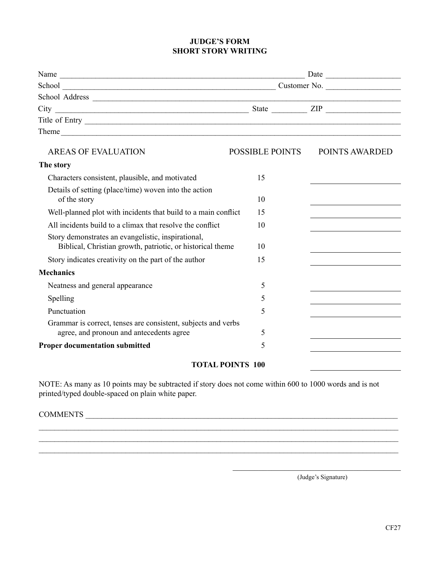#### **JUDGE'S FORM SHORT STORY WRITING**

| $City$ $III$                                                                                                     |                        |                                                                            |  |
|------------------------------------------------------------------------------------------------------------------|------------------------|----------------------------------------------------------------------------|--|
|                                                                                                                  |                        |                                                                            |  |
|                                                                                                                  |                        |                                                                            |  |
| <b>AREAS OF EVALUATION</b>                                                                                       | <b>POSSIBLE POINTS</b> | POINTS AWARDED                                                             |  |
| The story                                                                                                        |                        |                                                                            |  |
| Characters consistent, plausible, and motivated                                                                  | 15                     |                                                                            |  |
| Details of setting (place/time) woven into the action<br>of the story                                            | 10                     | the control of the control of the control of the control of the control of |  |
| Well-planned plot with incidents that build to a main conflict                                                   | 15                     |                                                                            |  |
| All incidents build to a climax that resolve the conflict                                                        | 10                     | the control of the control of the control of the control of the            |  |
| Story demonstrates an evangelistic, inspirational,<br>Biblical, Christian growth, patriotic, or historical theme | 10                     |                                                                            |  |
| Story indicates creativity on the part of the author                                                             | 15                     |                                                                            |  |
| <b>Mechanics</b>                                                                                                 |                        |                                                                            |  |
| Neatness and general appearance                                                                                  | 5                      |                                                                            |  |
| Spelling                                                                                                         | 5                      |                                                                            |  |
| Punctuation                                                                                                      | 5                      |                                                                            |  |
| Grammar is correct, tenses are consistent, subjects and verbs<br>agree, and pronoun and antecedents agree        | 5                      |                                                                            |  |
| <b>Proper documentation submitted</b>                                                                            | 5                      |                                                                            |  |
| <b>TOTHER DOINTER 100</b>                                                                                        |                        |                                                                            |  |

#### **TOTAL POINTS 100**

NOTE: As many as 10 points may be subtracted if story does not come within 600 to 1000 words and is not printed/typed double-spaced on plain white paper.

 $\_$  , and the set of the set of the set of the set of the set of the set of the set of the set of the set of the set of the set of the set of the set of the set of the set of the set of the set of the set of the set of th  $\_$  $\_$ 

### COMMENTS \_\_\_\_\_\_\_\_\_\_\_\_\_\_\_\_\_\_\_\_\_\_\_\_\_\_\_\_\_\_\_\_\_\_\_\_\_\_\_\_\_\_\_\_\_\_\_\_\_\_\_\_\_\_\_\_\_\_\_\_\_\_\_\_\_\_\_\_\_\_\_\_\_\_\_\_\_\_\_

(Judge's Signature)

\_\_\_\_\_\_\_\_\_\_\_\_\_\_\_\_\_\_\_\_\_\_\_\_\_\_\_\_\_\_\_\_\_\_\_\_\_\_\_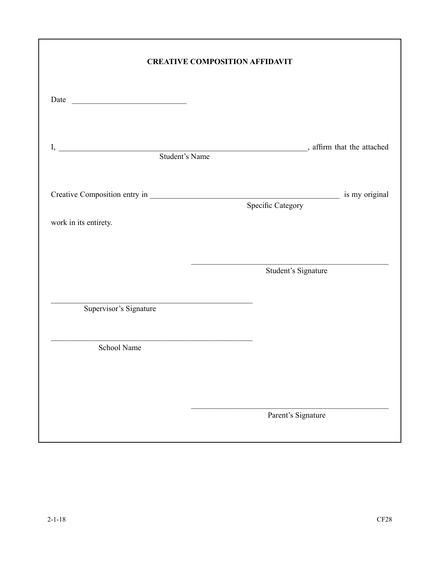|                                               | <b>CREATIVE COMPOSITION AFFIDAVIT</b>                                                                                |
|-----------------------------------------------|----------------------------------------------------------------------------------------------------------------------|
|                                               |                                                                                                                      |
|                                               |                                                                                                                      |
|                                               |                                                                                                                      |
|                                               |                                                                                                                      |
|                                               | Specific Category                                                                                                    |
| work in its entirety.                         |                                                                                                                      |
|                                               |                                                                                                                      |
|                                               |                                                                                                                      |
|                                               | Student's Signature                                                                                                  |
|                                               | <u> 1980 - Johann Barbara, martin amerikan basar dan berasal dalam basa dalam basar dalam basar dalam basar dala</u> |
| Supervisor's Signature                        |                                                                                                                      |
| <u> 1980 - Jan Samuel Barbara, margaret e</u> |                                                                                                                      |
| School Name                                   |                                                                                                                      |
|                                               |                                                                                                                      |
|                                               |                                                                                                                      |
|                                               |                                                                                                                      |
|                                               | Parent's Signature                                                                                                   |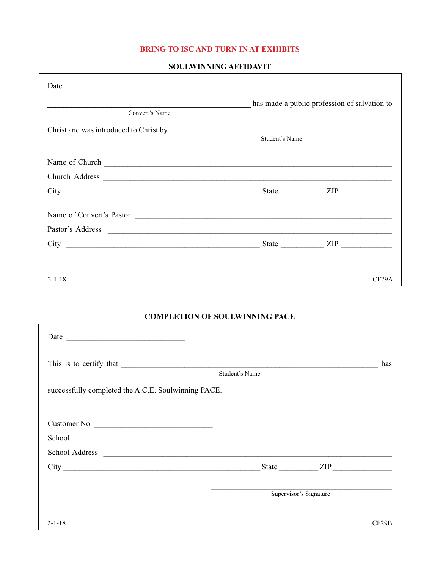#### **BRING TO ISC AND TURN IN AT EXHIBITS**

#### SOULWINNING AFFIDAVIT

|                                                                                                                                                                                                                                      | has made a public profession of salvation to |       |
|--------------------------------------------------------------------------------------------------------------------------------------------------------------------------------------------------------------------------------------|----------------------------------------------|-------|
| Convert's Name                                                                                                                                                                                                                       |                                              |       |
|                                                                                                                                                                                                                                      |                                              |       |
|                                                                                                                                                                                                                                      | Student's Name                               |       |
| Name of Church <u>and the contract of the contract of the contract of the contract of the contract of the contract of the contract of the contract of the contract of the contract of the contract of the contract of the contra</u> |                                              |       |
|                                                                                                                                                                                                                                      |                                              |       |
|                                                                                                                                                                                                                                      |                                              |       |
|                                                                                                                                                                                                                                      |                                              |       |
| Name of Convert's Pastor                                                                                                                                                                                                             |                                              |       |
| Pastor's Address                                                                                                                                                                                                                     |                                              |       |
| $City$ $III$                                                                                                                                                                                                                         |                                              |       |
|                                                                                                                                                                                                                                      |                                              |       |
|                                                                                                                                                                                                                                      |                                              |       |
| $2 - 1 - 18$                                                                                                                                                                                                                         |                                              | CF29A |

#### **COMPLETION OF SOULWINNING PACE**

|                                                                                                                                                                                                                                    | Student's Name |                        | has   |
|------------------------------------------------------------------------------------------------------------------------------------------------------------------------------------------------------------------------------------|----------------|------------------------|-------|
| successfully completed the A.C.E. Soulwinning PACE.                                                                                                                                                                                |                |                        |       |
|                                                                                                                                                                                                                                    |                |                        |       |
| Customer No.                                                                                                                                                                                                                       |                |                        |       |
| School contact the contact of the contact of the contact of the contact of the contact of the contact of the contact of the contact of the contact of the contact of the contact of the contact of the contact of the contact      |                |                        |       |
| School Address <u>and the second second second second</u> and second and second second second second second second second second second second second second second second second second second second second second second second |                |                        |       |
|                                                                                                                                                                                                                                    |                | State ZIP              |       |
|                                                                                                                                                                                                                                    |                | Supervisor's Signature |       |
| $2 - 1 - 18$                                                                                                                                                                                                                       |                |                        | CF29B |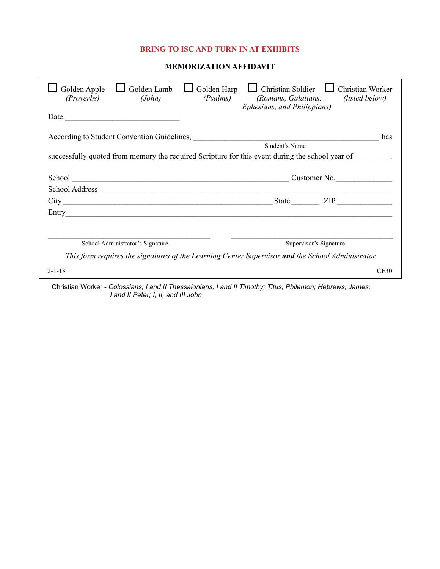#### **BRING TO ISC AND TURN IN AT EXHIBITS**

#### **MEMORIZATION AFFIDAVIT**

| Golden Lamb<br>Golden Harp<br>Golden Apple<br>(Proverbs)<br>(Psalms)<br>(John)                    | <b>Christian Soldier</b><br><b>Christian Worker</b><br>(listed below)<br>(Romans, Galatians,<br>Ephesians, and Philippians) |
|---------------------------------------------------------------------------------------------------|-----------------------------------------------------------------------------------------------------------------------------|
| Date                                                                                              |                                                                                                                             |
| According to Student Convention Guidelines, 2008. [1] According to Student Convention Guidelines, | has                                                                                                                         |
|                                                                                                   | Student's Name                                                                                                              |
| successfully quoted from memory the required Scripture for this event during the school year of   |                                                                                                                             |
|                                                                                                   | Customer No.                                                                                                                |
|                                                                                                   |                                                                                                                             |
|                                                                                                   | ZIP and the set of the set of the set of the set of the set of the set of the set of the set of the set of the<br>State     |
|                                                                                                   |                                                                                                                             |
|                                                                                                   |                                                                                                                             |
| School Administrator's Signature                                                                  | Supervisor's Signature                                                                                                      |
| This form requires the signatures of the Learning Center Supervisor and the School Administrator. |                                                                                                                             |
| $2 - 1 - 18$                                                                                      | CF30                                                                                                                        |
| .                                                                                                 |                                                                                                                             |

Christian Worker - *Colossians; I and II Thessalonians; I and II Timothy; Titus; Philemon; Hebrews; James; I and II Peter; I, II, and III John*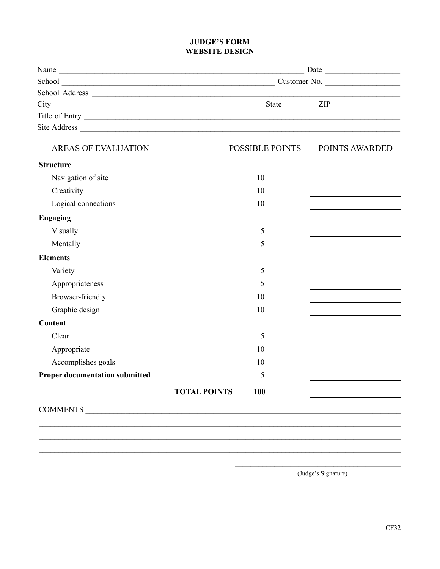#### **JUDGE'S FORM WEBSITE DESIGN**

| POSSIBLE POINTS                   | POINTS AWARDED    |
|-----------------------------------|-------------------|
|                                   |                   |
| 10                                |                   |
| 10                                |                   |
| 10                                |                   |
|                                   |                   |
| 5                                 |                   |
| 5                                 |                   |
|                                   |                   |
| 5                                 |                   |
| 5                                 |                   |
| 10                                |                   |
| 10                                |                   |
|                                   |                   |
| 5                                 |                   |
| 10                                |                   |
| 10                                |                   |
| 5                                 |                   |
| <b>TOTAL POINTS</b><br><b>100</b> |                   |
|                                   |                   |
|                                   |                   |
|                                   |                   |
|                                   | COMMENTS COMMENTS |

 $\_$  , and the set of the set of the set of the set of the set of the set of the set of the set of the set of the set of the set of the set of the set of the set of the set of the set of the set of the set of the set of th

\_\_\_\_\_\_\_\_\_\_\_\_\_\_\_\_\_\_\_\_\_\_\_\_\_\_\_\_\_\_\_\_\_\_\_\_\_\_\_\_\_\_ (Judge's Signature)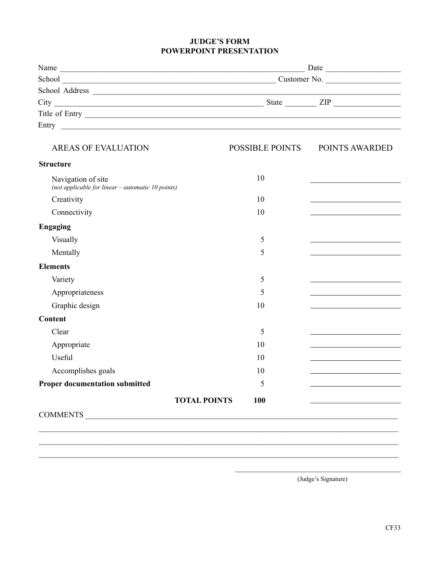#### **JUDGE'S FORM POWERPOINT PRESENTATION**

| <b>AREAS OF EVALUATION</b>                                                |                            | POSSIBLE POINTS POINTS AWARDED                                             |  |
|---------------------------------------------------------------------------|----------------------------|----------------------------------------------------------------------------|--|
| <b>Structure</b>                                                          |                            |                                                                            |  |
| Navigation of site<br>(not applicable for linear $-$ automatic 10 points) | 10                         |                                                                            |  |
| Creativity                                                                | 10                         | <u> 1989 - Johann Barn, mars ann an t-Amhain ann an t-A</u>                |  |
| Connectivity                                                              | 10                         |                                                                            |  |
| <b>Engaging</b>                                                           |                            |                                                                            |  |
| Visually                                                                  | 5                          |                                                                            |  |
| Mentally                                                                  | 5                          |                                                                            |  |
| <b>Elements</b>                                                           |                            |                                                                            |  |
| Variety                                                                   | 5                          | the control of the control of the control of the control of                |  |
| Appropriateness                                                           | 5                          | the control of the control of the control of the control of the control of |  |
| Graphic design                                                            | 10                         | the control of the control of the control of the control of the            |  |
| Content                                                                   |                            |                                                                            |  |
| Clear                                                                     | 5                          | <u> 1989 - Johann Stein, Amerikaansk politiker (</u>                       |  |
| Appropriate                                                               | 10                         |                                                                            |  |
| Useful                                                                    | 10                         |                                                                            |  |
| Accomplishes goals                                                        | 10                         |                                                                            |  |
| <b>Proper documentation submitted</b>                                     | 5                          |                                                                            |  |
|                                                                           | 100<br><b>TOTAL POINTS</b> |                                                                            |  |
|                                                                           |                            |                                                                            |  |
|                                                                           |                            |                                                                            |  |
|                                                                           |                            |                                                                            |  |
|                                                                           |                            |                                                                            |  |
|                                                                           |                            |                                                                            |  |

 $\mathcal{L}_\text{max}$  and  $\mathcal{L}_\text{max}$  and  $\mathcal{L}_\text{max}$  and  $\mathcal{L}_\text{max}$ (Judge's Signature)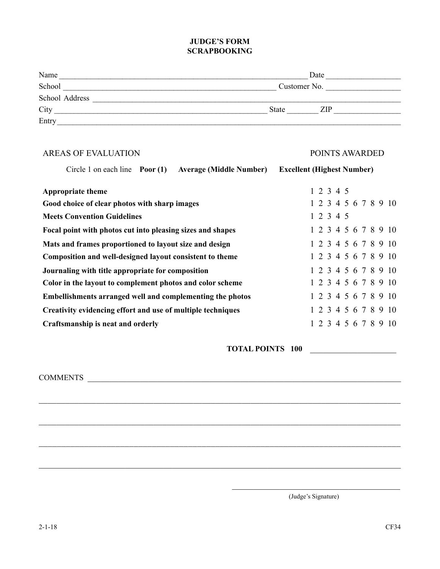#### **JUDGE'S FORM SCRAPBOOKING**

| Name           | Date         |
|----------------|--------------|
| School         | Customer No. |
| School Address |              |
| City           | State<br>ZIP |
| Entry          |              |

| <b>AREAS OF EVALUATION</b>                                                     | POINTS AWARDED                    |
|--------------------------------------------------------------------------------|-----------------------------------|
| Circle 1 on each line $\frac{P}{Q}$ Poor (1)<br><b>Average (Middle Number)</b> | <b>Excellent (Highest Number)</b> |
| <b>Appropriate theme</b>                                                       | 1 2 3 4 5                         |
| Good choice of clear photos with sharp images                                  | 1 2 3 4 5 6 7 8 9 10              |
| <b>Meets Convention Guidelines</b>                                             | 1 2 3 4 5                         |
| Focal point with photos cut into pleasing sizes and shapes                     | 1 2 3 4 5 6 7 8 9 10              |
| Mats and frames proportioned to layout size and design                         | 1 2 3 4 5 6 7 8 9 10              |
| Composition and well-designed layout consistent to theme                       | 1 2 3 4 5 6 7 8 9 10              |
| Journaling with title appropriate for composition                              | 1 2 3 4 5 6 7 8 9 10              |
| Color in the layout to complement photos and color scheme                      | 1 2 3 4 5 6 7 8 9 10              |
| Embellishments arranged well and complementing the photos                      | 1 2 3 4 5 6 7 8 9 10              |
| Creativity evidencing effort and use of multiple techniques                    | 1 2 3 4 5 6 7 8 9 10              |
| Craftsmanship is neat and orderly                                              | 1 2 3 4 5 6 7 8 9 10              |

 $\_$  ,  $\_$  ,  $\_$  ,  $\_$  ,  $\_$  ,  $\_$  ,  $\_$  ,  $\_$  ,  $\_$  ,  $\_$  ,  $\_$  ,  $\_$  ,  $\_$  ,  $\_$  ,  $\_$  ,  $\_$  ,  $\_$  ,  $\_$  ,  $\_$  ,  $\_$  ,  $\_$  ,  $\_$  ,  $\_$  ,  $\_$  ,  $\_$  ,  $\_$  ,  $\_$  ,  $\_$  ,  $\_$  ,  $\_$  ,  $\_$  ,  $\_$  ,  $\_$  ,  $\_$  ,  $\_$  ,  $\_$  ,  $\_$  ,

 $\_$  ,  $\_$  ,  $\_$  ,  $\_$  ,  $\_$  ,  $\_$  ,  $\_$  ,  $\_$  ,  $\_$  ,  $\_$  ,  $\_$  ,  $\_$  ,  $\_$  ,  $\_$  ,  $\_$  ,  $\_$  ,  $\_$  ,  $\_$  ,  $\_$  ,  $\_$  ,  $\_$  ,  $\_$  ,  $\_$  ,  $\_$  ,  $\_$  ,  $\_$  ,  $\_$  ,  $\_$  ,  $\_$  ,  $\_$  ,  $\_$  ,  $\_$  ,  $\_$  ,  $\_$  ,  $\_$  ,  $\_$  ,  $\_$  ,

\_\_\_\_\_\_\_\_\_\_\_\_\_\_\_\_\_\_\_\_\_\_\_\_\_\_\_\_\_\_\_\_\_\_\_\_\_\_\_\_\_\_\_\_\_\_\_\_\_\_\_\_\_\_\_\_\_\_\_\_\_\_\_\_\_\_\_\_\_\_\_\_\_\_\_\_\_\_\_\_

\_\_\_\_\_\_\_\_\_\_\_\_\_\_\_\_\_\_\_\_\_\_\_\_\_\_\_\_\_\_\_\_\_\_\_\_\_\_\_\_\_\_\_\_\_\_\_\_\_\_\_\_\_\_\_\_\_\_\_\_\_\_\_\_\_\_\_\_\_\_\_\_\_\_\_\_\_\_\_\_\_\_\_\_

**TOTAL POINTS 100** \_\_\_\_\_\_\_\_\_\_\_\_\_\_\_\_\_\_\_\_

COMMENTS \_\_\_\_\_\_\_\_\_\_\_\_\_\_\_\_\_\_\_\_\_\_\_\_\_\_\_\_\_\_\_\_\_\_\_\_\_\_\_\_\_\_\_\_\_\_\_\_\_\_\_\_\_\_\_\_\_\_\_\_\_\_\_\_\_\_\_\_\_\_\_\_

\_\_\_\_\_\_\_\_\_\_\_\_\_\_\_\_\_\_\_\_\_\_\_\_\_\_\_\_\_\_\_\_\_\_\_\_\_\_\_ (Judge's Signature)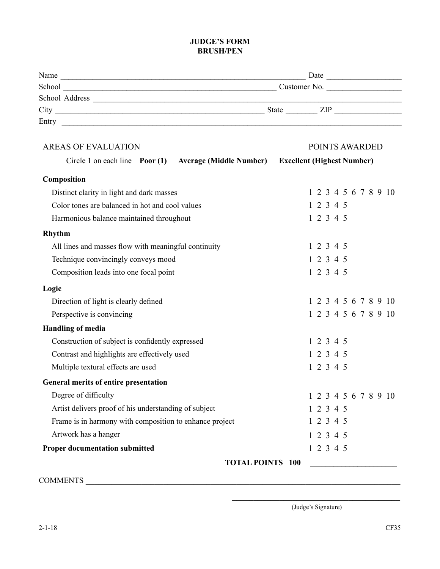#### **JUDGE'S FORM BRUSH/PEN**

| Name           | Date                |
|----------------|---------------------|
| School         | Customer No.        |
| School Address |                     |
| City           | <b>State</b><br>ZIP |
| Entry          |                     |

| <b>AREAS OF EVALUATION</b>                              |                                                        |                                   | POINTS AWARDED |  |  |  |                      |
|---------------------------------------------------------|--------------------------------------------------------|-----------------------------------|----------------|--|--|--|----------------------|
|                                                         | Circle 1 on each line Poor (1) Average (Middle Number) | <b>Excellent (Highest Number)</b> |                |  |  |  |                      |
| Composition                                             |                                                        |                                   |                |  |  |  |                      |
| Distinct clarity in light and dark masses               |                                                        |                                   |                |  |  |  | 1 2 3 4 5 6 7 8 9 10 |
| Color tones are balanced in hot and cool values         |                                                        |                                   | 12345          |  |  |  |                      |
| Harmonious balance maintained throughout                |                                                        |                                   | 12345          |  |  |  |                      |
| Rhythm                                                  |                                                        |                                   |                |  |  |  |                      |
| All lines and masses flow with meaningful continuity    |                                                        |                                   | 1 2 3 4 5      |  |  |  |                      |
| Technique convincingly conveys mood                     |                                                        |                                   | 12345          |  |  |  |                      |
| Composition leads into one focal point                  |                                                        |                                   | 1 2 3 4 5      |  |  |  |                      |
| Logic                                                   |                                                        |                                   |                |  |  |  |                      |
| Direction of light is clearly defined                   |                                                        |                                   |                |  |  |  | 1 2 3 4 5 6 7 8 9 10 |
| Perspective is convincing                               |                                                        |                                   |                |  |  |  | 1 2 3 4 5 6 7 8 9 10 |
| <b>Handling of media</b>                                |                                                        |                                   |                |  |  |  |                      |
| Construction of subject is confidently expressed        |                                                        |                                   | 1 2 3 4 5      |  |  |  |                      |
| Contrast and highlights are effectively used            |                                                        |                                   | 1 2 3 4 5      |  |  |  |                      |
| Multiple textural effects are used                      |                                                        |                                   | 12345          |  |  |  |                      |
| General merits of entire presentation                   |                                                        |                                   |                |  |  |  |                      |
| Degree of difficulty                                    |                                                        |                                   |                |  |  |  | 1 2 3 4 5 6 7 8 9 10 |
| Artist delivers proof of his understanding of subject   |                                                        |                                   | 1 2 3 4 5      |  |  |  |                      |
| Frame is in harmony with composition to enhance project |                                                        |                                   | 1 2 3 4 5      |  |  |  |                      |
| Artwork has a hanger                                    |                                                        |                                   | 1 2 3 4 5      |  |  |  |                      |
| <b>Proper documentation submitted</b>                   |                                                        |                                   | 1 2 3 4 5      |  |  |  |                      |
|                                                         | <b>TOTAL POINTS 100</b>                                |                                   |                |  |  |  |                      |

COMMENTS \_\_\_\_\_\_\_\_\_\_\_\_\_\_\_\_\_\_\_\_\_\_\_\_\_\_\_\_\_\_\_\_\_\_\_\_\_\_\_\_\_\_\_\_\_\_\_\_\_\_\_\_\_\_\_\_\_\_\_\_\_\_\_\_\_\_\_\_\_\_\_\_\_

\_\_\_\_\_\_\_\_\_\_\_\_\_\_\_\_\_\_\_\_\_\_\_\_\_\_\_\_\_\_\_\_\_\_\_\_\_\_\_ (Judge's Signature)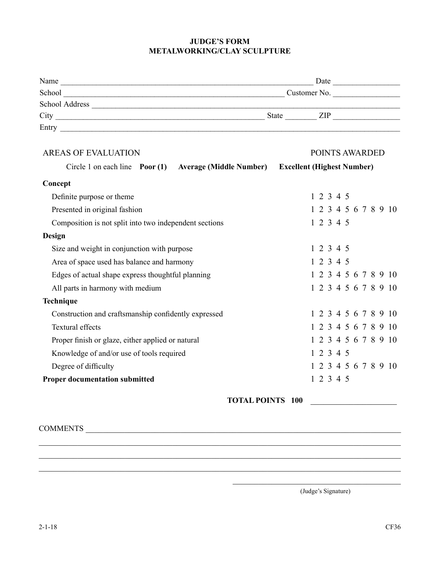#### **JUDGE'S FORM METALWORKING/CLAY SCULPTURE**

| Name           | Date                 |
|----------------|----------------------|
| School         | Customer No.         |
| School Address |                      |
| City           | <b>State</b><br>7.IP |
| Entry          |                      |

| <b>AREAS OF EVALUATION</b>                             | POINTS AWARDED                    |
|--------------------------------------------------------|-----------------------------------|
| Circle 1 on each line Poor (1) Average (Middle Number) | <b>Excellent (Highest Number)</b> |
| Concept                                                |                                   |
| Definite purpose or theme                              | 1 2 3 4 5                         |
| Presented in original fashion                          | 1 2 3 4 5 6 7 8 9 10              |
| Composition is not split into two independent sections | 1 2 3 4 5                         |
| Design                                                 |                                   |
| Size and weight in conjunction with purpose            | 1 2 3 4 5                         |
| Area of space used has balance and harmony             | 1 2 3 4 5                         |
| Edges of actual shape express thoughtful planning      | 1 2 3 4 5 6 7 8 9 10              |
| All parts in harmony with medium                       | 1 2 3 4 5 6 7 8 9 10              |
| Technique                                              |                                   |
| Construction and craftsmanship confidently expressed   | 1 2 3 4 5 6 7 8 9 10              |
| <b>Textural effects</b>                                | 1 2 3 4 5 6 7 8 9 10              |
| Proper finish or glaze, either applied or natural      | 1 2 3 4 5 6 7 8 9 10              |
| Knowledge of and/or use of tools required              | 12345                             |
| Degree of difficulty                                   | 1 2 3 4 5 6 7 8 9 10              |
| <b>Proper documentation submitted</b>                  | 1 2 3 4 5                         |

\_\_\_\_\_\_\_\_\_\_\_\_\_\_\_\_\_\_\_\_\_\_\_\_\_\_\_\_\_\_\_\_\_\_\_\_\_\_\_\_\_\_\_\_\_\_\_\_\_\_\_\_\_\_\_\_\_\_\_\_\_\_\_\_\_\_\_\_\_\_\_\_\_\_\_\_\_\_\_\_\_\_\_\_ \_\_\_\_\_\_\_\_\_\_\_\_\_\_\_\_\_\_\_\_\_\_\_\_\_\_\_\_\_\_\_\_\_\_\_\_\_\_\_\_\_\_\_\_\_\_\_\_\_\_\_\_\_\_\_\_\_\_\_\_\_\_\_\_\_\_\_\_\_\_\_\_\_\_\_\_\_\_\_\_\_\_\_\_ \_\_\_\_\_\_\_\_\_\_\_\_\_\_\_\_\_\_\_\_\_\_\_\_\_\_\_\_\_\_\_\_\_\_\_\_\_\_\_\_\_\_\_\_\_\_\_\_\_\_\_\_\_\_\_\_\_\_\_\_\_\_\_\_\_\_\_\_\_\_\_\_\_\_\_\_\_\_\_\_\_\_\_\_

**TOTAL POINTS 100** \_\_\_\_\_\_\_\_\_\_\_\_\_\_\_\_\_\_\_\_

COMMENTS \_\_\_\_\_\_\_\_\_\_\_\_\_\_\_\_\_\_\_\_\_\_\_\_\_\_\_\_\_\_\_\_\_\_\_\_\_\_\_\_\_\_\_\_\_\_\_\_\_\_\_\_\_\_\_\_\_\_\_\_\_\_\_\_\_\_\_\_\_\_\_\_\_

(Judge's Signature)

\_\_\_\_\_\_\_\_\_\_\_\_\_\_\_\_\_\_\_\_\_\_\_\_\_\_\_\_\_\_\_\_\_\_\_\_\_\_\_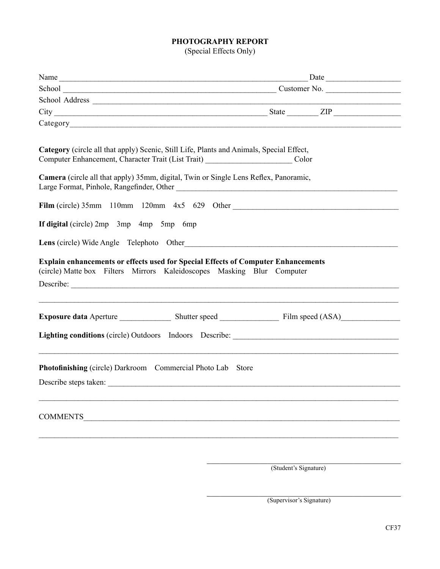#### **PHOTOGRAPHY REPORT**

(Special Effects Only)

| Category (circle all that apply) Scenic, Still Life, Plants and Animals, Special Effect,<br>Computer Enhancement, Character Trait (List Trait) ___________________________Color |                                                                                   |
|---------------------------------------------------------------------------------------------------------------------------------------------------------------------------------|-----------------------------------------------------------------------------------|
| Camera (circle all that apply) 35mm, digital, Twin or Single Lens Reflex, Panoramic,<br>Large Format, Pinhole, Rangefinder, Other                                               |                                                                                   |
|                                                                                                                                                                                 | Film (circle) 35mm 110mm 120mm 4x5 629 Other                                      |
| If digital (circle) 2mp 3mp 4mp 5mp 6mp                                                                                                                                         |                                                                                   |
| Lens (circle) Wide Angle Telephoto Other                                                                                                                                        |                                                                                   |
| <b>Explain enhancements or effects used for Special Effects of Computer Enhancements</b><br>(circle) Matte box Filters Mirrors Kaleidoscopes Masking Blur Computer              |                                                                                   |
|                                                                                                                                                                                 | Lighting conditions (circle) Outdoors Indoors Describe: _________________________ |
|                                                                                                                                                                                 |                                                                                   |
| Photofinishing (circle) Darkroom Commercial Photo Lab Store<br>Describe steps taken:                                                                                            |                                                                                   |
|                                                                                                                                                                                 |                                                                                   |
|                                                                                                                                                                                 |                                                                                   |
|                                                                                                                                                                                 |                                                                                   |

\_\_\_\_\_\_\_\_\_\_\_\_\_\_\_\_\_\_\_\_\_\_\_\_\_\_\_\_\_\_\_\_\_\_\_\_\_\_\_\_\_\_\_\_\_ (Student's Signature)

\_\_\_\_\_\_\_\_\_\_\_\_\_\_\_\_\_\_\_\_\_\_\_\_\_\_\_\_\_\_\_\_\_\_\_\_\_\_\_\_\_\_\_\_\_ (Supervisor's Signature)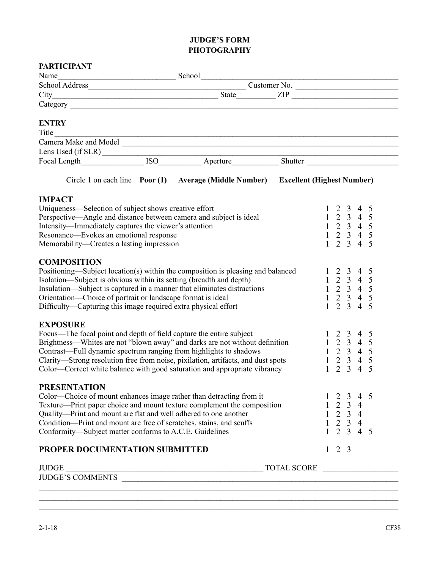#### **JUDGE'S FORM PHOTOGRAPHY**

| <b>PARTICIPANT</b>                                                                                                                                                                                                                                                                                    |                                                                                                                                                                                                                                              |              |                                                                                                                                                                               |                          |
|-------------------------------------------------------------------------------------------------------------------------------------------------------------------------------------------------------------------------------------------------------------------------------------------------------|----------------------------------------------------------------------------------------------------------------------------------------------------------------------------------------------------------------------------------------------|--------------|-------------------------------------------------------------------------------------------------------------------------------------------------------------------------------|--------------------------|
|                                                                                                                                                                                                                                                                                                       | Name<br>School Address<br>City<br>City<br>City<br>City<br>City<br>City<br>City                                                                                                                                                               |              |                                                                                                                                                                               |                          |
|                                                                                                                                                                                                                                                                                                       |                                                                                                                                                                                                                                              |              |                                                                                                                                                                               |                          |
|                                                                                                                                                                                                                                                                                                       |                                                                                                                                                                                                                                              | ZIP          |                                                                                                                                                                               |                          |
|                                                                                                                                                                                                                                                                                                       |                                                                                                                                                                                                                                              |              |                                                                                                                                                                               |                          |
| <b>ENTRY</b>                                                                                                                                                                                                                                                                                          |                                                                                                                                                                                                                                              |              |                                                                                                                                                                               |                          |
| Title                                                                                                                                                                                                                                                                                                 |                                                                                                                                                                                                                                              |              |                                                                                                                                                                               |                          |
|                                                                                                                                                                                                                                                                                                       |                                                                                                                                                                                                                                              |              |                                                                                                                                                                               |                          |
|                                                                                                                                                                                                                                                                                                       |                                                                                                                                                                                                                                              |              |                                                                                                                                                                               |                          |
|                                                                                                                                                                                                                                                                                                       |                                                                                                                                                                                                                                              |              |                                                                                                                                                                               |                          |
|                                                                                                                                                                                                                                                                                                       | Circle 1 on each line Poor (1) Average (Middle Number) Excellent (Highest Number)                                                                                                                                                            |              |                                                                                                                                                                               |                          |
| <b>IMPACT</b>                                                                                                                                                                                                                                                                                         |                                                                                                                                                                                                                                              |              |                                                                                                                                                                               |                          |
| Uniqueness—Selection of subject shows creative effort<br>Perspective—Angle and distance between camera and subject is ideal<br>Intensity—Immediately captures the viewer's attention<br>Resonance—Evokes an emotional response<br>Memorability—Creates a lasting impression                           |                                                                                                                                                                                                                                              | $\mathbf{1}$ | $\begin{array}{ccc} 1 & 2 & 3 & 4 \\ 1 & 2 & 3 & 4 \end{array}$<br>$\begin{array}{rrrr} 1 & 2 & 3 & 4 & 5 \\ 1 & 2 & 3 & 4 & 5 \end{array}$<br>$2 \t3 \t4$                    | $\overline{5}$<br>5<br>5 |
| <b>COMPOSITION</b><br>Isolation—Subject is obvious within its setting (breadth and depth)<br>Insulation—Subject is captured in a manner that eliminates distractions<br>Orientation-Choice of portrait or landscape format is ideal<br>Difficulty—Capturing this image required extra physical effort | Positioning—Subject location(s) within the composition is pleasing and balanced                                                                                                                                                              |              | $\begin{array}{cccccc} 1 & 2 & 3 & 4 & 5 \\ 1 & 2 & 3 & 4 & 5 \end{array}$<br>$\begin{array}{rrrr} 1 & 2 & 3 & 4 & 5 \\ 1 & 2 & 3 & 4 & 5 \end{array}$<br>$1 \t2 \t3 \t4 \t5$ |                          |
| <b>EXPOSURE</b><br>Focus—The focal point and depth of field capture the entire subject<br>Contrast—Full dynamic spectrum ranging from highlights to shadows                                                                                                                                           | Brightness—Whites are not "blown away" and darks are not without definition<br>Clarity—Strong resolution free from noise, pixilation, artifacts, and dust spots<br>Color—Correct white balance with good saturation and appropriate vibrancy | $\mathbf{1}$ | $1 \t2 \t3 \t4$<br>$1 \t2 \t3 \t4$<br>$\begin{array}{rrrr} 1 & 2 & 3 & 4 & 5 \\ 1 & 2 & 3 & 4 & 5 \end{array}$<br>$2 \t3 \t4$                                                 | $\overline{5}$<br>5<br>5 |
| <b>PRESENTATION</b><br>Color—Choice of mount enhances image rather than detracting from it<br>Quality-Print and mount are flat and well adhered to one another<br>Condition-Print and mount are free of scratches, stains, and scuffs<br>Conformity—Subject matter conforms to A.C.E. Guidelines      | Texture—Print paper choice and mount texture complement the composition                                                                                                                                                                      |              | $\overline{4}$<br>3<br>$\begin{array}{rrrr} 1 & 2 & 3 & 4 \\ 1 & 2 & 3 & 4 \end{array}$<br>$1 \t2 \t3 \t4$<br>$1 \t2 \t3 \t4 \t5$                                             | -5                       |
| PROPER DOCUMENTATION SUBMITTED                                                                                                                                                                                                                                                                        |                                                                                                                                                                                                                                              |              | $1\quad 2\quad 3$                                                                                                                                                             |                          |
|                                                                                                                                                                                                                                                                                                       |                                                                                                                                                                                                                                              |              |                                                                                                                                                                               |                          |

 $\mathcal{L}_\mathcal{L} = \mathcal{L}_\mathcal{L} = \mathcal{L}_\mathcal{L} = \mathcal{L}_\mathcal{L} = \mathcal{L}_\mathcal{L} = \mathcal{L}_\mathcal{L} = \mathcal{L}_\mathcal{L} = \mathcal{L}_\mathcal{L} = \mathcal{L}_\mathcal{L} = \mathcal{L}_\mathcal{L} = \mathcal{L}_\mathcal{L} = \mathcal{L}_\mathcal{L} = \mathcal{L}_\mathcal{L} = \mathcal{L}_\mathcal{L} = \mathcal{L}_\mathcal{L} = \mathcal{L}_\mathcal{L} = \mathcal{L}_\mathcal{L}$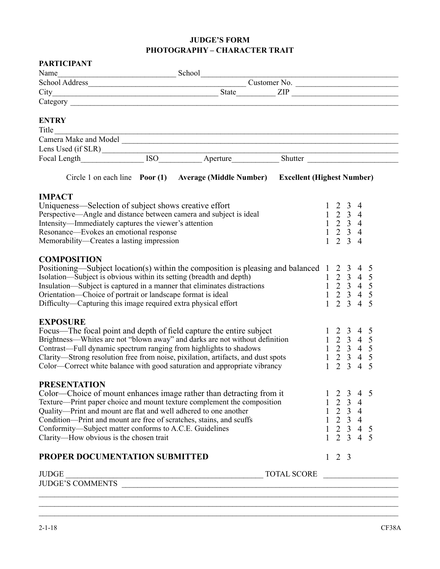#### **JUDGE'S FORM PHOTOGRAPHY – CHARACTER TRAIT**

| <b>PARTICIPANT</b>                                                  |                                                                                                                                                                                                                                      |              |                   |                 |                                                                                                                                             |                |
|---------------------------------------------------------------------|--------------------------------------------------------------------------------------------------------------------------------------------------------------------------------------------------------------------------------------|--------------|-------------------|-----------------|---------------------------------------------------------------------------------------------------------------------------------------------|----------------|
| Name                                                                |                                                                                                                                                                                                                                      |              |                   |                 |                                                                                                                                             |                |
|                                                                     |                                                                                                                                                                                                                                      |              |                   |                 |                                                                                                                                             |                |
|                                                                     |                                                                                                                                                                                                                                      |              |                   |                 |                                                                                                                                             |                |
|                                                                     |                                                                                                                                                                                                                                      |              |                   |                 |                                                                                                                                             |                |
| <b>ENTRY</b>                                                        |                                                                                                                                                                                                                                      |              |                   |                 |                                                                                                                                             |                |
| Title                                                               |                                                                                                                                                                                                                                      |              |                   |                 |                                                                                                                                             |                |
|                                                                     | Title<br>Camera Make and Model                                                                                                                                                                                                       |              |                   |                 |                                                                                                                                             |                |
|                                                                     |                                                                                                                                                                                                                                      |              |                   |                 |                                                                                                                                             |                |
|                                                                     |                                                                                                                                                                                                                                      |              |                   |                 |                                                                                                                                             |                |
|                                                                     | Circle 1 on each line Poor (1) Average (Middle Number) Excellent (Highest Number)                                                                                                                                                    |              |                   |                 |                                                                                                                                             |                |
| <b>IMPACT</b>                                                       |                                                                                                                                                                                                                                      |              |                   |                 |                                                                                                                                             |                |
| Uniqueness—Selection of subject shows creative effort               |                                                                                                                                                                                                                                      |              |                   | $1 \t2 \t3 \t4$ |                                                                                                                                             |                |
| Perspective—Angle and distance between camera and subject is ideal  |                                                                                                                                                                                                                                      |              |                   | $1 \t2 \t3 \t4$ |                                                                                                                                             |                |
| Intensity—Immediately captures the viewer's attention               |                                                                                                                                                                                                                                      |              |                   | $1 \t2 \t3 \t4$ |                                                                                                                                             |                |
| Resonance—Evokes an emotional response                              |                                                                                                                                                                                                                                      |              |                   | $1 \t2 \t3 \t4$ |                                                                                                                                             |                |
| Memorability—Creates a lasting impression                           |                                                                                                                                                                                                                                      | $\mathbf{1}$ |                   | $2 \t3 \t4$     |                                                                                                                                             |                |
| <b>COMPOSITION</b>                                                  |                                                                                                                                                                                                                                      |              |                   |                 |                                                                                                                                             |                |
|                                                                     | Positioning—Subject location(s) within the composition is pleasing and balanced 1 2 3 4<br>Isolation—Subject is obvious within its setting (breadth and depth) 1 2 3 4<br>Insulation—Subject is captured in a manner that eliminates |              |                   |                 |                                                                                                                                             | $\overline{5}$ |
|                                                                     |                                                                                                                                                                                                                                      |              |                   |                 |                                                                                                                                             | 5              |
|                                                                     |                                                                                                                                                                                                                                      |              |                   |                 |                                                                                                                                             | $\frac{5}{5}$  |
|                                                                     |                                                                                                                                                                                                                                      |              |                   |                 |                                                                                                                                             |                |
| Difficulty—Capturing this image required extra physical effort      |                                                                                                                                                                                                                                      |              | $1\quad 2$        | $\mathcal{E}$   | $\overline{4}$                                                                                                                              | 5              |
| <b>EXPOSURE</b>                                                     |                                                                                                                                                                                                                                      |              |                   |                 |                                                                                                                                             |                |
|                                                                     | Focus—The focal point and depth of field capture the entire subject                                                                                                                                                                  |              |                   |                 | $1 \t2 \t3 \t4 \t5$                                                                                                                         |                |
|                                                                     | Brightness-Whites are not "blown away" and darks are not without definition                                                                                                                                                          |              |                   |                 |                                                                                                                                             |                |
| Contrast—Full dynamic spectrum ranging from highlights to shadows   |                                                                                                                                                                                                                                      |              |                   |                 |                                                                                                                                             |                |
|                                                                     | Clarity—Strong resolution free from noise, pixilation, artifacts, and dust spots                                                                                                                                                     |              |                   |                 |                                                                                                                                             |                |
|                                                                     | Color—Correct white balance with good saturation and appropriate vibrancy                                                                                                                                                            |              |                   |                 | $\begin{array}{cccccc}\n1 & 2 & 3 & 4 & 5 \\ 1 & 2 & 3 & 4 & 5 \\ 1 & 2 & 3 & 4 & 5 \\ 1 & 2 & 3 & 4 & 5 \\ 1 & 2 & 3 & 4 & 5\n\end{array}$ |                |
| <b>PRESENTATION</b>                                                 |                                                                                                                                                                                                                                      |              |                   |                 |                                                                                                                                             |                |
|                                                                     | Color—Choice of mount enhances image rather than detracting from it                                                                                                                                                                  |              |                   | 3               | 4                                                                                                                                           | -5             |
|                                                                     | Texture—Print paper choice and mount texture complement the composition                                                                                                                                                              |              |                   | $1 \t2 \t3 \t4$ |                                                                                                                                             |                |
| Quality-Print and mount are flat and well adhered to one another    |                                                                                                                                                                                                                                      |              |                   | $1 \t2 \t3 \t4$ |                                                                                                                                             |                |
| Condition-Print and mount are free of scratches, stains, and scuffs |                                                                                                                                                                                                                                      |              |                   |                 | $1 \t2 \t3 \t4$                                                                                                                             |                |
| Conformity—Subject matter conforms to A.C.E. Guidelines             |                                                                                                                                                                                                                                      |              |                   |                 | $1 \t2 \t3 \t4 \t5$                                                                                                                         |                |
| Clarity-How obvious is the chosen trait                             |                                                                                                                                                                                                                                      |              |                   |                 | $1 \t2 \t3 \t4$                                                                                                                             | 5              |
| PROPER DOCUMENTATION SUBMITTED                                      |                                                                                                                                                                                                                                      |              | $1\quad 2\quad 3$ |                 |                                                                                                                                             |                |
|                                                                     |                                                                                                                                                                                                                                      |              |                   |                 |                                                                                                                                             |                |
| <b>JUDGE</b>                                                        |                                                                                                                                                                                                                                      |              |                   |                 |                                                                                                                                             |                |

 $\_$  , and the set of the set of the set of the set of the set of the set of the set of the set of the set of the set of the set of the set of the set of the set of the set of the set of the set of the set of the set of th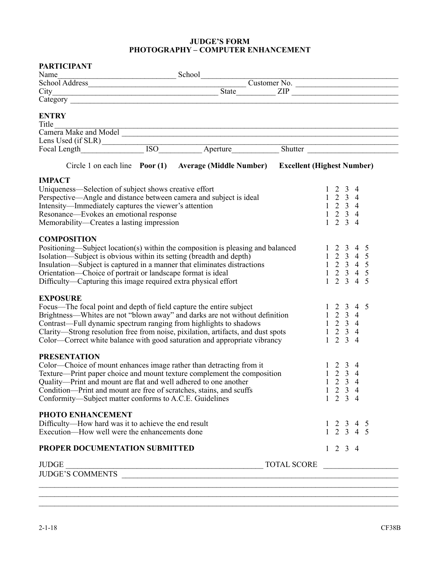#### **JUDGE'S FORM PHOTOGRAPHY – COMPUTER ENHANCEMENT**

| <b>PARTICIPANT</b>                                                                                                                                            |                                                                                   |                  |              |                                    |                |                                                                              |  |
|---------------------------------------------------------------------------------------------------------------------------------------------------------------|-----------------------------------------------------------------------------------|------------------|--------------|------------------------------------|----------------|------------------------------------------------------------------------------|--|
|                                                                                                                                                               |                                                                                   |                  |              |                                    |                |                                                                              |  |
|                                                                                                                                                               |                                                                                   | Customer No.     |              |                                    |                |                                                                              |  |
|                                                                                                                                                               |                                                                                   | State <u>ZIP</u> |              |                                    |                |                                                                              |  |
|                                                                                                                                                               |                                                                                   |                  |              |                                    |                |                                                                              |  |
| <b>ENTRY</b>                                                                                                                                                  |                                                                                   |                  |              |                                    |                |                                                                              |  |
| Title<br>Title<br>Camera Make and Model                                                                                                                       |                                                                                   |                  |              |                                    |                |                                                                              |  |
|                                                                                                                                                               |                                                                                   |                  |              |                                    |                |                                                                              |  |
|                                                                                                                                                               |                                                                                   |                  |              |                                    |                |                                                                              |  |
|                                                                                                                                                               |                                                                                   |                  |              |                                    |                |                                                                              |  |
|                                                                                                                                                               | Circle 1 on each line Poor (1) Average (Middle Number) Excellent (Highest Number) |                  |              |                                    |                |                                                                              |  |
| <b>IMPACT</b>                                                                                                                                                 |                                                                                   |                  |              |                                    |                |                                                                              |  |
| Uniqueness—Selection of subject shows creative effort                                                                                                         |                                                                                   |                  |              |                                    | $\overline{3}$ | -4                                                                           |  |
| Perspective—Angle and distance between camera and subject is ideal                                                                                            |                                                                                   |                  |              | $1 \t2 \t3 \t4$                    |                |                                                                              |  |
| Intensity—Immediately captures the viewer's attention                                                                                                         |                                                                                   |                  |              | $1 \t2 \t3 \t4$                    |                |                                                                              |  |
| Resonance—Evokes an emotional response                                                                                                                        |                                                                                   |                  |              | $1 \t2 \t3 \t4$                    |                |                                                                              |  |
| Memorability—Creates a lasting impression                                                                                                                     |                                                                                   |                  |              | $1 \t2 \t3 \t4$                    |                |                                                                              |  |
| <b>COMPOSITION</b>                                                                                                                                            |                                                                                   |                  |              |                                    |                |                                                                              |  |
| Positioning—Subject location(s) within the composition is pleasing and balanced                                                                               |                                                                                   |                  |              | 2 3                                |                | 4 5                                                                          |  |
| Isolation—Subject is obvious within its setting (breadth and depth)                                                                                           |                                                                                   |                  |              |                                    |                | $1 \t2 \t3 \t4 \t5$                                                          |  |
| Insulation—Subject is captured in a manner that eliminates distractions                                                                                       |                                                                                   |                  |              |                                    |                | $1 \t2 \t3 \t4 \t5$                                                          |  |
| Orientation—Choice of portrait or landscape format is ideal                                                                                                   |                                                                                   |                  |              |                                    |                | $1 \t2 \t3 \t4 \t5$                                                          |  |
| Difficulty—Capturing this image required extra physical effort                                                                                                |                                                                                   |                  | $\mathbf{1}$ |                                    |                | 2 3 4 5                                                                      |  |
|                                                                                                                                                               |                                                                                   |                  |              |                                    |                |                                                                              |  |
| <b>EXPOSURE</b>                                                                                                                                               |                                                                                   |                  |              |                                    |                |                                                                              |  |
| Focus—The focal point and depth of field capture the entire subject                                                                                           |                                                                                   |                  |              |                                    |                | 2 3 4 5                                                                      |  |
| Brightness—Whites are not "blown away" and darks are not without definition                                                                                   |                                                                                   |                  | $\mathbf{1}$ |                                    | $2 \t3 \t4$    |                                                                              |  |
| Contrast-Full dynamic spectrum ranging from highlights to shadows                                                                                             |                                                                                   |                  |              | $1 \t2 \t3 \t4$                    |                |                                                                              |  |
| Clarity—Strong resolution free from noise, pixilation, artifacts, and dust spots<br>Color—Correct white balance with good saturation and appropriate vibrancy |                                                                                   |                  |              | $1 \t2 \t3 \t4$<br>$1 \t2 \t3 \t4$ |                |                                                                              |  |
|                                                                                                                                                               |                                                                                   |                  |              |                                    |                |                                                                              |  |
| <b>PRESENTATION</b>                                                                                                                                           |                                                                                   |                  |              |                                    |                |                                                                              |  |
| Color—Choice of mount enhances image rather than detracting from it                                                                                           |                                                                                   |                  |              | $1\quad 2$                         | $\overline{3}$ | $\overline{4}$                                                               |  |
| Texture—Print paper choice and mount texture complement the composition                                                                                       |                                                                                   |                  |              | $1 \t2 \t3 \t4$                    |                |                                                                              |  |
| Quality—Print and mount are flat and well adhered to one another                                                                                              |                                                                                   |                  |              | $1 \t2 \t3 \t4$                    |                |                                                                              |  |
| Condition-Print and mount are free of scratches, stains, and scuffs                                                                                           |                                                                                   |                  |              | $1 \t2 \t3 \t4$                    |                |                                                                              |  |
| Conformity—Subject matter conforms to A.C.E. Guidelines                                                                                                       |                                                                                   |                  |              | $1 \t2 \t3 \t4$                    |                |                                                                              |  |
| PHOTO ENHANCEMENT                                                                                                                                             |                                                                                   |                  |              |                                    |                |                                                                              |  |
| Difficulty-How hard was it to achieve the end result                                                                                                          |                                                                                   |                  |              |                                    |                |                                                                              |  |
| Execution—How well were the enhancements done                                                                                                                 |                                                                                   |                  |              |                                    |                | $\begin{array}{cccccc}\n1 & 2 & 3 & 4 & 5 \\ 1 & 2 & 3 & 4 & 5\n\end{array}$ |  |
| PROPER DOCUMENTATION SUBMITTED                                                                                                                                |                                                                                   |                  |              | $1 \t2 \t3 \t4$                    |                |                                                                              |  |
|                                                                                                                                                               |                                                                                   |                  |              |                                    |                |                                                                              |  |
|                                                                                                                                                               |                                                                                   |                  |              |                                    |                |                                                                              |  |
|                                                                                                                                                               |                                                                                   |                  |              |                                    |                |                                                                              |  |
|                                                                                                                                                               |                                                                                   |                  |              |                                    |                |                                                                              |  |

 $\_$  $\_$  , and the set of the set of the set of the set of the set of the set of the set of the set of the set of the set of the set of the set of the set of the set of the set of the set of the set of the set of the set of th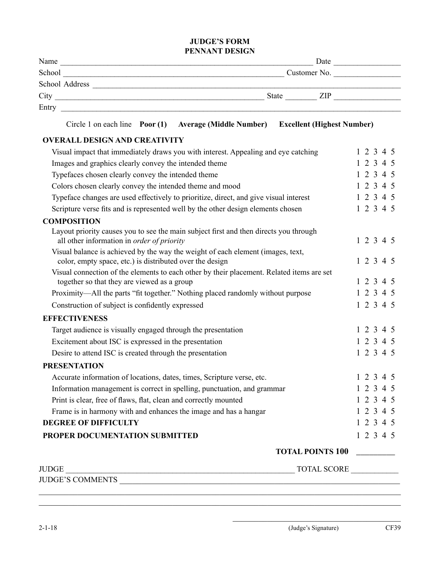#### **JUDGE'S FORM Pennant Design**

| Name           | Date                |
|----------------|---------------------|
| School         | Customer No.        |
| School Address |                     |
| City           | <b>State</b><br>ZIP |
| Entry          |                     |

#### Circle 1 on each line **Poor (1) Average (Middle Number) Excellent (Highest Number)**

#### **OVERALL DESIGN AND CREATIVITY**

| Visual impact that immediately draws you with interest. Appealing and eye catching                                                          |  |  | 12345     |
|---------------------------------------------------------------------------------------------------------------------------------------------|--|--|-----------|
| Images and graphics clearly convey the intended theme                                                                                       |  |  | 12345     |
| Typefaces chosen clearly convey the intended theme                                                                                          |  |  | 12345     |
| Colors chosen clearly convey the intended theme and mood                                                                                    |  |  | 12345     |
| Typeface changes are used effectively to prioritize, direct, and give visual interest                                                       |  |  | 12345     |
| Scripture verse fits and is represented well by the other design elements chosen                                                            |  |  | 1 2 3 4 5 |
| <b>COMPOSITION</b>                                                                                                                          |  |  |           |
| Layout priority causes you to see the main subject first and then directs you through<br>all other information in order of priority         |  |  | 12345     |
| Visual balance is achieved by the way the weight of each element (images, text,<br>color, empty space, etc.) is distributed over the design |  |  | 1 2 3 4 5 |
| Visual connection of the elements to each other by their placement. Related items are set<br>together so that they are viewed as a group    |  |  | 12345     |
| Proximity—All the parts "fit together." Nothing placed randomly without purpose                                                             |  |  | 12345     |
| Construction of subject is confidently expressed                                                                                            |  |  | 1 2 3 4 5 |
| <b>EFFECTIVENESS</b>                                                                                                                        |  |  |           |
| Target audience is visually engaged through the presentation                                                                                |  |  | 1 2 3 4 5 |
| Excitement about ISC is expressed in the presentation                                                                                       |  |  | 12345     |
| Desire to attend ISC is created through the presentation                                                                                    |  |  | 12345     |
| <b>PRESENTATION</b>                                                                                                                         |  |  |           |
| Accurate information of locations, dates, times, Scripture verse, etc.                                                                      |  |  | 1 2 3 4 5 |
| Information management is correct in spelling, punctuation, and grammar                                                                     |  |  | 12345     |
| Print is clear, free of flaws, flat, clean and correctly mounted                                                                            |  |  | 12345     |
| Frame is in harmony with and enhances the image and has a hangar                                                                            |  |  | 12345     |
| <b>DEGREE OF DIFFICULTY</b>                                                                                                                 |  |  | 1 2 3 4 5 |
| PROPER DOCUMENTATION SUBMITTED                                                                                                              |  |  | 12345     |
| <b>TOTAL POINTS 100</b>                                                                                                                     |  |  |           |
| TOTAL SCORE<br><b>JUDGE</b>                                                                                                                 |  |  |           |
| <u> 1989 - Jan James James Barnett, martin de la provincia de la provincia de la provincia de la provincia de la</u><br>JUDGE'S COMMENTS    |  |  |           |

 $\mathcal{L}_\mathcal{L} = \{ \mathcal{L}_\mathcal{L} = \{ \mathcal{L}_\mathcal{L} = \{ \mathcal{L}_\mathcal{L} = \{ \mathcal{L}_\mathcal{L} = \{ \mathcal{L}_\mathcal{L} = \{ \mathcal{L}_\mathcal{L} = \{ \mathcal{L}_\mathcal{L} = \{ \mathcal{L}_\mathcal{L} = \{ \mathcal{L}_\mathcal{L} = \{ \mathcal{L}_\mathcal{L} = \{ \mathcal{L}_\mathcal{L} = \{ \mathcal{L}_\mathcal{L} = \{ \mathcal{L}_\mathcal{L} = \{ \mathcal{L}_\mathcal{$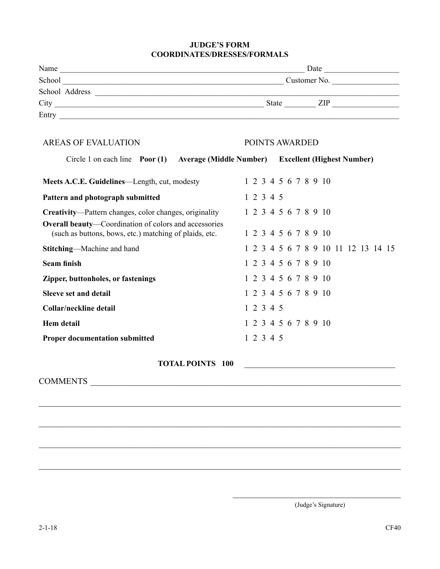#### **JUDGE'S FORM COORDINATES/DRESSES/FORMALS**

| $City$ $III$                                                                                                    |  |  |  |           |                |  |  |  |                      |                                     |  |
|-----------------------------------------------------------------------------------------------------------------|--|--|--|-----------|----------------|--|--|--|----------------------|-------------------------------------|--|
|                                                                                                                 |  |  |  |           |                |  |  |  |                      |                                     |  |
| <b>AREAS OF EVALUATION</b>                                                                                      |  |  |  |           | POINTS AWARDED |  |  |  |                      |                                     |  |
| Circle 1 on each line Poor (1) Average (Middle Number) Excellent (Highest Number)                               |  |  |  |           |                |  |  |  |                      |                                     |  |
| Meets A.C.E. Guidelines—Length, cut, modesty                                                                    |  |  |  |           |                |  |  |  | 1 2 3 4 5 6 7 8 9 10 |                                     |  |
| Pattern and photograph submitted                                                                                |  |  |  | 1 2 3 4 5 |                |  |  |  |                      |                                     |  |
| Creativity—Pattern changes, color changes, originality                                                          |  |  |  |           |                |  |  |  | 1 2 3 4 5 6 7 8 9 10 |                                     |  |
| Overall beauty-Coordination of colors and accessories<br>(such as buttons, bows, etc.) matching of plaids, etc. |  |  |  |           |                |  |  |  | 1 2 3 4 5 6 7 8 9 10 |                                     |  |
| Stitching-Machine and hand                                                                                      |  |  |  |           |                |  |  |  |                      | 1 2 3 4 5 6 7 8 9 10 11 12 13 14 15 |  |
| <b>Seam finish</b>                                                                                              |  |  |  |           |                |  |  |  | 1 2 3 4 5 6 7 8 9 10 |                                     |  |
| Zipper, buttonholes, or fastenings                                                                              |  |  |  |           |                |  |  |  | 1 2 3 4 5 6 7 8 9 10 |                                     |  |
| <b>Sleeve set and detail</b>                                                                                    |  |  |  |           |                |  |  |  | 1 2 3 4 5 6 7 8 9 10 |                                     |  |
| <b>Collar/neckline detail</b>                                                                                   |  |  |  | 1 2 3 4 5 |                |  |  |  |                      |                                     |  |
| <b>Hem</b> detail                                                                                               |  |  |  |           |                |  |  |  | 1 2 3 4 5 6 7 8 9 10 |                                     |  |
| <b>Proper documentation submitted</b>                                                                           |  |  |  | 12345     |                |  |  |  |                      |                                     |  |
| <b>TOTAL POINTS 100</b>                                                                                         |  |  |  |           |                |  |  |  |                      |                                     |  |
| COMMENTS COMMENTS                                                                                               |  |  |  |           |                |  |  |  |                      |                                     |  |
|                                                                                                                 |  |  |  |           |                |  |  |  |                      |                                     |  |
|                                                                                                                 |  |  |  |           |                |  |  |  |                      |                                     |  |

\_\_\_\_\_\_\_\_\_\_\_\_\_\_\_\_\_\_\_\_\_\_\_\_\_\_\_\_\_\_\_\_\_\_\_\_\_\_\_\_\_\_\_\_\_\_\_\_\_\_\_\_\_\_\_\_\_\_\_\_\_\_\_\_\_\_\_\_\_\_\_\_\_\_\_\_\_\_\_\_\_\_\_\_

\_\_\_\_\_\_\_\_\_\_\_\_\_\_\_\_\_\_\_\_\_\_\_\_\_\_\_\_\_\_\_\_\_\_\_\_\_\_\_\_\_\_\_\_\_\_\_\_\_\_\_\_\_\_\_\_\_\_\_\_\_\_\_\_\_\_\_\_\_\_\_\_\_\_\_\_\_\_\_\_\_\_\_\_

 $\mathcal{L}_\text{max} = \frac{1}{2} \sum_{i=1}^{n} \frac{1}{2} \sum_{i=1}^{n} \frac{1}{2} \sum_{i=1}^{n} \frac{1}{2} \sum_{i=1}^{n} \frac{1}{2} \sum_{i=1}^{n} \frac{1}{2} \sum_{i=1}^{n} \frac{1}{2} \sum_{i=1}^{n} \frac{1}{2} \sum_{i=1}^{n} \frac{1}{2} \sum_{i=1}^{n} \frac{1}{2} \sum_{i=1}^{n} \frac{1}{2} \sum_{i=1}^{n} \frac{1}{2} \sum_{i=1}^{n} \frac{1$ 

\_\_\_\_\_\_\_\_\_\_\_\_\_\_\_\_\_\_\_\_\_\_\_\_\_\_\_\_\_\_\_\_\_\_\_\_\_\_\_ (Judge's Signature)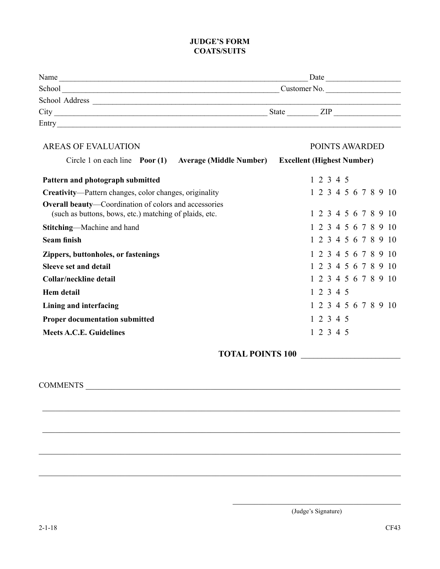#### **JUDGE'S FORM COATS/SUITS**

| Name           | Date         |  |  |
|----------------|--------------|--|--|
| School         | Customer No. |  |  |
| School Address |              |  |  |
| City           | State<br>ZIP |  |  |
| Entry          |              |  |  |

| <b>AREAS OF EVALUATION</b>                                                                                             | POINTS AWARDED                    |
|------------------------------------------------------------------------------------------------------------------------|-----------------------------------|
| Circle 1 on each line $\frac{P}{Q}$<br><b>Average (Middle Number)</b>                                                  | <b>Excellent (Highest Number)</b> |
| Pattern and photograph submitted                                                                                       | 1 2 3 4 5                         |
| Creativity-Pattern changes, color changes, originality                                                                 | 1 2 3 4 5 6 7 8 9 10              |
| <b>Overall beauty—Coordination of colors and accessories</b><br>(such as buttons, bows, etc.) matching of plaids, etc. | 1 2 3 4 5 6 7 8 9 10              |
| <b>Stitching—Machine and hand</b>                                                                                      | 1 2 3 4 5 6 7 8 9 10              |
| <b>Seam finish</b>                                                                                                     | 1 2 3 4 5 6 7 8 9 10              |
| Zippers, buttonholes, or fastenings                                                                                    | 1 2 3 4 5 6 7 8 9 10              |
| <b>Sleeve set and detail</b>                                                                                           | 1 2 3 4 5 6 7 8 9 10              |
| Collar/neckline detail                                                                                                 | 1 2 3 4 5 6 7 8 9 10              |
| Hem detail                                                                                                             | 1 2 3 4 5                         |
| Lining and interfacing                                                                                                 | 1 2 3 4 5 6 7 8 9 10              |
| <b>Proper documentation submitted</b>                                                                                  | 1 2 3 4 5                         |
| <b>Meets A.C.E. Guidelines</b>                                                                                         | 1 2 3 4 5                         |

\_\_\_\_\_\_\_\_\_\_\_\_\_\_\_\_\_\_\_\_\_\_\_\_\_\_\_\_\_\_\_\_\_\_\_\_\_\_\_\_\_\_\_\_\_\_\_\_\_\_\_\_\_\_\_\_\_\_\_\_\_\_\_\_\_\_\_\_\_\_\_\_\_\_\_\_\_\_\_\_\_\_\_

\_\_\_\_\_\_\_\_\_\_\_\_\_\_\_\_\_\_\_\_\_\_\_\_\_\_\_\_\_\_\_\_\_\_\_\_\_\_\_\_\_\_\_\_\_\_\_\_\_\_\_\_\_\_\_\_\_\_\_\_\_\_\_\_\_\_\_\_\_\_\_\_\_\_\_\_\_\_\_\_\_\_\_

\_\_\_\_\_\_\_\_\_\_\_\_\_\_\_\_\_\_\_\_\_\_\_\_\_\_\_\_\_\_\_\_\_\_\_\_\_\_\_\_\_\_\_\_\_\_\_\_\_\_\_\_\_\_\_\_\_\_\_\_\_\_\_\_\_\_\_\_\_\_\_\_\_\_\_\_\_\_\_\_\_\_\_\_

\_\_\_\_\_\_\_\_\_\_\_\_\_\_\_\_\_\_\_\_\_\_\_\_\_\_\_\_\_\_\_\_\_\_\_\_\_\_\_\_\_\_\_\_\_\_\_\_\_\_\_\_\_\_\_\_\_\_\_\_\_\_\_\_\_\_\_\_\_\_\_\_\_\_\_\_\_\_\_\_\_\_\_\_

### **TOTAL POINTS 100** \_\_\_\_\_\_\_\_\_\_\_\_\_\_\_\_\_\_\_\_\_\_\_\_

COMMENTS **EXECUTE A** 

\_\_\_\_\_\_\_\_\_\_\_\_\_\_\_\_\_\_\_\_\_\_\_\_\_\_\_\_\_\_\_\_\_\_\_\_\_\_\_ (Judge's Signature)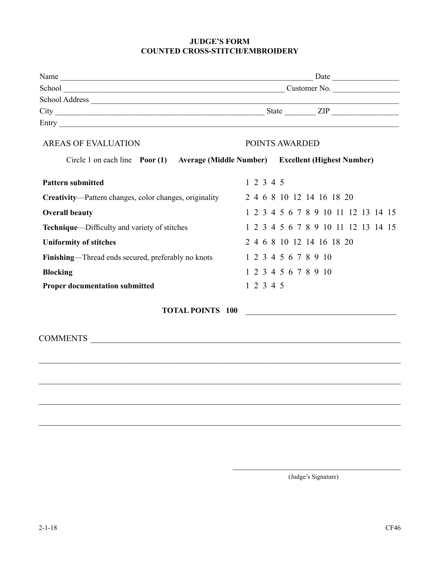#### **JUDGE'S FORM COUNTED CROSS-STITCH/EMBROIDERY**

|                                                                                   | School Customer No. |                                     |  |
|-----------------------------------------------------------------------------------|---------------------|-------------------------------------|--|
|                                                                                   |                     |                                     |  |
|                                                                                   |                     |                                     |  |
|                                                                                   |                     |                                     |  |
| <b>AREAS OF EVALUATION</b>                                                        |                     | POINTS AWARDED                      |  |
| Circle 1 on each line Poor (1) Average (Middle Number) Excellent (Highest Number) |                     |                                     |  |
| <b>Pattern submitted</b>                                                          | 12345               |                                     |  |
| Creativity—Pattern changes, color changes, originality                            |                     | 2 4 6 8 10 12 14 16 18 20           |  |
| <b>Overall beauty</b>                                                             |                     | 1 2 3 4 5 6 7 8 9 10 11 12 13 14 15 |  |
| Technique—Difficulty and variety of stitches                                      |                     | 1 2 3 4 5 6 7 8 9 10 11 12 13 14 15 |  |
| <b>Uniformity of stitches</b>                                                     |                     | 2 4 6 8 10 12 14 16 18 20           |  |
| Finishing—Thread ends secured, preferably no knots                                |                     | 1 2 3 4 5 6 7 8 9 10                |  |
| <b>Blocking</b>                                                                   |                     | 1 2 3 4 5 6 7 8 9 10                |  |
| <b>Proper documentation submitted</b>                                             | 12345               |                                     |  |
| <b>TOTAL POINTS 100</b>                                                           |                     |                                     |  |
|                                                                                   |                     |                                     |  |
|                                                                                   |                     |                                     |  |
|                                                                                   |                     |                                     |  |
|                                                                                   |                     |                                     |  |
|                                                                                   |                     |                                     |  |
|                                                                                   |                     |                                     |  |

\_\_\_\_\_\_\_\_\_\_\_\_\_\_\_\_\_\_\_\_\_\_\_\_\_\_\_\_\_\_\_\_\_\_\_\_\_\_\_ (Judge's Signature)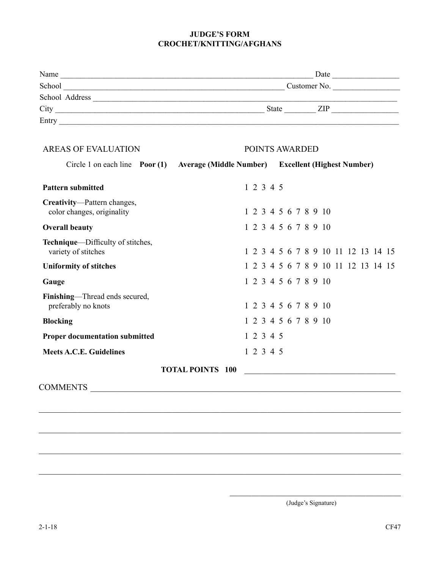#### **JUDGE'S FORM CROCHET/KNITTING/AFGHANS**

| Name           | Date                       |
|----------------|----------------------------|
| School         | Customer No.               |
| School Address |                            |
| City           | <b>State</b><br><b>ZIP</b> |
| Entry          |                            |

| <b>AREAS OF EVALUATION</b>                                |                         | POINTS AWARDED |                                                    |  |
|-----------------------------------------------------------|-------------------------|----------------|----------------------------------------------------|--|
| Circle 1 on each line $\frac{P}{Q}$ Poor (1)              |                         |                | Average (Middle Number) Excellent (Highest Number) |  |
| <b>Pattern submitted</b>                                  |                         | 1 2 3 4 5      |                                                    |  |
| Creativity-Pattern changes,<br>color changes, originality |                         |                | 1 2 3 4 5 6 7 8 9 10                               |  |
| <b>Overall beauty</b>                                     |                         |                | 1 2 3 4 5 6 7 8 9 10                               |  |
| Technique—Difficulty of stitches,<br>variety of stitches  |                         |                | 1 2 3 4 5 6 7 8 9 10 11 12 13 14 15                |  |
| <b>Uniformity of stitches</b>                             |                         |                | 1 2 3 4 5 6 7 8 9 10 11 12 13 14 15                |  |
| Gauge                                                     |                         |                | 1 2 3 4 5 6 7 8 9 10                               |  |
| Finishing—Thread ends secured,<br>preferably no knots     |                         |                | 1 2 3 4 5 6 7 8 9 10                               |  |
| <b>Blocking</b>                                           |                         |                | 1 2 3 4 5 6 7 8 9 10                               |  |
| <b>Proper documentation submitted</b>                     |                         | 1 2 3 4 5      |                                                    |  |
| <b>Meets A.C.E. Guidelines</b>                            |                         | 1 2 3 4 5      |                                                    |  |
|                                                           | <b>TOTAL POINTS 100</b> |                |                                                    |  |
| <b>COMMENTS</b>                                           |                         |                |                                                    |  |

\_\_\_\_\_\_\_\_\_\_\_\_\_\_\_\_\_\_\_\_\_\_\_\_\_\_\_\_\_\_\_\_\_\_\_\_\_\_\_\_\_\_\_\_\_\_\_\_\_\_\_\_\_\_\_\_\_\_\_\_\_\_\_\_\_\_\_\_\_\_\_\_\_\_\_\_\_\_\_\_\_\_\_\_

\_\_\_\_\_\_\_\_\_\_\_\_\_\_\_\_\_\_\_\_\_\_\_\_\_\_\_\_\_\_\_\_\_\_\_\_\_\_\_\_\_\_\_\_\_\_\_\_\_\_\_\_\_\_\_\_\_\_\_\_\_\_\_\_\_\_\_\_\_\_\_\_\_\_\_\_\_\_\_\_\_\_\_\_

 $\mathcal{L}_\text{max} = \frac{1}{2} \sum_{i=1}^{n} \frac{1}{2} \sum_{i=1}^{n} \frac{1}{2} \sum_{i=1}^{n} \frac{1}{2} \sum_{i=1}^{n} \frac{1}{2} \sum_{i=1}^{n} \frac{1}{2} \sum_{i=1}^{n} \frac{1}{2} \sum_{i=1}^{n} \frac{1}{2} \sum_{i=1}^{n} \frac{1}{2} \sum_{i=1}^{n} \frac{1}{2} \sum_{i=1}^{n} \frac{1}{2} \sum_{i=1}^{n} \frac{1}{2} \sum_{i=1}^{n} \frac{1$ 

 $\mathcal{L}_\text{max} = \frac{1}{2} \sum_{i=1}^{n} \frac{1}{2} \sum_{i=1}^{n} \frac{1}{2} \sum_{i=1}^{n} \frac{1}{2} \sum_{i=1}^{n} \frac{1}{2} \sum_{i=1}^{n} \frac{1}{2} \sum_{i=1}^{n} \frac{1}{2} \sum_{i=1}^{n} \frac{1}{2} \sum_{i=1}^{n} \frac{1}{2} \sum_{i=1}^{n} \frac{1}{2} \sum_{i=1}^{n} \frac{1}{2} \sum_{i=1}^{n} \frac{1}{2} \sum_{i=1}^{n} \frac{1$ 

 $\mathcal{L}_\mathcal{L}$  , where  $\mathcal{L}_\mathcal{L}$  is the set of the set of the set of the set of the set of the set of the set of the set of the set of the set of the set of the set of the set of the set of the set of the set of the (Judge's Signature)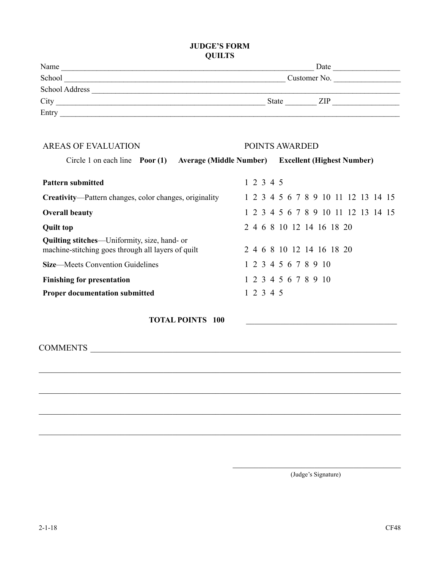#### **JUDGE'S FORM QUILTS**

| Name           | Date         |
|----------------|--------------|
| School         | Customer No. |
| School Address |              |
| City           | State<br>ZIP |
| Entry          |              |

| <b>AREAS OF EVALUATION</b>                                                                                 |           | <b>POINTS AWARDED</b>                              |  |  |  |
|------------------------------------------------------------------------------------------------------------|-----------|----------------------------------------------------|--|--|--|
| Circle 1 on each line $\frac{P}{Q}$                                                                        |           | Average (Middle Number) Excellent (Highest Number) |  |  |  |
| <b>Pattern submitted</b>                                                                                   | 1 2 3 4 5 |                                                    |  |  |  |
| <b>Creativity—Pattern changes, color changes, originality</b>                                              |           | 1 2 3 4 5 6 7 8 9 10 11 12 13 14 15                |  |  |  |
| <b>Overall beauty</b>                                                                                      |           | 1 2 3 4 5 6 7 8 9 10 11 12 13 14 15                |  |  |  |
| <b>Quilt top</b>                                                                                           |           | 2 4 6 8 10 12 14 16 18 20                          |  |  |  |
| <b>Quilting stitches—</b> Uniformity, size, hand- or<br>machine-stitching goes through all layers of quilt |           | 2 4 6 8 10 12 14 16 18 20                          |  |  |  |
| <b>Size—Meets Convention Guidelines</b>                                                                    |           | 1 2 3 4 5 6 7 8 9 10                               |  |  |  |
| <b>Finishing for presentation</b>                                                                          |           | 1 2 3 4 5 6 7 8 9 10                               |  |  |  |
| <b>Proper documentation submitted</b>                                                                      | 1 2 3 4 5 |                                                    |  |  |  |

\_\_\_\_\_\_\_\_\_\_\_\_\_\_\_\_\_\_\_\_\_\_\_\_\_\_\_\_\_\_\_\_\_\_\_\_\_\_\_\_\_\_\_\_\_\_\_\_\_\_\_\_\_\_\_\_\_\_\_\_\_\_\_\_\_\_\_\_\_\_\_\_\_\_\_\_\_\_\_\_\_\_\_\_

\_\_\_\_\_\_\_\_\_\_\_\_\_\_\_\_\_\_\_\_\_\_\_\_\_\_\_\_\_\_\_\_\_\_\_\_\_\_\_\_\_\_\_\_\_\_\_\_\_\_\_\_\_\_\_\_\_\_\_\_\_\_\_\_\_\_\_\_\_\_\_\_\_\_\_\_\_\_\_\_\_\_\_\_

\_\_\_\_\_\_\_\_\_\_\_\_\_\_\_\_\_\_\_\_\_\_\_\_\_\_\_\_\_\_\_\_\_\_\_\_\_\_\_\_\_\_\_\_\_\_\_\_\_\_\_\_\_\_\_\_\_\_\_\_\_\_\_\_\_\_\_\_\_\_\_\_\_\_\_\_\_\_\_\_\_\_\_\_

**TOTAL POINTS 100** 

COMMENTS

\_\_\_\_\_\_\_\_\_\_\_\_\_\_\_\_\_\_\_\_\_\_\_\_\_\_\_\_\_\_\_\_\_\_\_\_\_\_\_ (Judge's Signature)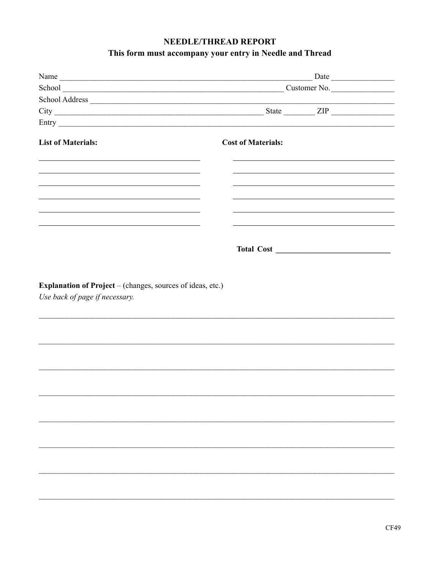## NEEDLE/THREAD REPORT

### This form must accompany your entry in Needle and Thread

|                                                                                                                                                                                                                               | School Customer No.                                                                                                                                                                                                           |
|-------------------------------------------------------------------------------------------------------------------------------------------------------------------------------------------------------------------------------|-------------------------------------------------------------------------------------------------------------------------------------------------------------------------------------------------------------------------------|
|                                                                                                                                                                                                                               |                                                                                                                                                                                                                               |
|                                                                                                                                                                                                                               |                                                                                                                                                                                                                               |
|                                                                                                                                                                                                                               |                                                                                                                                                                                                                               |
| <b>List of Materials:</b>                                                                                                                                                                                                     | <b>Cost of Materials:</b>                                                                                                                                                                                                     |
| <u> 1989 - Andrea State Barbara, amerikan bahasa di sebagai persebut dan berasal dan berasal dan berasal dan bera</u>                                                                                                         | and the control of the control of the control of the control of the control of the control of the control of the                                                                                                              |
|                                                                                                                                                                                                                               |                                                                                                                                                                                                                               |
| the control of the control of the control of the control of the control of the control of the control of the control of the control of the control of the control of the control of the control of the control of the control | the control of the control of the control of the control of the control of the control of the control of the control of the control of the control of the control of the control of the control of the control of the control |
|                                                                                                                                                                                                                               |                                                                                                                                                                                                                               |
|                                                                                                                                                                                                                               |                                                                                                                                                                                                                               |
| <b>Explanation of Project</b> – (changes, sources of ideas, etc.)<br>Use back of page if necessary.                                                                                                                           |                                                                                                                                                                                                                               |
|                                                                                                                                                                                                                               |                                                                                                                                                                                                                               |
|                                                                                                                                                                                                                               |                                                                                                                                                                                                                               |
|                                                                                                                                                                                                                               |                                                                                                                                                                                                                               |
|                                                                                                                                                                                                                               |                                                                                                                                                                                                                               |
|                                                                                                                                                                                                                               |                                                                                                                                                                                                                               |
|                                                                                                                                                                                                                               |                                                                                                                                                                                                                               |
|                                                                                                                                                                                                                               |                                                                                                                                                                                                                               |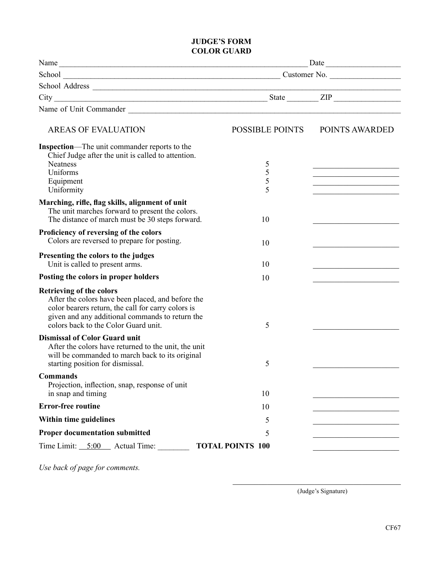#### **JUDGE'S FORM COLOR GUARD**

| Name                                                                                                                                                                                                                                  | Date                    |                                                                                                                                                                                                                                      |  |
|---------------------------------------------------------------------------------------------------------------------------------------------------------------------------------------------------------------------------------------|-------------------------|--------------------------------------------------------------------------------------------------------------------------------------------------------------------------------------------------------------------------------------|--|
|                                                                                                                                                                                                                                       |                         |                                                                                                                                                                                                                                      |  |
| School Address                                                                                                                                                                                                                        |                         |                                                                                                                                                                                                                                      |  |
|                                                                                                                                                                                                                                       |                         |                                                                                                                                                                                                                                      |  |
| Name of Unit Commander<br><u>Leadenborne and the commander</u>                                                                                                                                                                        |                         |                                                                                                                                                                                                                                      |  |
| <b>AREAS OF EVALUATION</b>                                                                                                                                                                                                            | POSSIBLE POINTS         | POINTS AWARDED                                                                                                                                                                                                                       |  |
| Inspection-The unit commander reports to the<br>Chief Judge after the unit is called to attention.<br><b>Neatness</b><br>Uniforms                                                                                                     | 5<br>5                  |                                                                                                                                                                                                                                      |  |
| Equipment<br>Uniformity                                                                                                                                                                                                               | 5<br>5                  | <u> 1980 - Johann John Harry Harry Harry Harry Harry Harry Harry Harry Harry Harry Harry Harry Harry Harry Harry Harry Harry Harry Harry Harry Harry Harry Harry Harry Harry Harry Harry Harry Harry Harry Harry Harry Harry Har</u> |  |
| Marching, rifle, flag skills, alignment of unit<br>The unit marches forward to present the colors.<br>The distance of march must be 30 steps forward.                                                                                 | 10                      |                                                                                                                                                                                                                                      |  |
| Proficiency of reversing of the colors<br>Colors are reversed to prepare for posting.                                                                                                                                                 | 10                      |                                                                                                                                                                                                                                      |  |
| Presenting the colors to the judges<br>Unit is called to present arms.                                                                                                                                                                | 10                      |                                                                                                                                                                                                                                      |  |
| Posting the colors in proper holders                                                                                                                                                                                                  | 10                      |                                                                                                                                                                                                                                      |  |
| <b>Retrieving of the colors</b><br>After the colors have been placed, and before the<br>color bearers return, the call for carry colors is<br>given and any additional commands to return the<br>colors back to the Color Guard unit. | 5                       |                                                                                                                                                                                                                                      |  |
| <b>Dismissal of Color Guard unit</b><br>After the colors have returned to the unit, the unit<br>will be commanded to march back to its original<br>starting position for dismissal.                                                   | 5                       |                                                                                                                                                                                                                                      |  |
| <b>Commands</b><br>Projection, inflection, snap, response of unit<br>in snap and timing                                                                                                                                               | 10                      |                                                                                                                                                                                                                                      |  |
| <b>Error-free routine</b>                                                                                                                                                                                                             | 10                      |                                                                                                                                                                                                                                      |  |
| Within time guidelines                                                                                                                                                                                                                | 5                       |                                                                                                                                                                                                                                      |  |
| <b>Proper documentation submitted</b>                                                                                                                                                                                                 | 5                       |                                                                                                                                                                                                                                      |  |
| Time Limit: $5:00$ Actual Time:                                                                                                                                                                                                       | <b>TOTAL POINTS 100</b> |                                                                                                                                                                                                                                      |  |

*Use back of page for comments.*

(Judge's Signature)

\_\_\_\_\_\_\_\_\_\_\_\_\_\_\_\_\_\_\_\_\_\_\_\_\_\_\_\_\_\_\_\_\_\_\_\_\_\_\_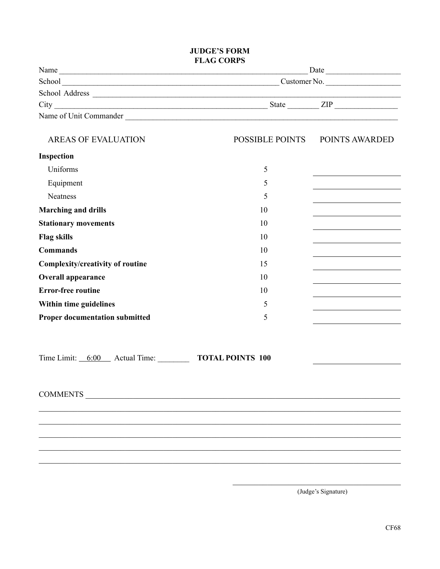#### **JUDGE'S FORM FLAG CORPS**

|                                                | <b>FLAG CORPS</b>                | Date                                                 |
|------------------------------------------------|----------------------------------|------------------------------------------------------|
|                                                | School Customer No. Customer No. |                                                      |
|                                                |                                  | <u> 1989 - Johann Stoff, Amerikaansk politiker (</u> |
|                                                | $City$ $III$                     |                                                      |
|                                                | Name of Unit Commander           |                                                      |
| <b>AREAS OF EVALUATION</b>                     |                                  | POSSIBLE POINTS POINTS AWARDED                       |
| Inspection                                     |                                  |                                                      |
| Uniforms                                       | 5                                | the control of the control of the control of         |
| Equipment                                      | 5                                |                                                      |
| <b>Neatness</b>                                | 5                                |                                                      |
| <b>Marching and drills</b>                     | 10                               |                                                      |
| <b>Stationary movements</b>                    | 10                               | <u> 1980 - Johann Barbara, martxa alemaniar a</u>    |
| <b>Flag skills</b>                             | 10                               |                                                      |
| <b>Commands</b>                                | 10                               |                                                      |
| Complexity/creativity of routine               | 15                               |                                                      |
| <b>Overall appearance</b>                      | 10                               |                                                      |
| <b>Error-free routine</b>                      | 10                               |                                                      |
| Within time guidelines                         | 5                                |                                                      |
| <b>Proper documentation submitted</b>          | 5                                |                                                      |
|                                                |                                  |                                                      |
| Time Limit: 6:00 Actual Time: TOTAL POINTS 100 |                                  |                                                      |
| <b>COMMENTS</b>                                |                                  |                                                      |
|                                                |                                  |                                                      |

\_\_\_\_\_\_\_\_\_\_\_\_\_\_\_\_\_\_\_\_\_\_\_\_\_\_\_\_\_\_\_\_\_\_\_\_\_\_\_\_\_\_\_\_\_\_\_\_\_\_\_\_\_\_\_\_\_\_\_\_\_\_\_\_\_\_\_\_\_\_\_\_\_\_\_\_\_\_\_\_\_\_\_\_ \_\_\_\_\_\_\_\_\_\_\_\_\_\_\_\_\_\_\_\_\_\_\_\_\_\_\_\_\_\_\_\_\_\_\_\_\_\_\_\_\_\_\_\_\_\_\_\_\_\_\_\_\_\_\_\_\_\_\_\_\_\_\_\_\_\_\_\_\_\_\_\_\_\_\_\_\_\_\_\_\_\_\_\_ \_\_\_\_\_\_\_\_\_\_\_\_\_\_\_\_\_\_\_\_\_\_\_\_\_\_\_\_\_\_\_\_\_\_\_\_\_\_\_\_\_\_\_\_\_\_\_\_\_\_\_\_\_\_\_\_\_\_\_\_\_\_\_\_\_\_\_\_\_\_\_\_\_\_\_\_\_\_\_\_\_\_\_\_

(Judge's Signature)

\_\_\_\_\_\_\_\_\_\_\_\_\_\_\_\_\_\_\_\_\_\_\_\_\_\_\_\_\_\_\_\_\_\_\_\_\_\_\_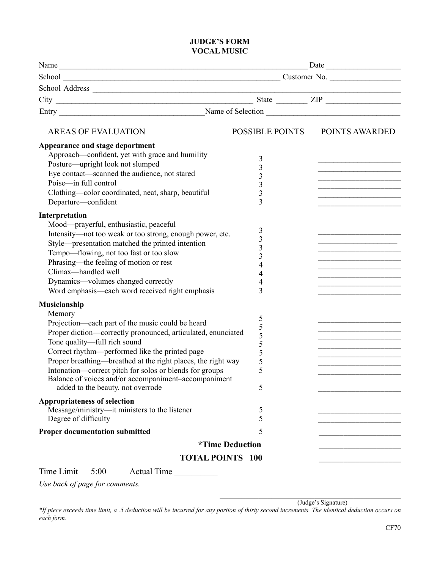#### **JUDGE'S FORM VOCAL MUSIC**

| Name<br>$City$ $III$<br>POSSIBLE POINTS<br>POINTS AWARDED<br><b>AREAS OF EVALUATION</b><br>Appearance and stage deportment<br>Approach—confident, yet with grace and humility<br>3<br>Posture—upright look not slumped<br>$\overline{\mathbf{3}}$<br>Eye contact—scanned the audience, not stared<br>$\overline{\mathbf{3}}$<br>Poise-in full control<br>3<br>Clothing-color coordinated, neat, sharp, beautiful<br>3<br><u> La Carlo de la Carlo de la Carlo de la Carlo de la Carlo de la Carlo de la Carlo de la Carlo de la Carlo de l</u><br>3<br>Departure—confident<br>Interpretation<br>Mood—prayerful, enthusiastic, peaceful<br>3 | Date |  |  |
|---------------------------------------------------------------------------------------------------------------------------------------------------------------------------------------------------------------------------------------------------------------------------------------------------------------------------------------------------------------------------------------------------------------------------------------------------------------------------------------------------------------------------------------------------------------------------------------------------------------------------------------------|------|--|--|
|                                                                                                                                                                                                                                                                                                                                                                                                                                                                                                                                                                                                                                             |      |  |  |
|                                                                                                                                                                                                                                                                                                                                                                                                                                                                                                                                                                                                                                             |      |  |  |
|                                                                                                                                                                                                                                                                                                                                                                                                                                                                                                                                                                                                                                             |      |  |  |
|                                                                                                                                                                                                                                                                                                                                                                                                                                                                                                                                                                                                                                             |      |  |  |
|                                                                                                                                                                                                                                                                                                                                                                                                                                                                                                                                                                                                                                             |      |  |  |
|                                                                                                                                                                                                                                                                                                                                                                                                                                                                                                                                                                                                                                             |      |  |  |
|                                                                                                                                                                                                                                                                                                                                                                                                                                                                                                                                                                                                                                             |      |  |  |
|                                                                                                                                                                                                                                                                                                                                                                                                                                                                                                                                                                                                                                             |      |  |  |
|                                                                                                                                                                                                                                                                                                                                                                                                                                                                                                                                                                                                                                             |      |  |  |
|                                                                                                                                                                                                                                                                                                                                                                                                                                                                                                                                                                                                                                             |      |  |  |
|                                                                                                                                                                                                                                                                                                                                                                                                                                                                                                                                                                                                                                             |      |  |  |
|                                                                                                                                                                                                                                                                                                                                                                                                                                                                                                                                                                                                                                             |      |  |  |
|                                                                                                                                                                                                                                                                                                                                                                                                                                                                                                                                                                                                                                             |      |  |  |
|                                                                                                                                                                                                                                                                                                                                                                                                                                                                                                                                                                                                                                             |      |  |  |
|                                                                                                                                                                                                                                                                                                                                                                                                                                                                                                                                                                                                                                             |      |  |  |
| Intensity-not too weak or too strong, enough power, etc.<br>$\overline{3}$                                                                                                                                                                                                                                                                                                                                                                                                                                                                                                                                                                  |      |  |  |
| Style—presentation matched the printed intention<br>3                                                                                                                                                                                                                                                                                                                                                                                                                                                                                                                                                                                       |      |  |  |
| Tempo-flowing, not too fast or too slow<br>3                                                                                                                                                                                                                                                                                                                                                                                                                                                                                                                                                                                                |      |  |  |
| Phrasing—the feeling of motion or rest<br>4                                                                                                                                                                                                                                                                                                                                                                                                                                                                                                                                                                                                 |      |  |  |
| Climax-handled well<br>4<br><u> 1989 - Johann Barbara, martin amerikan basar dan berasal dalam basar dalam basar dalam basar dalam basar dala</u>                                                                                                                                                                                                                                                                                                                                                                                                                                                                                           |      |  |  |
| Dynamics-volumes changed correctly<br>4                                                                                                                                                                                                                                                                                                                                                                                                                                                                                                                                                                                                     |      |  |  |
| Word emphasis—each word received right emphasis<br>3                                                                                                                                                                                                                                                                                                                                                                                                                                                                                                                                                                                        |      |  |  |
| Musicianship                                                                                                                                                                                                                                                                                                                                                                                                                                                                                                                                                                                                                                |      |  |  |
| Memory                                                                                                                                                                                                                                                                                                                                                                                                                                                                                                                                                                                                                                      |      |  |  |
| 5<br>Projection—each part of the music could be heard                                                                                                                                                                                                                                                                                                                                                                                                                                                                                                                                                                                       |      |  |  |
| $rac{5}{5}$<br>Proper diction-correctly pronounced, articulated, enunciated                                                                                                                                                                                                                                                                                                                                                                                                                                                                                                                                                                 |      |  |  |
| Tone quality-full rich sound<br>5                                                                                                                                                                                                                                                                                                                                                                                                                                                                                                                                                                                                           |      |  |  |
| Correct rhythm—performed like the printed page<br>5                                                                                                                                                                                                                                                                                                                                                                                                                                                                                                                                                                                         |      |  |  |
| Proper breathing—breathed at the right places, the right way<br>5                                                                                                                                                                                                                                                                                                                                                                                                                                                                                                                                                                           |      |  |  |
| 5<br>Intonation-correct pitch for solos or blends for groups                                                                                                                                                                                                                                                                                                                                                                                                                                                                                                                                                                                |      |  |  |
| Balance of voices and/or accompaniment-accompaniment                                                                                                                                                                                                                                                                                                                                                                                                                                                                                                                                                                                        |      |  |  |
| added to the beauty, not overrode<br>5                                                                                                                                                                                                                                                                                                                                                                                                                                                                                                                                                                                                      |      |  |  |
| <b>Appropriateness of selection</b>                                                                                                                                                                                                                                                                                                                                                                                                                                                                                                                                                                                                         |      |  |  |
| Message/ministry----it ministers to the listener<br>5                                                                                                                                                                                                                                                                                                                                                                                                                                                                                                                                                                                       |      |  |  |
| 5<br>Degree of difficulty                                                                                                                                                                                                                                                                                                                                                                                                                                                                                                                                                                                                                   |      |  |  |
| <b>Proper documentation submitted</b><br>5                                                                                                                                                                                                                                                                                                                                                                                                                                                                                                                                                                                                  |      |  |  |
| <i>*Time Deduction</i>                                                                                                                                                                                                                                                                                                                                                                                                                                                                                                                                                                                                                      |      |  |  |
| <b>TOTAL POINTS 100</b>                                                                                                                                                                                                                                                                                                                                                                                                                                                                                                                                                                                                                     |      |  |  |
| Time Limit $5:00$<br>Actual Time                                                                                                                                                                                                                                                                                                                                                                                                                                                                                                                                                                                                            |      |  |  |

*Use back of page for comments.*

\_\_\_\_\_\_\_\_\_\_\_\_\_\_\_\_\_\_\_\_\_\_\_\_\_\_\_\_\_\_\_\_\_\_\_\_\_\_\_\_\_\_ (Judge's Signature)

*\*If piece exceeds time limit, a .5 deduction will be incurred for any portion of thirty second increments. The identical deduction occurs on each form.*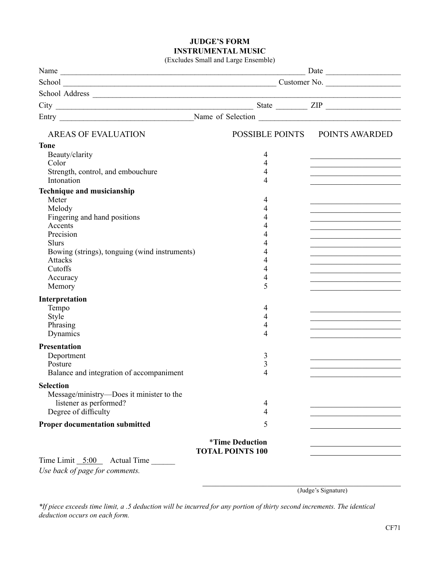#### **JUDGE'S FORM INSTRUMENTAL MUSIC**

|  |  |  |  |  | (Excludes Small and Large Ensemble) |  |
|--|--|--|--|--|-------------------------------------|--|
|--|--|--|--|--|-------------------------------------|--|

| $City$ $III$                                                 |                         |                                                                                                                                                                                                                                      |
|--------------------------------------------------------------|-------------------------|--------------------------------------------------------------------------------------------------------------------------------------------------------------------------------------------------------------------------------------|
|                                                              |                         |                                                                                                                                                                                                                                      |
| <b>AREAS OF EVALUATION</b>                                   |                         | POSSIBLE POINTS POINTS AWARDED                                                                                                                                                                                                       |
| <b>Tone</b>                                                  |                         |                                                                                                                                                                                                                                      |
| Beauty/clarity                                               | 4                       |                                                                                                                                                                                                                                      |
| Color                                                        | 4                       |                                                                                                                                                                                                                                      |
| Strength, control, and embouchure                            | 4                       |                                                                                                                                                                                                                                      |
| Intonation                                                   | 4                       |                                                                                                                                                                                                                                      |
| Technique and musicianship                                   |                         |                                                                                                                                                                                                                                      |
| Meter<br>Melody                                              | 4<br>4                  |                                                                                                                                                                                                                                      |
| Fingering and hand positions                                 | 4                       | the control of the control of the control of the control of the control of                                                                                                                                                           |
| Accents                                                      | 4                       | <u> 1989 - Johann John Stoff, deutscher Stoffen und der Stoffen und der Stoffen und der Stoffen und der Stoffen und der Stoffen und der Stoffen und der Stoffen und der Stoffen und der Stoffen und der Stoffen und der Stoffen </u> |
| Precision                                                    | 4                       | the control of the control of the control of the control of the control of                                                                                                                                                           |
| <b>Slurs</b>                                                 | 4                       | <u> 1980 - Johann John Stein, markin fan it ferstjer fan it ferstjer fan it ferstjer fan it ferstjer fan it fers</u>                                                                                                                 |
| Bowing (strings), tonguing (wind instruments)                | 4                       | <u> 1989 - Johann John Stoff, deutscher Stoffen und der Stoffen und der Stoffen und der Stoffen und der Stoffen und der Stoffen und der Stoffen und der Stoffen und der Stoffen und der Stoffen und der Stoffen und der Stoffen </u> |
| <b>Attacks</b>                                               | 4                       |                                                                                                                                                                                                                                      |
| Cutoffs                                                      | 4                       | <u> 1989 - Johann Stoff, fransk politiker (d. 1989)</u>                                                                                                                                                                              |
| Accuracy<br>Memory                                           | 4<br>5                  | <u> 1989 - Johann John Harry Harry Harry Harry Harry Harry Harry Harry Harry Harry Harry Harry Harry Harry Harry H</u>                                                                                                               |
|                                                              |                         |                                                                                                                                                                                                                                      |
| Interpretation                                               |                         |                                                                                                                                                                                                                                      |
| Tempo                                                        | 4                       |                                                                                                                                                                                                                                      |
| Style<br>Phrasing                                            | 4<br>4                  |                                                                                                                                                                                                                                      |
| Dynamics                                                     | 4                       | <u> 1989 - Johann Harry Harry Harry Harry Harry Harry Harry Harry Harry Harry Harry Harry Harry Harry Harry Harry Harry Harry Harry Harry Harry Harry Harry Harry Harry Harry Harry Harry Harry Harry Harry Harry Harry Harry Ha</u> |
|                                                              |                         |                                                                                                                                                                                                                                      |
| <b>Presentation</b>                                          |                         |                                                                                                                                                                                                                                      |
| Deportment<br>Posture                                        | 3<br>3                  |                                                                                                                                                                                                                                      |
| Balance and integration of accompaniment                     | 4                       |                                                                                                                                                                                                                                      |
|                                                              |                         |                                                                                                                                                                                                                                      |
| <b>Selection</b><br>Message/ministry—Does it minister to the |                         |                                                                                                                                                                                                                                      |
| listener as performed?                                       | 4                       |                                                                                                                                                                                                                                      |
| Degree of difficulty                                         | 4                       |                                                                                                                                                                                                                                      |
| <b>Proper documentation submitted</b>                        | 5                       |                                                                                                                                                                                                                                      |
|                                                              |                         |                                                                                                                                                                                                                                      |
|                                                              | <i>*Time Deduction</i>  |                                                                                                                                                                                                                                      |
|                                                              | <b>TOTAL POINTS 100</b> |                                                                                                                                                                                                                                      |
| Time Limit $5:00$<br><b>Actual Time</b>                      |                         |                                                                                                                                                                                                                                      |

*Use back of page for comments.*

\_\_\_\_\_\_\_\_\_\_\_\_\_\_\_\_\_\_\_\_\_\_\_\_\_\_\_\_\_\_\_\_\_\_\_\_\_\_\_\_\_\_\_\_\_\_ (Judge's Signature)

*\*If piece exceeds time limit, a .5 deduction will be incurred for any portion of thirty second increments. The identical deduction occurs on each form.*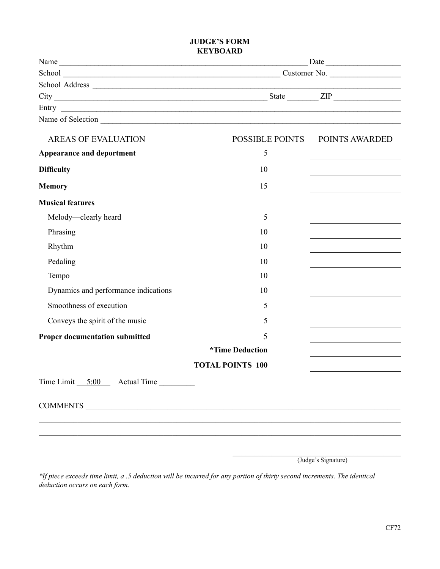#### **JUDGE'S FORM KEYBOARD**

| Name              | Date         |  |
|-------------------|--------------|--|
| School            | Customer No. |  |
| School Address    |              |  |
| City              | State<br>ZIP |  |
| Entry             |              |  |
| Name of Selection |              |  |

| <b>AREAS OF EVALUATION</b>            | <b>POSSIBLE POINTS</b>  | POINTS AWARDED                                                                                                        |
|---------------------------------------|-------------------------|-----------------------------------------------------------------------------------------------------------------------|
| Appearance and deportment             | 5                       | <u> 1989 - Johann Barn, mars ann an t-Alban an t-Alban ann an t-Alban ann an t-Alban ann an t-Alban ann an t-Alba</u> |
| <b>Difficulty</b>                     | 10                      | <u> 1980 - Johann Barbara, martxa alemaniar a</u>                                                                     |
| <b>Memory</b>                         | 15                      | <u> 1989 - Johann Barn, amerikansk politiker (</u>                                                                    |
| <b>Musical features</b>               |                         |                                                                                                                       |
| Melody—clearly heard                  | 5                       |                                                                                                                       |
| Phrasing                              | 10                      | <u> 1980 - Johann Barn, fransk politik (f. 1980)</u>                                                                  |
| Rhythm                                | 10                      | the control of the control of the control of the                                                                      |
| Pedaling                              | 10                      | <u> 1980 - Johann Barn, amerikansk politiker (</u>                                                                    |
| Tempo                                 | 10                      | <u> 1980 - Johann Barn, mars an t-Amerikaansk ferskeider (</u>                                                        |
| Dynamics and performance indications  | 10                      | <u> 1989 - Johann Barn, fransk politik (</u>                                                                          |
| Smoothness of execution               | 5                       | <u> 1980 - Johann Barn, mars an t-Amerikaansk kommunister (</u>                                                       |
| Conveys the spirit of the music       | 5                       |                                                                                                                       |
| <b>Proper documentation submitted</b> | 5                       | <u> 1989 - Johann Barn, mars ar breithinn ar chomhair an t-</u>                                                       |
|                                       | <i>*Time Deduction</i>  | <u> 1989 - Johann Barbara, martxa alemaniar a</u>                                                                     |
|                                       | <b>TOTAL POINTS 100</b> | <u> 1989 - Johann John Stein, markin fan it ferstjer fan de ferstjer fan it ferstjer fan it ferstjer fan it fers</u>  |
| $Time Limit 5:00$ Actual Time         |                         |                                                                                                                       |
|                                       |                         |                                                                                                                       |
|                                       |                         |                                                                                                                       |

\_\_\_\_\_\_\_\_\_\_\_\_\_\_\_\_\_\_\_\_\_\_\_\_\_\_\_\_\_\_\_\_\_\_\_\_\_\_\_ (Judge's Signature)

*\*If piece exceeds time limit, a .5 deduction will be incurred for any portion of thirty second increments. The identical deduction occurs on each form.*

\_\_\_\_\_\_\_\_\_\_\_\_\_\_\_\_\_\_\_\_\_\_\_\_\_\_\_\_\_\_\_\_\_\_\_\_\_\_\_\_\_\_\_\_\_\_\_\_\_\_\_\_\_\_\_\_\_\_\_\_\_\_\_\_\_\_\_\_\_\_\_\_\_\_\_\_\_\_\_\_\_\_\_\_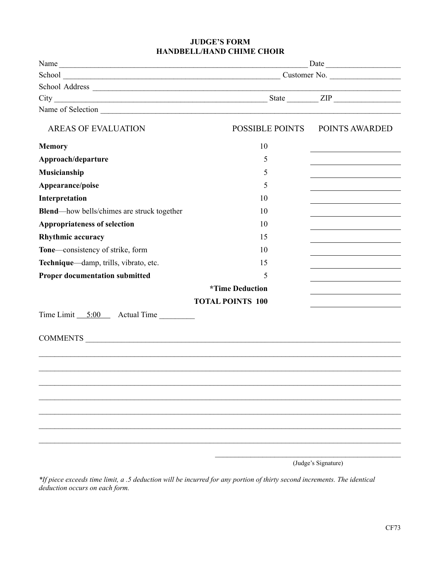#### **JUDGE'S FORM HANDBELL/HAND CHIME CHOIR**

|                                                    | Date                    |                |
|----------------------------------------------------|-------------------------|----------------|
|                                                    |                         |                |
|                                                    |                         |                |
|                                                    |                         |                |
|                                                    |                         |                |
| <b>AREAS OF EVALUATION</b>                         | <b>POSSIBLE POINTS</b>  | POINTS AWARDED |
| <b>Memory</b>                                      | 10                      |                |
| Approach/departure                                 | 5                       |                |
| Musicianship                                       | 5                       |                |
| Appearance/poise                                   | 5                       |                |
| Interpretation                                     | 10                      |                |
| <b>Blend</b> —how bells/chimes are struck together | 10                      |                |
| <b>Appropriateness of selection</b>                | 10                      |                |
| <b>Rhythmic accuracy</b>                           | 15                      |                |
| Tone-consistency of strike, form                   | 10                      |                |
| Technique—damp, trills, vibrato, etc.              | 15                      |                |
| <b>Proper documentation submitted</b>              | 5                       |                |
|                                                    | <i>*Time Deduction</i>  |                |
|                                                    | <b>TOTAL POINTS 100</b> |                |
|                                                    |                         |                |
|                                                    |                         |                |
|                                                    |                         |                |
|                                                    |                         |                |
|                                                    |                         |                |
|                                                    |                         |                |
|                                                    |                         |                |
|                                                    |                         |                |
|                                                    |                         |                |

(Judge's Signature)

*\*If piece exceeds time limit, a .5 deduction will be incurred for any portion of thirty second increments. The identical deduction occurs on each form.*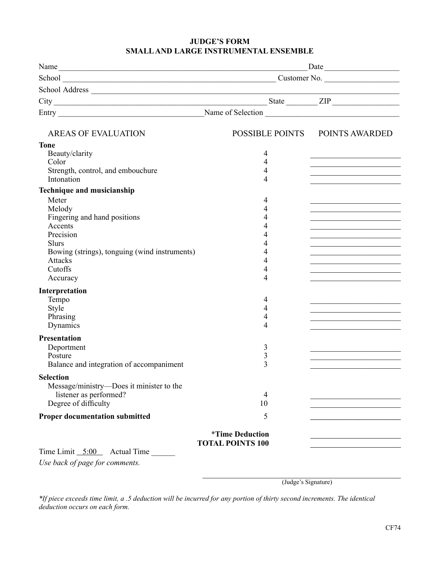#### **JUDGE'S FORM Smalland Large INSTRUMENTAL Ensemble**

|                                                          | Date                          |                                                                                                                       |
|----------------------------------------------------------|-------------------------------|-----------------------------------------------------------------------------------------------------------------------|
|                                                          |                               |                                                                                                                       |
|                                                          |                               |                                                                                                                       |
|                                                          |                               |                                                                                                                       |
|                                                          |                               |                                                                                                                       |
| <b>AREAS OF EVALUATION</b>                               |                               | POSSIBLE POINTS POINTS AWARDED                                                                                        |
| <b>Tone</b>                                              |                               |                                                                                                                       |
| Beauty/clarity                                           | 4                             |                                                                                                                       |
| Color                                                    | $\overline{4}$                |                                                                                                                       |
| Strength, control, and embouchure                        | 4                             |                                                                                                                       |
| Intonation                                               | 4                             |                                                                                                                       |
| Technique and musicianship                               |                               |                                                                                                                       |
| Meter                                                    | 4                             |                                                                                                                       |
| Melody                                                   | 4                             | <u> 1989 - Johann John Stein, market fan it ferskearre fan it ferskearre fan it ferskearre fan it ferskearre fan </u> |
| Fingering and hand positions                             | 4                             |                                                                                                                       |
| Accents                                                  | 4                             |                                                                                                                       |
| Precision                                                | 4                             |                                                                                                                       |
| <b>Slurs</b>                                             | 4                             |                                                                                                                       |
| Bowing (strings), tonguing (wind instruments)<br>Attacks | 4                             |                                                                                                                       |
| Cutoffs                                                  | 4<br>4                        |                                                                                                                       |
| Accuracy                                                 | 4                             |                                                                                                                       |
| Interpretation                                           |                               |                                                                                                                       |
| Tempo                                                    | 4                             |                                                                                                                       |
| Style                                                    | 4                             |                                                                                                                       |
| Phrasing                                                 | 4                             |                                                                                                                       |
| Dynamics                                                 | 4                             |                                                                                                                       |
| <b>Presentation</b>                                      |                               |                                                                                                                       |
| Deportment                                               | 3                             |                                                                                                                       |
| Posture                                                  | $\mathfrak{Z}$                |                                                                                                                       |
| Balance and integration of accompaniment                 | 3                             |                                                                                                                       |
| <b>Selection</b>                                         |                               |                                                                                                                       |
| Message/ministry—Does it minister to the                 |                               |                                                                                                                       |
| listener as performed?                                   | 4                             |                                                                                                                       |
| Degree of difficulty                                     | 10                            |                                                                                                                       |
| <b>Proper documentation submitted</b>                    | 5                             |                                                                                                                       |
|                                                          | <i><b>*Time Deduction</b></i> |                                                                                                                       |
| Time Limit $5:00$<br><b>Actual Time</b>                  | <b>TOTAL POINTS 100</b>       |                                                                                                                       |
|                                                          |                               |                                                                                                                       |
| Use back of page for comments.                           |                               |                                                                                                                       |

\_\_\_\_\_\_\_\_\_\_\_\_\_\_\_\_\_\_\_\_\_\_\_\_\_\_\_\_\_\_\_\_\_\_\_\_\_\_\_\_\_\_\_\_\_\_ (Judge's Signature)

*\*If piece exceeds time limit, a .5 deduction will be incurred for any portion of thirty second increments. The identical deduction occurs on each form.*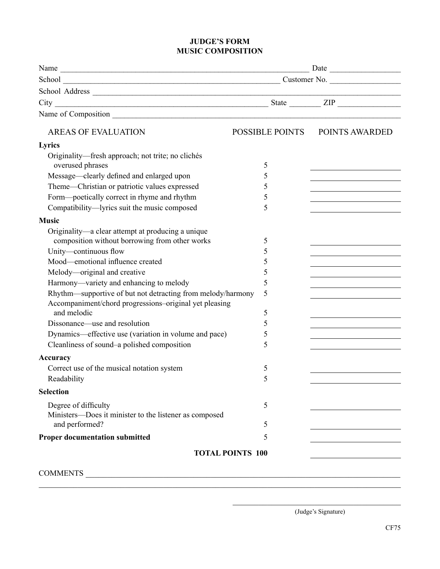#### **JUDGE'S FORM MUSIC COMPOSITION**

|                                                                          | Customer No.            |                                                             |
|--------------------------------------------------------------------------|-------------------------|-------------------------------------------------------------|
|                                                                          |                         |                                                             |
|                                                                          |                         |                                                             |
|                                                                          |                         |                                                             |
| <b>AREAS OF EVALUATION</b>                                               | <b>POSSIBLE POINTS</b>  | POINTS AWARDED                                              |
| Lyrics                                                                   |                         |                                                             |
| Originality—fresh approach; not trite; no clichés                        |                         |                                                             |
| overused phrases                                                         | 5                       |                                                             |
| Message-clearly defined and enlarged upon                                | 5                       |                                                             |
| Theme—Christian or patriotic values expressed                            | 5                       |                                                             |
| Form-poetically correct in rhyme and rhythm                              | 5                       |                                                             |
| Compatibility-lyrics suit the music composed                             | 5                       |                                                             |
| <b>Music</b>                                                             |                         |                                                             |
| Originality—a clear attempt at producing a unique                        |                         |                                                             |
| composition without borrowing from other works                           | 5                       |                                                             |
| Unity-continuous flow                                                    | 5                       |                                                             |
| Mood—emotional influence created                                         | 5                       |                                                             |
| Melody-original and creative                                             | 5                       |                                                             |
| Harmony—variety and enhancing to melody                                  | 5                       |                                                             |
| Rhythm—supportive of but not detracting from melody/harmony              | 5                       |                                                             |
| Accompaniment/chord progressions-original yet pleasing                   |                         |                                                             |
| and melodic                                                              | 5                       |                                                             |
| Dissonance—use and resolution                                            | 5                       |                                                             |
| Dynamics—effective use (variation in volume and pace)                    | 5                       | the control of the control of the control of the control of |
| Cleanliness of sound-a polished composition                              | 5                       |                                                             |
| Accuracy                                                                 |                         |                                                             |
| Correct use of the musical notation system                               | 5                       |                                                             |
| Readability                                                              | 5                       |                                                             |
| <b>Selection</b>                                                         |                         |                                                             |
| Degree of difficulty                                                     | 5                       |                                                             |
| Ministers-Does it minister to the listener as composed<br>and performed? | 5                       |                                                             |
| <b>Proper documentation submitted</b>                                    | 5                       |                                                             |
|                                                                          | <b>TOTAL POINTS 100</b> |                                                             |
|                                                                          |                         |                                                             |
| <b>COMMENTS</b>                                                          |                         |                                                             |

\_\_\_\_\_\_\_\_\_\_\_\_\_\_\_\_\_\_\_\_\_\_\_\_\_\_\_\_\_\_\_\_\_\_\_\_\_\_\_\_\_\_\_\_\_\_\_\_\_\_\_\_\_\_\_\_\_\_\_\_\_\_\_\_\_\_\_\_\_\_\_\_\_\_\_\_\_\_\_\_\_\_\_\_

 $\overline{\phantom{a}}$  , where  $\overline{\phantom{a}}$ 

 <sup>(</sup>Judge's Signature)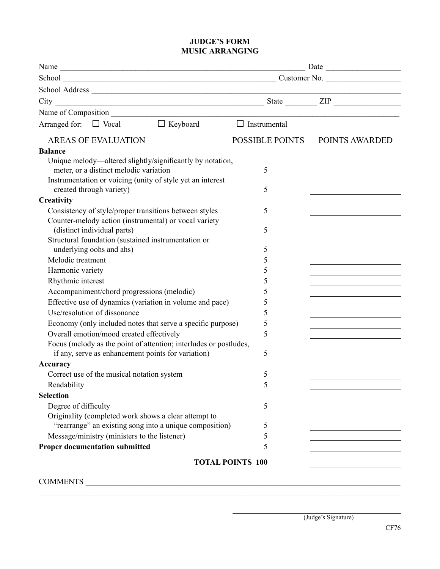#### **JUDGE'S FORM MUSIC ARRANGING**

| $\hfill\Box$<br>Keyboard<br>Arranged for: $\Box$ Vocal                                                          | $\Box$ Instrumental     |                                                   |
|-----------------------------------------------------------------------------------------------------------------|-------------------------|---------------------------------------------------|
| <b>AREAS OF EVALUATION</b>                                                                                      | <b>POSSIBLE POINTS</b>  | POINTS AWARDED                                    |
| <b>Balance</b>                                                                                                  |                         |                                                   |
| Unique melody—altered slightly/significantly by notation,                                                       |                         |                                                   |
| meter, or a distinct melodic variation                                                                          | 5                       |                                                   |
| Instrumentation or voicing (unity of style yet an interest                                                      |                         |                                                   |
| created through variety)                                                                                        | 5                       |                                                   |
| Creativity                                                                                                      |                         |                                                   |
| Consistency of style/proper transitions between styles<br>Counter-melody action (instrumental) or vocal variety | 5                       |                                                   |
| (distinct individual parts)                                                                                     | 5                       |                                                   |
| Structural foundation (sustained instrumentation or                                                             |                         |                                                   |
| underlying oohs and ahs)                                                                                        | 5                       |                                                   |
| Melodic treatment                                                                                               | 5                       |                                                   |
| Harmonic variety                                                                                                | 5                       |                                                   |
| Rhythmic interest                                                                                               | 5                       |                                                   |
| Accompaniment/chord progressions (melodic)                                                                      | 5                       |                                                   |
| Effective use of dynamics (variation in volume and pace)                                                        | 5                       |                                                   |
| Use/resolution of dissonance                                                                                    | 5                       |                                                   |
| Economy (only included notes that serve a specific purpose)                                                     | 5                       | <u> 1989 - Johann Barbara, martxa alemaniar a</u> |
| Overall emotion/mood created effectively                                                                        | 5                       |                                                   |
| Focus (melody as the point of attention; interludes or postludes,                                               |                         |                                                   |
| if any, serve as enhancement points for variation)                                                              | 5                       |                                                   |
| Accuracy                                                                                                        |                         |                                                   |
| Correct use of the musical notation system                                                                      | 5                       |                                                   |
| Readability                                                                                                     | Ć                       |                                                   |
| <b>Selection</b>                                                                                                |                         |                                                   |
| Degree of difficulty                                                                                            | 5                       |                                                   |
| Originality (completed work shows a clear attempt to                                                            |                         |                                                   |
| "rearrange" an existing song into a unique composition)                                                         | 5                       |                                                   |
| Message/ministry (ministers to the listener)                                                                    | 5                       |                                                   |
| <b>Proper documentation submitted</b>                                                                           | 5                       |                                                   |
|                                                                                                                 | <b>TOTAL POINTS 100</b> |                                                   |

\_\_\_\_\_\_\_\_\_\_\_\_\_\_\_\_\_\_\_\_\_\_\_\_\_\_\_\_\_\_\_\_\_\_\_\_\_\_\_\_\_\_\_\_\_\_\_\_\_\_\_\_\_\_\_\_\_\_\_\_\_\_\_\_\_\_\_\_\_\_\_\_\_\_\_\_\_\_\_\_\_\_\_\_

COMMENTS \_\_\_\_\_\_\_\_\_\_\_\_\_\_\_\_\_\_\_\_\_\_\_\_\_\_\_\_\_\_\_\_\_\_\_\_\_\_\_\_\_\_\_\_\_\_\_\_\_\_\_\_\_\_\_\_\_\_\_\_\_\_\_\_\_\_\_\_\_\_\_\_\_

(Judge's Signature)

\_\_\_\_\_\_\_\_\_\_\_\_\_\_\_\_\_\_\_\_\_\_\_\_\_\_\_\_\_\_\_\_\_\_\_\_\_\_\_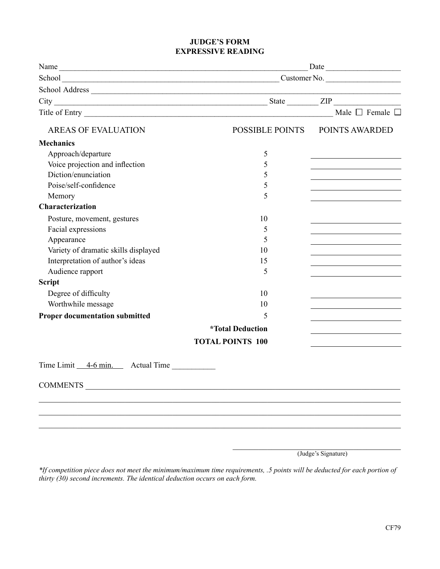#### **JUDGE'S FORM EXPRESSIVE READING**

|                                       | Date                             |                                                                                                                       |
|---------------------------------------|----------------------------------|-----------------------------------------------------------------------------------------------------------------------|
|                                       | School Customer No. Customer No. |                                                                                                                       |
|                                       |                                  | <u> 1989 - Johann Barbara, martin a</u>                                                                               |
|                                       |                                  |                                                                                                                       |
|                                       |                                  | Male $\Box$ Female $\Box$                                                                                             |
| <b>AREAS OF EVALUATION</b>            |                                  | POSSIBLE POINTS POINTS AWARDED                                                                                        |
| <b>Mechanics</b>                      |                                  |                                                                                                                       |
| Approach/departure                    | 5                                |                                                                                                                       |
| Voice projection and inflection       | 5                                |                                                                                                                       |
| Diction/enunciation                   | 5                                | <u> 1989 - Johann Barn, mars and de Branch Barn, mars and de Branch Barn, mars and de Branch Barn, mars and de Br</u> |
| Poise/self-confidence                 | 5                                | <u> 1989 - Johann Barbara, martxa alemaniar a</u>                                                                     |
| Memory                                | 5                                |                                                                                                                       |
| Characterization                      |                                  |                                                                                                                       |
| Posture, movement, gestures           | 10                               |                                                                                                                       |
| Facial expressions                    | 5                                | the control of the control of the control of the control of                                                           |
| Appearance                            | 5                                | the control of the control of the control of the                                                                      |
| Variety of dramatic skills displayed  | 10                               |                                                                                                                       |
| Interpretation of author's ideas      | 15                               | the control of the control of the control of the control of                                                           |
| Audience rapport                      | 5                                |                                                                                                                       |
| <b>Script</b>                         |                                  |                                                                                                                       |
| Degree of difficulty                  | 10                               |                                                                                                                       |
| Worthwhile message                    | 10                               | <u> 1989 - Johann Stein, mars an t-Amerikaansk kommunister (</u>                                                      |
| <b>Proper documentation submitted</b> | 5                                | the control of the control of the control of the control of the control of                                            |
|                                       | <i><b>*Total Deduction</b></i>   | the control of the control of the control of the control of the control of                                            |
|                                       | <b>TOTAL POINTS 100</b>          |                                                                                                                       |
| Time Limit 4-6 min. Actual Time       |                                  |                                                                                                                       |
| <b>COMMENTS</b>                       |                                  |                                                                                                                       |
|                                       |                                  |                                                                                                                       |
|                                       |                                  |                                                                                                                       |
|                                       |                                  |                                                                                                                       |
|                                       |                                  |                                                                                                                       |
|                                       |                                  | (Judge's Signature)                                                                                                   |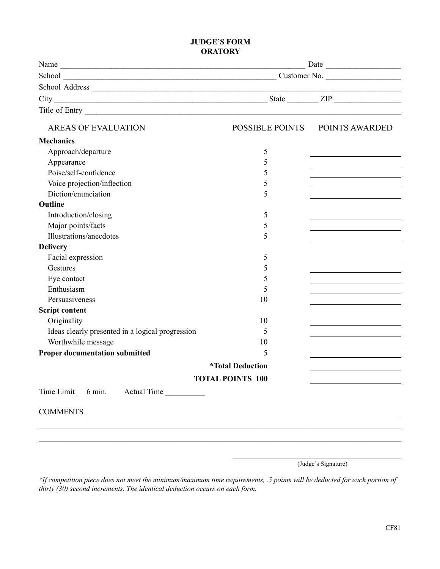#### **JUDGE'S FORM ORATORY**

| <b>AREAS OF EVALUATION</b>                       |                                | POSSIBLE POINTS POINTS AWARDED |
|--------------------------------------------------|--------------------------------|--------------------------------|
| <b>Mechanics</b>                                 |                                |                                |
| Approach/departure                               | 5                              |                                |
| Appearance                                       | 5                              |                                |
| Poise/self-confidence                            | 5                              |                                |
| Voice projection/inflection                      | 5                              |                                |
| Diction/enunciation                              | 5                              |                                |
| Outline                                          |                                |                                |
| Introduction/closing                             | 5                              |                                |
| Major points/facts                               | 5                              |                                |
| Illustrations/anecdotes                          | 5                              |                                |
| <b>Delivery</b>                                  |                                |                                |
| Facial expression                                | 5                              |                                |
| Gestures                                         | 5                              |                                |
| Eye contact                                      | 5                              |                                |
| Enthusiasm                                       | 5                              |                                |
| Persuasiveness                                   | 10                             |                                |
| <b>Script content</b>                            |                                |                                |
| Originality                                      | 10                             |                                |
| Ideas clearly presented in a logical progression | 5                              |                                |
| Worthwhile message                               | 10                             |                                |
| Proper documentation submitted                   | 5                              |                                |
|                                                  | <i><b>*Total Deduction</b></i> |                                |
|                                                  | <b>TOTAL POINTS 100</b>        |                                |
| Time Limit 6 min. Actual Time                    |                                |                                |
|                                                  |                                |                                |
|                                                  |                                |                                |
|                                                  |                                |                                |
|                                                  |                                |                                |

(Judge's Signature)

\_\_\_\_\_\_\_\_\_\_\_\_\_\_\_\_\_\_\_\_\_\_\_\_\_\_\_\_\_\_\_\_\_\_\_\_\_\_\_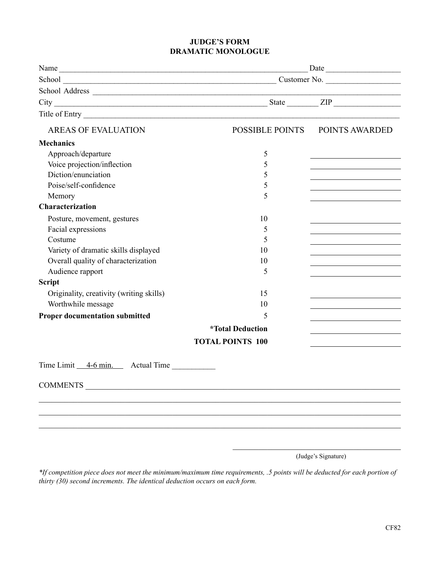#### **JUDGE'S FORM DRAMATIC MONOLOGUE**

|                                          | Date                           |                                                                                                                     |
|------------------------------------------|--------------------------------|---------------------------------------------------------------------------------------------------------------------|
|                                          |                                |                                                                                                                     |
|                                          |                                | <u> 1980 - Johann Barbara, martxa alemaniar arg</u>                                                                 |
|                                          |                                |                                                                                                                     |
| Title of Entry Title of Entry            |                                |                                                                                                                     |
| <b>AREAS OF EVALUATION</b>               |                                | POSSIBLE POINTS POINTS AWARDED                                                                                      |
| <b>Mechanics</b>                         |                                |                                                                                                                     |
| Approach/departure                       | 5                              |                                                                                                                     |
| Voice projection/inflection              | 5                              |                                                                                                                     |
| Diction/enunciation                      | 5                              | <u> 1989 - Johann Barbara, martxa al III-lea (h. 1989).</u>                                                         |
| Poise/self-confidence                    | 5                              | <u> 1989 - Johann Stein, mars an deus Amerikaansk kommunister (</u>                                                 |
| Memory                                   | 5                              |                                                                                                                     |
| Characterization                         |                                |                                                                                                                     |
| Posture, movement, gestures              | 10                             |                                                                                                                     |
| Facial expressions                       | 5                              |                                                                                                                     |
| Costume                                  | 5                              | the control of the control of the control of the control of                                                         |
| Variety of dramatic skills displayed     | 10                             | <u> 1989 - Johann Stoff, Amerikaansk politiker (</u>                                                                |
| Overall quality of characterization      | 10                             | <u> 1989 - Johann Barbara, martin a</u>                                                                             |
| Audience rapport                         | 5                              |                                                                                                                     |
| <b>Script</b>                            |                                |                                                                                                                     |
| Originality, creativity (writing skills) | 15                             |                                                                                                                     |
| Worthwhile message                       | 10                             | <u> 1989 - Johann Barn, mars eta bainar eta idazlea (</u>                                                           |
| <b>Proper documentation submitted</b>    | 5                              | the control of the control of the control of the control of the control of                                          |
|                                          | <i><b>*Total Deduction</b></i> | <u> 1989 - John Harry Harry Harry Harry Harry Harry Harry Harry Harry Harry Harry Harry Harry Harry Harry Harry</u> |
|                                          | <b>TOTAL POINTS 100</b>        |                                                                                                                     |
| Time Limit <u>4-6 min.</u> Actual Time   |                                |                                                                                                                     |
|                                          |                                |                                                                                                                     |
| <b>COMMENTS</b>                          |                                |                                                                                                                     |
|                                          |                                |                                                                                                                     |
|                                          |                                |                                                                                                                     |
|                                          |                                |                                                                                                                     |
|                                          |                                |                                                                                                                     |
|                                          |                                |                                                                                                                     |

(Judge's Signature)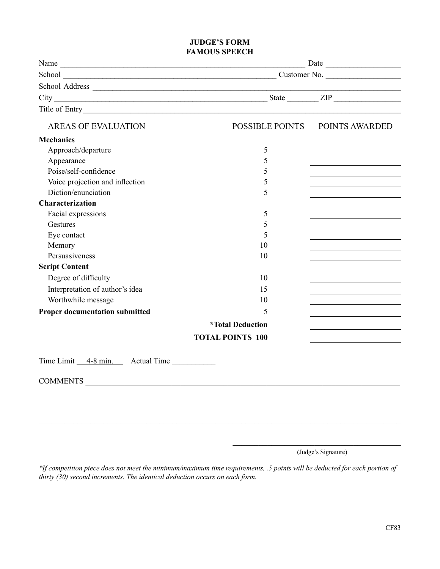#### **JUDGE'S FORM FAMOUS SPEECH**

| <b>AREAS OF EVALUATION</b>            |                                | POSSIBLE POINTS POINTS AWARDED                                                                                      |
|---------------------------------------|--------------------------------|---------------------------------------------------------------------------------------------------------------------|
| <b>Mechanics</b>                      |                                |                                                                                                                     |
| Approach/departure                    | 5                              |                                                                                                                     |
| Appearance                            | 5                              |                                                                                                                     |
| Poise/self-confidence                 | 5                              |                                                                                                                     |
| Voice projection and inflection       | 5                              | <u> 1989 - Johann Barn, mars ann an t-Amhain an t-Amhain an t-Amhain an t-Amhain an t-Amhain an t-Amhain an t-A</u> |
| Diction/enunciation                   | 5                              |                                                                                                                     |
| Characterization                      |                                |                                                                                                                     |
| Facial expressions                    | 5                              |                                                                                                                     |
| Gestures                              | 5                              |                                                                                                                     |
| Eye contact                           | 5                              |                                                                                                                     |
| Memory                                | 10                             |                                                                                                                     |
| Persuasiveness                        | 10                             |                                                                                                                     |
| <b>Script Content</b>                 |                                |                                                                                                                     |
| Degree of difficulty                  | 10                             | the control of the control of the control of the control of the                                                     |
| Interpretation of author's idea       | 15                             |                                                                                                                     |
| Worthwhile message                    | 10                             |                                                                                                                     |
| <b>Proper documentation submitted</b> | 5                              |                                                                                                                     |
|                                       | <i><b>*Total Deduction</b></i> |                                                                                                                     |
|                                       | <b>TOTAL POINTS 100</b>        |                                                                                                                     |
| Time Limit 4-8 min. Actual Time       |                                |                                                                                                                     |
| COMMENTS                              |                                |                                                                                                                     |
|                                       |                                |                                                                                                                     |
|                                       |                                |                                                                                                                     |
|                                       |                                |                                                                                                                     |
|                                       |                                |                                                                                                                     |

(Judge's Signature)

\_\_\_\_\_\_\_\_\_\_\_\_\_\_\_\_\_\_\_\_\_\_\_\_\_\_\_\_\_\_\_\_\_\_\_\_\_\_\_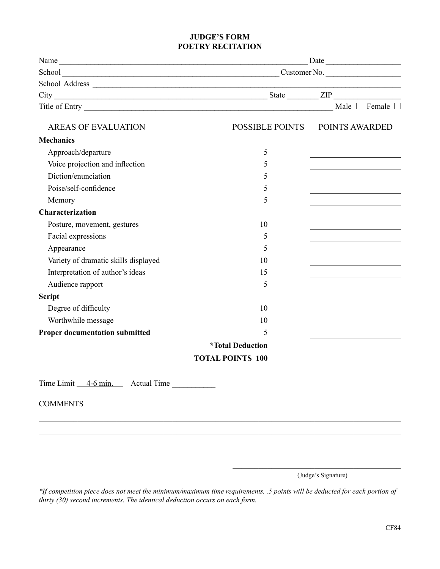#### **JUDGE'S FORM POETRY RECITATION**

|                                       | Date                             |                                                                            |
|---------------------------------------|----------------------------------|----------------------------------------------------------------------------|
|                                       | School Customer No. Customer No. |                                                                            |
|                                       |                                  |                                                                            |
|                                       |                                  |                                                                            |
|                                       |                                  | Male $\Box$ Female $\Box$                                                  |
| <b>AREAS OF EVALUATION</b>            |                                  | POSSIBLE POINTS POINTS AWARDED                                             |
| <b>Mechanics</b>                      |                                  |                                                                            |
| Approach/departure                    | 5                                |                                                                            |
| Voice projection and inflection       | 5                                |                                                                            |
| Diction/enunciation                   | 5                                |                                                                            |
| Poise/self-confidence                 | 5                                |                                                                            |
| Memory                                | 5                                |                                                                            |
| Characterization                      |                                  |                                                                            |
| Posture, movement, gestures           | 10                               |                                                                            |
| Facial expressions                    | 5                                | the control of the control of the control of the control of the control of |
| Appearance                            | 5                                |                                                                            |
| Variety of dramatic skills displayed  | 10                               | <u> 1989 - Johann Stoff, Amerikaansk politiker (</u>                       |
| Interpretation of author's ideas      | 15                               |                                                                            |
| Audience rapport                      | 5                                |                                                                            |
| <b>Script</b>                         |                                  |                                                                            |
| Degree of difficulty                  | 10                               |                                                                            |
| Worthwhile message                    | 10                               | <u> 1989 - Johann Barn, amerikansk politiker (</u>                         |
| <b>Proper documentation submitted</b> | 5                                |                                                                            |
|                                       | <i><b>*Total Deduction</b></i>   |                                                                            |
|                                       | <b>TOTAL POINTS 100</b>          |                                                                            |
| Time Limit 4-6 min. Actual Time       |                                  |                                                                            |
|                                       |                                  |                                                                            |
|                                       |                                  |                                                                            |
|                                       |                                  |                                                                            |
|                                       |                                  |                                                                            |
|                                       |                                  |                                                                            |

(Judge's Signature)

\_\_\_\_\_\_\_\_\_\_\_\_\_\_\_\_\_\_\_\_\_\_\_\_\_\_\_\_\_\_\_\_\_\_\_\_\_\_\_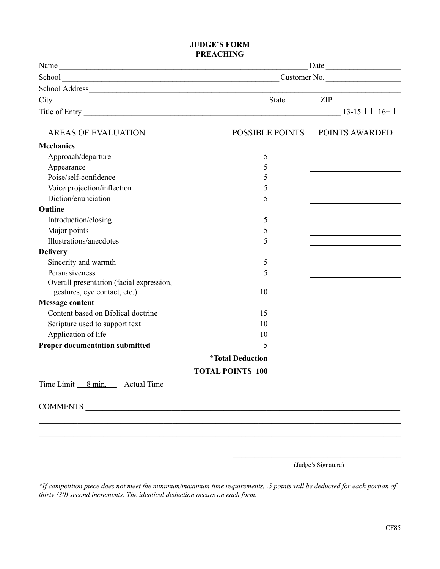#### **JUDGE'S FORM PREACHING**

|                                          | Date                             |                                |
|------------------------------------------|----------------------------------|--------------------------------|
|                                          | School Customer No. Customer No. |                                |
|                                          |                                  |                                |
|                                          |                                  |                                |
|                                          |                                  |                                |
| <b>AREAS OF EVALUATION</b>               |                                  | POSSIBLE POINTS POINTS AWARDED |
| <b>Mechanics</b>                         |                                  |                                |
| Approach/departure                       | 5                                |                                |
| Appearance                               | 5                                |                                |
| Poise/self-confidence                    | 5                                |                                |
| Voice projection/inflection              | 5                                |                                |
| Diction/enunciation                      | 5                                |                                |
| <b>Outline</b>                           |                                  |                                |
| Introduction/closing                     | 5                                |                                |
| Major points                             | 5                                |                                |
| Illustrations/anecdotes                  | 5                                |                                |
| <b>Delivery</b>                          |                                  |                                |
| Sincerity and warmth                     | 5                                |                                |
| Persuasiveness                           | 5                                |                                |
| Overall presentation (facial expression, |                                  |                                |
| gestures, eye contact, etc.)             | 10                               |                                |
| <b>Message content</b>                   |                                  |                                |
| Content based on Biblical doctrine       | 15                               |                                |
| Scripture used to support text           | 10                               |                                |
| Application of life                      | 10                               |                                |
| <b>Proper documentation submitted</b>    | 5                                |                                |
|                                          | <i><b>*Total Deduction</b></i>   |                                |
|                                          | <b>TOTAL POINTS 100</b>          |                                |
| Time Limit 8 min. Actual Time            |                                  |                                |
|                                          |                                  |                                |
|                                          |                                  |                                |
|                                          |                                  |                                |

\_\_\_\_\_\_\_\_\_\_\_\_\_\_\_\_\_\_\_\_\_\_\_\_\_\_\_\_\_\_\_\_\_\_\_\_\_\_\_ (Judge's Signature)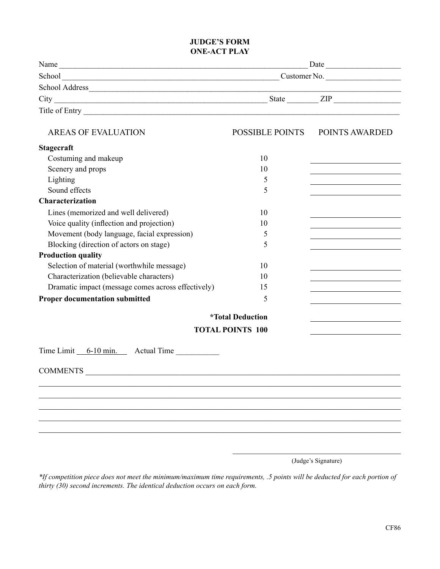#### **JUDGE'S FORM ONE-ACT PLAY**

| Name           | Date         |
|----------------|--------------|
| School         | Customer No. |
| School Address |              |
| City           | State<br>ZIP |
| Title of Entry |              |

| <b>AREAS OF EVALUATION</b>                         | <b>POSSIBLE POINTS</b>         | POINTS AWARDED                                                                                                       |
|----------------------------------------------------|--------------------------------|----------------------------------------------------------------------------------------------------------------------|
| <b>Stagecraft</b>                                  |                                |                                                                                                                      |
| Costuming and makeup                               | 10                             | the control of the control of the control of the control of the control of the control of                            |
| Scenery and props                                  | 10                             | the control of the control of the control of the                                                                     |
| Lighting                                           | 5                              |                                                                                                                      |
| Sound effects                                      | 5                              |                                                                                                                      |
| <b>Characterization</b>                            |                                |                                                                                                                      |
| Lines (memorized and well delivered)               | 10                             | <u> 1989 - Johann Barn, mars ann an t-Amhain Aonaich an t-Aonaich an t-Aonaich ann an t-Aonaich ann an t-Aonaich</u> |
| Voice quality (inflection and projection)          | 10                             | the contract of the contract of the contract of the                                                                  |
| Movement (body language, facial expression)        | 5                              | the control of the control of the control of the control of the control of                                           |
| Blocking (direction of actors on stage)            | 5                              |                                                                                                                      |
| <b>Production quality</b>                          |                                |                                                                                                                      |
| Selection of material (worthwhile message)         | 10                             |                                                                                                                      |
| Characterization (believable characters)           | 10                             | the control of the control of the control of the control of the control of                                           |
| Dramatic impact (message comes across effectively) | 15                             | the control of the control of the control of the control of                                                          |
| <b>Proper documentation submitted</b>              | 5                              |                                                                                                                      |
|                                                    | <i><b>*Total Deduction</b></i> |                                                                                                                      |
|                                                    | <b>TOTAL POINTS 100</b>        |                                                                                                                      |
| Time Limit 6-10 min. Actual Time                   |                                |                                                                                                                      |
|                                                    |                                |                                                                                                                      |
|                                                    |                                |                                                                                                                      |
|                                                    |                                |                                                                                                                      |
|                                                    |                                |                                                                                                                      |
|                                                    |                                |                                                                                                                      |
|                                                    |                                |                                                                                                                      |
|                                                    |                                |                                                                                                                      |

\_\_\_\_\_\_\_\_\_\_\_\_\_\_\_\_\_\_\_\_\_\_\_\_\_\_\_\_\_\_\_\_\_\_\_\_\_\_\_ (Judge's Signature)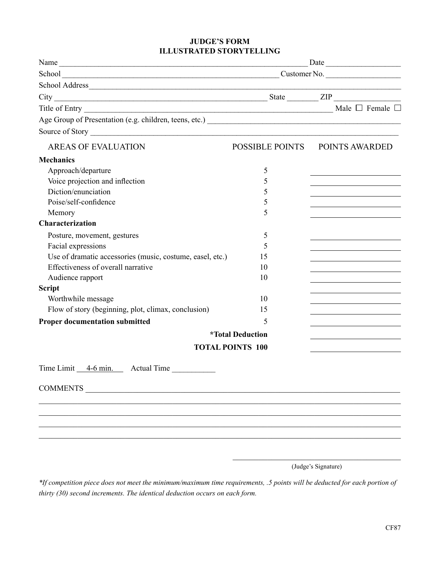#### **JUDGE'S FORM ILLUSTRATED STORYTELLING**

|                                                           | School Customer No. Customer No. |                                                                                                                       |
|-----------------------------------------------------------|----------------------------------|-----------------------------------------------------------------------------------------------------------------------|
|                                                           |                                  | the contract of the contract of the contract of                                                                       |
|                                                           |                                  |                                                                                                                       |
|                                                           |                                  |                                                                                                                       |
|                                                           |                                  |                                                                                                                       |
|                                                           |                                  |                                                                                                                       |
| <b>AREAS OF EVALUATION</b>                                |                                  | POSSIBLE POINTS POINTS AWARDED                                                                                        |
| <b>Mechanics</b>                                          |                                  |                                                                                                                       |
| Approach/departure                                        | 5                                | <u> 1980 - Johann Barbara, martxa alemaniar a</u>                                                                     |
| Voice projection and inflection                           | 5                                | <u> 1989 - Johann Stein, fransk politik (* 1908)</u>                                                                  |
| Diction/enunciation                                       | 5                                | <u> 1989 - Johann Stein, mars an de France</u>                                                                        |
| Poise/self-confidence                                     | 5                                | the control of the control of the control of the control of the                                                       |
| Memory                                                    | 5                                | the control of the control of the control of the control of the control of                                            |
| Characterization                                          |                                  |                                                                                                                       |
| Posture, movement, gestures                               | 5                                |                                                                                                                       |
| Facial expressions                                        | 5                                |                                                                                                                       |
| Use of dramatic accessories (music, costume, easel, etc.) | 15                               |                                                                                                                       |
| Effectiveness of overall narrative                        | 10                               | <u> 1989 - Johann Harry Harry Harry Harry Harry Harry Harry Harry Harry Harry Harry Harry Harry Harry Harry Harry</u> |
| Audience rapport                                          | 10                               | the control of the control of the control of the control of the control of                                            |
| <b>Script</b>                                             |                                  |                                                                                                                       |
| Worthwhile message                                        | 10                               | <u> 1989 - Johann Stein, mars an de Brasilia (b. 1989)</u>                                                            |
| Flow of story (beginning, plot, climax, conclusion)       | 15                               | <u> 1989 - Johann Stein, mars an de Brazilian (b. 1989)</u>                                                           |
| <b>Proper documentation submitted</b>                     | 5                                | the control of the control of the control of the control of the                                                       |
|                                                           | <i><b>*Total Deduction</b></i>   | the control of the control of the control of the control of                                                           |
|                                                           | <b>TOTAL POINTS 100</b>          |                                                                                                                       |
| Time Limit 4-6 min. Actual Time                           |                                  |                                                                                                                       |
| <b>COMMENTS</b>                                           |                                  |                                                                                                                       |
|                                                           |                                  |                                                                                                                       |
|                                                           |                                  |                                                                                                                       |
|                                                           |                                  |                                                                                                                       |
|                                                           |                                  |                                                                                                                       |
|                                                           |                                  |                                                                                                                       |
|                                                           |                                  |                                                                                                                       |

(Judge's Signature)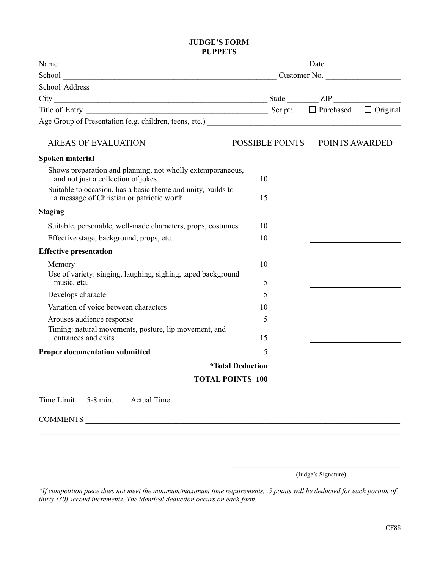#### **JUDGE'S FORM PUPPETS**

|                                                                                                           |                                | Date           |                                                                                                                       |
|-----------------------------------------------------------------------------------------------------------|--------------------------------|----------------|-----------------------------------------------------------------------------------------------------------------------|
|                                                                                                           |                                |                |                                                                                                                       |
|                                                                                                           |                                |                |                                                                                                                       |
|                                                                                                           |                                |                |                                                                                                                       |
| Title of Entry $\Box$ Denotes $\Box$ Denotes $\Box$ Denotes $\Box$ Denotes $\Box$ Denotes $\Box$ Original |                                |                |                                                                                                                       |
|                                                                                                           |                                |                |                                                                                                                       |
| <b>AREAS OF EVALUATION</b>                                                                                | POSSIBLE POINTS                | POINTS AWARDED |                                                                                                                       |
| Spoken material                                                                                           |                                |                |                                                                                                                       |
| Shows preparation and planning, not wholly extemporaneous,<br>and not just a collection of jokes          | 10                             |                |                                                                                                                       |
| Suitable to occasion, has a basic theme and unity, builds to<br>a message of Christian or patriotic worth | 15                             |                |                                                                                                                       |
| <b>Staging</b>                                                                                            |                                |                |                                                                                                                       |
| Suitable, personable, well-made characters, props, costumes                                               | 10                             |                |                                                                                                                       |
| Effective stage, background, props, etc.                                                                  | 10                             |                |                                                                                                                       |
| <b>Effective presentation</b>                                                                             |                                |                |                                                                                                                       |
| Memory                                                                                                    | 10                             |                |                                                                                                                       |
| Use of variety: singing, laughing, sighing, taped background<br>music, etc.                               | 5                              |                |                                                                                                                       |
| Develops character                                                                                        | 5                              |                |                                                                                                                       |
| Variation of voice between characters                                                                     | 10                             |                | <u> 1989 - Johann Barn, mars ann an t-Amhain an t-Amhain an t-Amhain an t-Amhain an t-Amhain an t-Amhain an t-A</u>   |
| Arouses audience response                                                                                 | 5                              |                |                                                                                                                       |
| Timing: natural movements, posture, lip movement, and<br>entrances and exits                              | 15                             |                | <u> 1989 - Johann Barbara, martin amerikan basar dan bagian dan bagian dalam basar dalam bagian dalam bagian dala</u> |
| <b>Proper documentation submitted</b>                                                                     | 5                              |                |                                                                                                                       |
|                                                                                                           | <i><b>*Total Deduction</b></i> |                |                                                                                                                       |
| <b>TOTAL POINTS 100</b>                                                                                   |                                |                |                                                                                                                       |
| Time Limit 5-8 min. Actual Time                                                                           |                                |                |                                                                                                                       |
|                                                                                                           |                                |                |                                                                                                                       |
|                                                                                                           |                                |                |                                                                                                                       |

\_\_\_\_\_\_\_\_\_\_\_\_\_\_\_\_\_\_\_\_\_\_\_\_\_\_\_\_\_\_\_\_\_\_\_\_\_\_\_ (Judge's Signature)

*\*If competition piece does not meet the minimum/maximum time requirements, .5 points will be deducted for each portion of thirty (30) second increments. The identical deduction occurs on each form.*

\_\_\_\_\_\_\_\_\_\_\_\_\_\_\_\_\_\_\_\_\_\_\_\_\_\_\_\_\_\_\_\_\_\_\_\_\_\_\_\_\_\_\_\_\_\_\_\_\_\_\_\_\_\_\_\_\_\_\_\_\_\_\_\_\_\_\_\_\_\_\_\_\_\_\_\_\_\_\_\_\_\_\_\_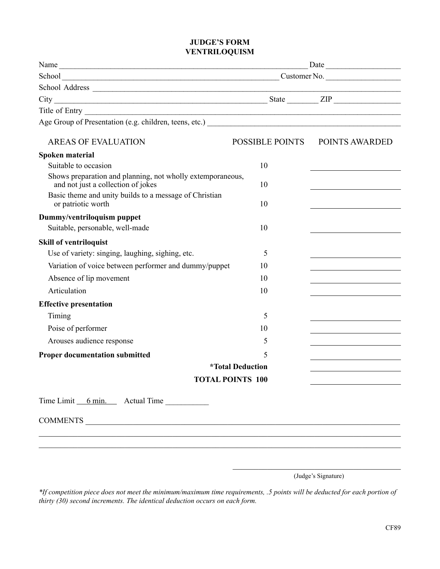#### **JUDGE'S FORM VENTRILOQUISM**

|                                                                                                  |                                | Date                                                                       |
|--------------------------------------------------------------------------------------------------|--------------------------------|----------------------------------------------------------------------------|
| School Customer No. Customer No.                                                                 |                                |                                                                            |
|                                                                                                  |                                |                                                                            |
|                                                                                                  |                                |                                                                            |
|                                                                                                  |                                |                                                                            |
|                                                                                                  |                                |                                                                            |
| <b>AREAS OF EVALUATION</b>                                                                       |                                | POSSIBLE POINTS POINTS AWARDED                                             |
| Spoken material                                                                                  |                                |                                                                            |
| Suitable to occasion                                                                             | 10                             |                                                                            |
| Shows preparation and planning, not wholly extemporaneous,<br>and not just a collection of jokes | 10                             |                                                                            |
| Basic theme and unity builds to a message of Christian<br>or patriotic worth                     | 10                             |                                                                            |
| Dummy/ventriloquism puppet                                                                       |                                |                                                                            |
| Suitable, personable, well-made                                                                  | 10                             |                                                                            |
| <b>Skill of ventriloquist</b>                                                                    |                                |                                                                            |
| Use of variety: singing, laughing, sighing, etc.                                                 | 5                              |                                                                            |
| Variation of voice between performer and dummy/puppet                                            | 10                             |                                                                            |
| Absence of lip movement                                                                          | 10                             |                                                                            |
| Articulation                                                                                     | 10                             |                                                                            |
| <b>Effective presentation</b>                                                                    |                                |                                                                            |
| Timing                                                                                           | 5                              |                                                                            |
| Poise of performer                                                                               | 10                             | the control of the control of the control of the control of the control of |
| Arouses audience response                                                                        | 5                              |                                                                            |
| <b>Proper documentation submitted</b>                                                            | 5                              |                                                                            |
|                                                                                                  | <i><b>*Total Deduction</b></i> |                                                                            |
|                                                                                                  | <b>TOTAL POINTS 100</b>        |                                                                            |
| Time Limit 6 min. Actual Time                                                                    |                                |                                                                            |
|                                                                                                  |                                |                                                                            |
|                                                                                                  |                                |                                                                            |
|                                                                                                  |                                |                                                                            |
|                                                                                                  |                                |                                                                            |
|                                                                                                  |                                |                                                                            |

\_\_\_\_\_\_\_\_\_\_\_\_\_\_\_\_\_\_\_\_\_\_\_\_\_\_\_\_\_\_\_\_\_\_\_\_\_\_\_ (Judge's Signature)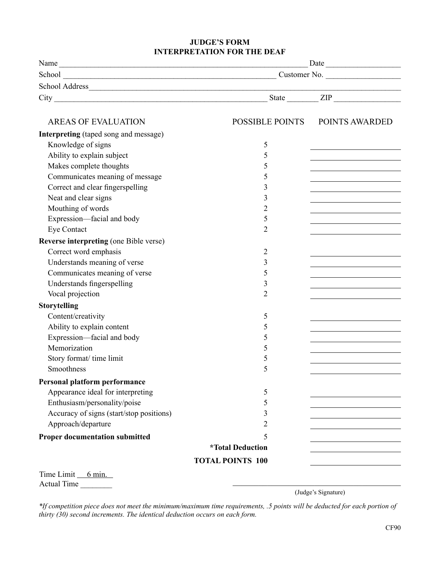#### **JUDGE'S FORM INTERPRETATION FOR THE DEAF**

| Name                                          | Date                           |                                                                                                                     |
|-----------------------------------------------|--------------------------------|---------------------------------------------------------------------------------------------------------------------|
|                                               |                                |                                                                                                                     |
|                                               |                                |                                                                                                                     |
|                                               |                                |                                                                                                                     |
|                                               |                                |                                                                                                                     |
| <b>AREAS OF EVALUATION</b>                    |                                | POSSIBLE POINTS POINTS AWARDED                                                                                      |
| <b>Interpreting</b> (taped song and message)  |                                |                                                                                                                     |
| Knowledge of signs                            | 5                              |                                                                                                                     |
| Ability to explain subject                    | 5                              |                                                                                                                     |
| Makes complete thoughts                       | 5                              | <u> 1980 - Johann Barn, amerikan bestemanns og forskellige og større og større og større og større og større og</u> |
| Communicates meaning of message               | 5                              |                                                                                                                     |
| Correct and clear fingerspelling              | 3                              |                                                                                                                     |
| Neat and clear signs                          | 3                              |                                                                                                                     |
| Mouthing of words                             | 2                              |                                                                                                                     |
| Expression-facial and body                    | 5                              |                                                                                                                     |
| <b>Eye Contact</b>                            | $\overline{2}$                 |                                                                                                                     |
| <b>Reverse interpreting (one Bible verse)</b> |                                |                                                                                                                     |
| Correct word emphasis                         | 2                              |                                                                                                                     |
| Understands meaning of verse                  | 3                              |                                                                                                                     |
| Communicates meaning of verse                 | 5                              |                                                                                                                     |
| Understands fingerspelling                    | 3                              |                                                                                                                     |
| Vocal projection                              | $\overline{2}$                 |                                                                                                                     |
| <b>Storytelling</b>                           |                                |                                                                                                                     |
| Content/creativity                            | 5                              |                                                                                                                     |
| Ability to explain content                    | 5                              |                                                                                                                     |
| Expression-facial and body                    | 5                              |                                                                                                                     |
| Memorization                                  | 5                              | the control of the control of the control of the control of the control of the control of                           |
| Story format/ time limit                      | 5                              |                                                                                                                     |
| Smoothness                                    | 5                              |                                                                                                                     |
| Personal platform performance                 |                                |                                                                                                                     |
| Appearance ideal for interpreting             | 5                              |                                                                                                                     |
| Enthusiasm/personality/poise                  | 5                              |                                                                                                                     |
| Accuracy of signs (start/stop positions)      | 3                              |                                                                                                                     |
| Approach/departure                            | $\overline{2}$                 |                                                                                                                     |
| <b>Proper documentation submitted</b>         | 5                              |                                                                                                                     |
|                                               | <i><b>*Total Deduction</b></i> |                                                                                                                     |
|                                               | <b>TOTAL POINTS 100</b>        |                                                                                                                     |
| Time Limit 6 min.                             |                                |                                                                                                                     |

Actual Time \_\_\_\_\_\_\_\_

\_\_\_\_\_\_\_\_\_\_\_\_\_\_\_\_\_\_\_\_\_\_\_\_\_\_\_\_\_\_\_\_\_\_\_\_\_\_\_ (Judge's Signature)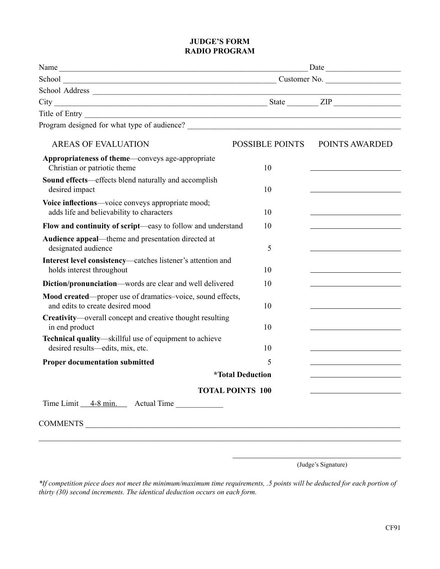#### **JUDGE'S FORM RADIO PROGRAM**

|                                                                                                |                                | $\text{Date}$  |
|------------------------------------------------------------------------------------------------|--------------------------------|----------------|
|                                                                                                |                                |                |
|                                                                                                |                                |                |
| $City$ $ZIP$                                                                                   |                                |                |
|                                                                                                |                                |                |
|                                                                                                |                                |                |
| <b>AREAS OF EVALUATION</b>                                                                     | POSSIBLE POINTS                | POINTS AWARDED |
| Appropriateness of theme—conveys age-appropriate<br>Christian or patriotic theme               | 10                             |                |
| Sound effects—effects blend naturally and accomplish<br>desired impact                         | 10                             |                |
| Voice inflections—voice conveys appropriate mood;<br>adds life and believability to characters | 10                             |                |
| Flow and continuity of script—easy to follow and understand                                    | 10                             |                |
| Audience appeal—theme and presentation directed at<br>designated audience                      | 5                              |                |
| Interest level consistency—catches listener's attention and<br>holds interest throughout       | 10                             |                |
| Diction/pronunciation—words are clear and well delivered                                       | 10                             |                |
| Mood created—proper use of dramatics-voice, sound effects,<br>and edits to create desired mood | 10                             |                |
| Creativity-overall concept and creative thought resulting<br>in end product                    | 10                             |                |
| Technical quality—skillful use of equipment to achieve<br>desired results-edits, mix, etc.     | 10                             |                |
| <b>Proper documentation submitted</b>                                                          | 5                              |                |
|                                                                                                | <i><b>*Total Deduction</b></i> |                |
|                                                                                                | <b>TOTAL POINTS 100</b>        |                |
| Time Limit 4-8 min. Actual Time                                                                |                                |                |
|                                                                                                |                                |                |

(Judge's Signature)

\_\_\_\_\_\_\_\_\_\_\_\_\_\_\_\_\_\_\_\_\_\_\_\_\_\_\_\_\_\_\_\_\_\_\_\_\_\_\_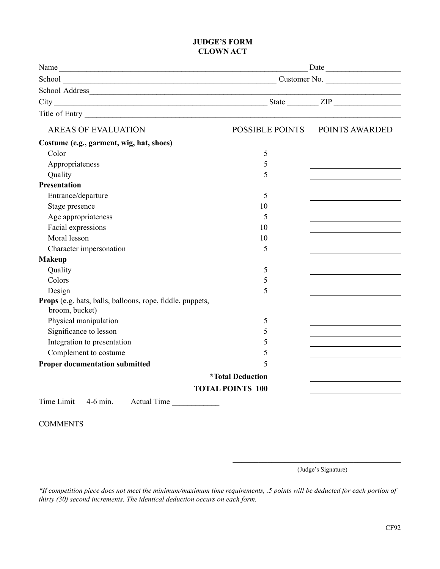#### **JUDGE'S FORM CLOWN ACT**

|                                                                                    |                                | Date                           |
|------------------------------------------------------------------------------------|--------------------------------|--------------------------------|
|                                                                                    |                                |                                |
|                                                                                    |                                |                                |
|                                                                                    |                                |                                |
|                                                                                    |                                |                                |
| <b>AREAS OF EVALUATION</b>                                                         |                                | POSSIBLE POINTS POINTS AWARDED |
| Costume (e.g., garment, wig, hat, shoes)                                           |                                |                                |
| Color                                                                              | 5                              |                                |
| Appropriateness                                                                    | 5                              |                                |
| Quality                                                                            | 5                              |                                |
| <b>Presentation</b>                                                                |                                |                                |
| Entrance/departure                                                                 | 5                              |                                |
| Stage presence                                                                     | 10                             |                                |
| Age appropriateness                                                                | 5                              |                                |
| Facial expressions                                                                 | 10                             |                                |
| Moral lesson                                                                       | 10                             |                                |
| Character impersonation                                                            | 5                              |                                |
| <b>Makeup</b>                                                                      |                                |                                |
| Quality                                                                            | 5                              |                                |
| Colors                                                                             | 5                              |                                |
| Design                                                                             | 5                              |                                |
| <b>Props</b> (e.g. bats, balls, balloons, rope, fiddle, puppets,<br>broom, bucket) |                                |                                |
| Physical manipulation                                                              | 5                              |                                |
| Significance to lesson                                                             | 5                              |                                |
| Integration to presentation                                                        | 5                              |                                |
| Complement to costume                                                              | 5                              |                                |
| <b>Proper documentation submitted</b>                                              | 5                              |                                |
|                                                                                    | <i><b>*Total Deduction</b></i> |                                |
|                                                                                    | <b>TOTAL POINTS 100</b>        |                                |
| Time Limit 4-6 min. Actual Time                                                    |                                |                                |
|                                                                                    |                                |                                |

(Judge's Signature)

\_\_\_\_\_\_\_\_\_\_\_\_\_\_\_\_\_\_\_\_\_\_\_\_\_\_\_\_\_\_\_\_\_\_\_\_\_\_\_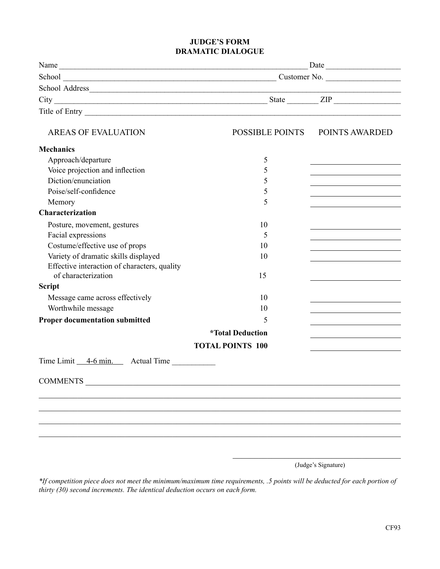#### **JUDGE'S FORM DRAMATIC DIALOGUE**

| Name                                         | Date                           |                                                                            |
|----------------------------------------------|--------------------------------|----------------------------------------------------------------------------|
|                                              |                                |                                                                            |
|                                              |                                |                                                                            |
|                                              |                                |                                                                            |
| Title of Entry Title of Entry                |                                |                                                                            |
| <b>AREAS OF EVALUATION</b>                   |                                | POSSIBLE POINTS POINTS AWARDED                                             |
| <b>Mechanics</b>                             |                                |                                                                            |
| Approach/departure                           | 5                              |                                                                            |
| Voice projection and inflection              | 5                              |                                                                            |
| Diction/enunciation                          | 5                              | the control of the control of the control of the control of the control of |
| Poise/self-confidence                        | 5                              |                                                                            |
| Memory                                       | 5                              |                                                                            |
| <b>Characterization</b>                      |                                |                                                                            |
| Posture, movement, gestures                  | 10                             |                                                                            |
| Facial expressions                           | 5                              |                                                                            |
| Costume/effective use of props               | 10                             | <u> 1989 - Johann Barn, amerikansk politiker (</u>                         |
| Variety of dramatic skills displayed         | 10                             | the control of the control of the control of the control of the control of |
| Effective interaction of characters, quality |                                |                                                                            |
| of characterization                          | 15                             |                                                                            |
| <b>Script</b>                                |                                |                                                                            |
| Message came across effectively              | 10                             | the control of the control of the control of the control of the control of |
| Worthwhile message                           | 10                             | the control of the control of the control of the control of the control of |
| <b>Proper documentation submitted</b>        | 5                              |                                                                            |
|                                              | <i><b>*Total Deduction</b></i> |                                                                            |
|                                              | <b>TOTAL POINTS 100</b>        |                                                                            |
| Time Limit 4-6 min. Actual Time              |                                |                                                                            |
| <b>COMMENTS</b>                              |                                |                                                                            |
|                                              |                                |                                                                            |
|                                              |                                |                                                                            |
|                                              |                                |                                                                            |
|                                              |                                |                                                                            |
|                                              |                                |                                                                            |

\_\_\_\_\_\_\_\_\_\_\_\_\_\_\_\_\_\_\_\_\_\_\_\_\_\_\_\_\_\_\_\_\_\_\_\_\_\_\_ (Judge's Signature)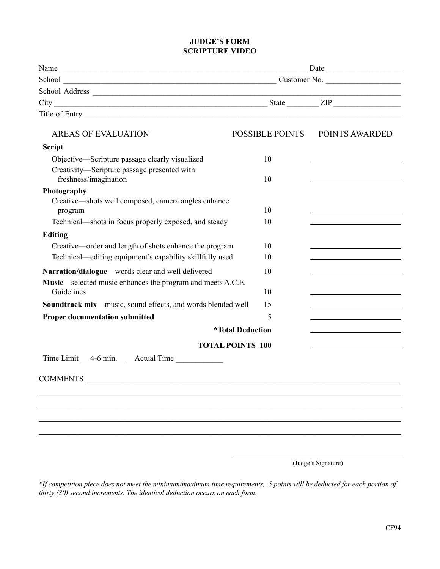#### **JUDGE'S FORM SCRIPTURE VIDEO**

|                                                                          | Date                           |                                                                                 |
|--------------------------------------------------------------------------|--------------------------------|---------------------------------------------------------------------------------|
|                                                                          |                                |                                                                                 |
| School Address                                                           |                                |                                                                                 |
|                                                                          |                                |                                                                                 |
|                                                                          |                                |                                                                                 |
| <b>AREAS OF EVALUATION</b>                                               | <b>POSSIBLE POINTS</b>         | POINTS AWARDED                                                                  |
| <b>Script</b>                                                            |                                |                                                                                 |
| Objective—Scripture passage clearly visualized                           | 10                             |                                                                                 |
| Creativity-Scripture passage presented with<br>freshness/imagination     | 10                             |                                                                                 |
| Photography                                                              |                                |                                                                                 |
| Creative—shots well composed, camera angles enhance<br>program           | 10                             |                                                                                 |
| Technical—shots in focus properly exposed, and steady                    | 10                             |                                                                                 |
| Editing                                                                  |                                |                                                                                 |
| Creative—order and length of shots enhance the program                   | 10                             |                                                                                 |
| Technical—editing equipment's capability skillfully used                 | 10                             |                                                                                 |
| Narration/dialogue—words clear and well delivered                        | 10                             |                                                                                 |
| Music—selected music enhances the program and meets A.C.E.<br>Guidelines | 10                             |                                                                                 |
| Soundtrack mix-music, sound effects, and words blended well              | 15                             |                                                                                 |
| <b>Proper documentation submitted</b>                                    | 5                              | the contract of the contract of the contract of the contract of the contract of |
|                                                                          | <i><b>*Total Deduction</b></i> |                                                                                 |
| <b>TOTAL POINTS 100</b>                                                  |                                |                                                                                 |
| Time Limit 4-6 min. Actual Time                                          |                                |                                                                                 |
| <b>COMMENTS</b>                                                          |                                |                                                                                 |
|                                                                          |                                |                                                                                 |
|                                                                          |                                |                                                                                 |
|                                                                          |                                |                                                                                 |
|                                                                          |                                |                                                                                 |
|                                                                          |                                |                                                                                 |
|                                                                          |                                |                                                                                 |

(Judge's Signature)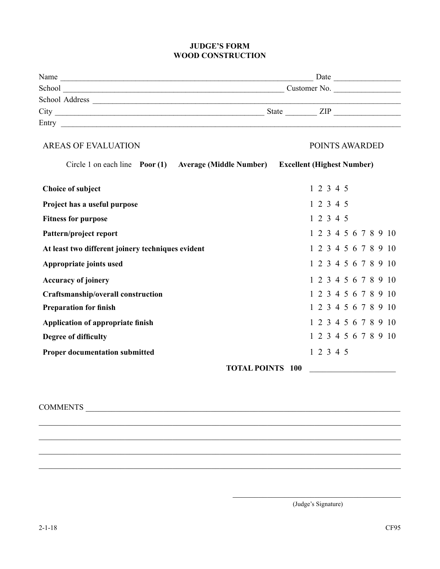#### **JUDGE'S FORM WOOD CONSTRUCTION**

| Name           | Date                 |
|----------------|----------------------|
| School         | Customer No.         |
| School Address |                      |
| City           | <b>State</b><br>ZIP. |
| Entry          |                      |

#### AREAS OF EVALUATION POINTS AWARDED

| Circle 1 on each line Poor (1) Average (Middle Number) |                         | <b>Excellent (Highest Number)</b> |
|--------------------------------------------------------|-------------------------|-----------------------------------|
| <b>Choice of subject</b>                               |                         | 1 2 3 4 5                         |
| Project has a useful purpose                           |                         | 1 2 3 4 5                         |
| <b>Fitness for purpose</b>                             |                         | 1 2 3 4 5                         |
| Pattern/project report                                 |                         | 1 2 3 4 5 6 7 8 9 10              |
| At least two different joinery techniques evident      |                         | 1 2 3 4 5 6 7 8 9 10              |
| Appropriate joints used                                |                         | 1 2 3 4 5 6 7 8 9 10              |
| <b>Accuracy of joinery</b>                             |                         | 1 2 3 4 5 6 7 8 9 10              |
| Craftsmanship/overall construction                     |                         | 1 2 3 4 5 6 7 8 9 10              |
| <b>Preparation for finish</b>                          |                         | 1 2 3 4 5 6 7 8 9 10              |
| Application of appropriate finish                      |                         | 1 2 3 4 5 6 7 8 9 10              |
| Degree of difficulty                                   |                         | 1 2 3 4 5 6 7 8 9 10              |
| <b>Proper documentation submitted</b>                  |                         | 1 2 3 4 5                         |
|                                                        | <b>TOTAL POINTS 100</b> |                                   |

\_\_\_\_\_\_\_\_\_\_\_\_\_\_\_\_\_\_\_\_\_\_\_\_\_\_\_\_\_\_\_\_\_\_\_\_\_\_\_\_\_\_\_\_\_\_\_\_\_\_\_\_\_\_\_\_\_\_\_\_\_\_\_\_\_\_\_\_\_\_\_\_\_\_\_\_\_\_\_\_\_\_\_\_

\_\_\_\_\_\_\_\_\_\_\_\_\_\_\_\_\_\_\_\_\_\_\_\_\_\_\_\_\_\_\_\_\_\_\_\_\_\_\_\_\_\_\_\_\_\_\_\_\_\_\_\_\_\_\_\_\_\_\_\_\_\_\_\_\_\_\_\_\_\_\_\_\_\_\_\_\_\_\_\_\_\_\_\_

\_\_\_\_\_\_\_\_\_\_\_\_\_\_\_\_\_\_\_\_\_\_\_\_\_\_\_\_\_\_\_\_\_\_\_\_\_\_\_\_\_\_\_\_\_\_\_\_\_\_\_\_\_\_\_\_\_\_\_\_\_\_\_\_\_\_\_\_\_\_\_\_\_\_\_\_\_\_\_\_\_\_\_\_

\_\_\_\_\_\_\_\_\_\_\_\_\_\_\_\_\_\_\_\_\_\_\_\_\_\_\_\_\_\_\_\_\_\_\_\_\_\_\_\_\_\_\_\_\_\_\_\_\_\_\_\_\_\_\_\_\_\_\_\_\_\_\_\_\_\_\_\_\_\_\_\_\_\_\_\_\_\_\_\_\_\_\_\_

#### COMMENTS \_\_\_\_\_\_\_\_\_\_\_\_\_\_\_\_\_\_\_\_\_\_\_\_\_\_\_\_\_\_\_\_\_\_\_\_\_\_\_\_\_\_\_\_\_\_\_\_\_\_\_\_\_\_\_\_\_\_\_\_\_\_\_\_\_\_\_\_\_\_\_\_\_

\_\_\_\_\_\_\_\_\_\_\_\_\_\_\_\_\_\_\_\_\_\_\_\_\_\_\_\_\_\_\_\_\_\_\_\_\_\_\_ (Judge's Signature)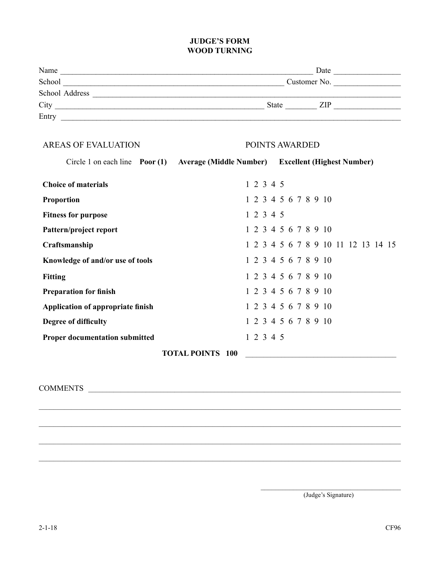#### **JUDGE'S FORM WOOD TURNING**

| Name           | Date                 |
|----------------|----------------------|
| School         | Customer No.         |
| School Address |                      |
| City           | <b>State</b><br>ZIP. |
| Entry          |                      |

#### AREAS OF EVALUATION POINTS AWARDED

|                                       |                         |           | Circle 1 on each line Poor (1) Average (Middle Number) Excellent (Highest Number) |
|---------------------------------------|-------------------------|-----------|-----------------------------------------------------------------------------------|
| <b>Choice of materials</b>            |                         | 1 2 3 4 5 |                                                                                   |
| <b>Proportion</b>                     |                         |           | 1 2 3 4 5 6 7 8 9 10                                                              |
| <b>Fitness for purpose</b>            |                         | 1 2 3 4 5 |                                                                                   |
| Pattern/project report                |                         |           | 1 2 3 4 5 6 7 8 9 10                                                              |
| Craftsmanship                         |                         |           | 1 2 3 4 5 6 7 8 9 10 11 12 13 14 15                                               |
| Knowledge of and/or use of tools      |                         |           | 1 2 3 4 5 6 7 8 9 10                                                              |
| <b>Fitting</b>                        |                         |           | 1 2 3 4 5 6 7 8 9 10                                                              |
| <b>Preparation for finish</b>         |                         |           | 1 2 3 4 5 6 7 8 9 10                                                              |
| Application of appropriate finish     |                         |           | 1 2 3 4 5 6 7 8 9 10                                                              |
| Degree of difficulty                  |                         |           | 1 2 3 4 5 6 7 8 9 10                                                              |
| <b>Proper documentation submitted</b> |                         | 1 2 3 4 5 |                                                                                   |
|                                       | <b>TOTAL POINTS 100</b> |           |                                                                                   |

 $\ldots$  . The contribution of the contribution of the contribution of the contribution of the contribution of the contribution of the contribution of the contribution of the contribution of the contribution of the contribut

 $\ldots$  . The contribution of the contribution of the contribution of the contribution of the contribution of the contribution of the contribution of the contribution of the contribution of the contribution of the contribut

 $\ldots$  . The contribution of the contribution of the contribution of the contribution of the contribution of the contribution of the contribution of the contribution of the contribution of the contribution of the contribut

 $\ldots$  . The contribution of the contribution of the contribution of the contribution of the contribution of the contribution of the contribution of the contribution of the contribution of the contribution of the contribut

COMMENTS \_\_\_\_\_\_\_\_\_\_\_\_\_\_\_\_\_\_\_\_\_\_\_\_\_\_\_\_\_\_\_\_\_\_\_\_\_\_\_\_\_\_\_\_\_\_\_\_\_\_\_\_\_\_\_\_\_\_\_\_\_\_\_\_\_\_\_\_\_\_\_\_\_\_\_\_\_\_\_\_\_\_\_\_\_\_\_

\_\_\_\_\_\_\_\_\_\_\_\_\_\_\_\_\_\_\_\_\_\_\_\_\_\_\_\_\_\_\_\_\_\_\_\_\_\_\_ (Judge's Signature)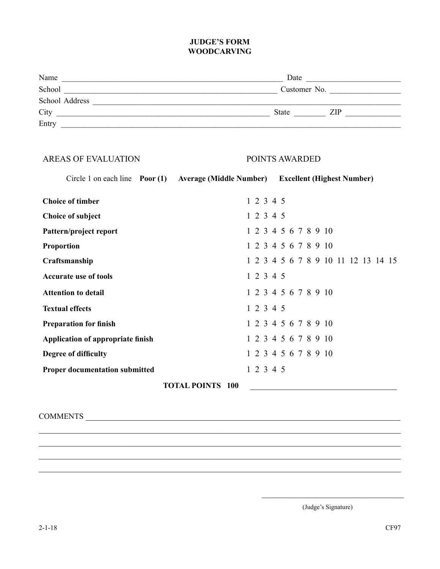#### **JUDGE'S FORM WOODCARVING**

| Name           | Date                |  |
|----------------|---------------------|--|
| School         | Customer No.        |  |
| School Address |                     |  |
| City           | <b>State</b><br>ZIP |  |
| Entry          |                     |  |

## AREAS OF EVALUATION POINTS AWARDED Circle 1 on each line **Poor (1) Average (Middle Number) Excellent (Highest Number) Choice of timber** 1 2 3 4 5 **Choice of subject** 1 2 3 4 5 **Pattern/project report** 1 2 3 4 5 6 7 8 9 10 **Proportion** 1 2 3 4 5 6 7 8 9 10 **Craftsmanship** 1 2 3 4 5 6 7 8 9 10 11 12 13 14 15 Accurate use of tools 1 2 3 4 5 **Attention to detail** 1 2 3 4 5 6 7 8 9 10 **Textual effects** 1 2 3 4 5 **Preparation for finish** 1 2 3 4 5 6 7 8 9 10 **Application of appropriate finish** 1 2 3 4 5 6 7 8 9 10 **Degree of difficulty** 1 2 3 4 5 6 7 8 9 10 **Proper documentation submitted** 1 2 3 4 5 **TOTAL POINTS** 100

\_\_\_\_\_\_\_\_\_\_\_\_\_\_\_\_\_\_\_\_\_\_\_\_\_\_\_\_\_\_\_\_\_\_\_\_\_\_\_\_\_\_\_\_\_\_\_\_\_\_\_\_\_\_\_\_\_\_\_\_\_\_\_\_\_\_\_\_\_\_\_\_\_\_\_\_\_\_\_\_\_\_\_\_ \_\_\_\_\_\_\_\_\_\_\_\_\_\_\_\_\_\_\_\_\_\_\_\_\_\_\_\_\_\_\_\_\_\_\_\_\_\_\_\_\_\_\_\_\_\_\_\_\_\_\_\_\_\_\_\_\_\_\_\_\_\_\_\_\_\_\_\_\_\_\_\_\_\_\_\_\_\_\_\_\_\_\_\_ \_\_\_\_\_\_\_\_\_\_\_\_\_\_\_\_\_\_\_\_\_\_\_\_\_\_\_\_\_\_\_\_\_\_\_\_\_\_\_\_\_\_\_\_\_\_\_\_\_\_\_\_\_\_\_\_\_\_\_\_\_\_\_\_\_\_\_\_\_\_\_\_\_\_\_\_\_\_\_\_\_\_\_\_ \_\_\_\_\_\_\_\_\_\_\_\_\_\_\_\_\_\_\_\_\_\_\_\_\_\_\_\_\_\_\_\_\_\_\_\_\_\_\_\_\_\_\_\_\_\_\_\_\_\_\_\_\_\_\_\_\_\_\_\_\_\_\_\_\_\_\_\_\_\_\_\_\_\_\_\_\_\_\_\_\_\_\_\_

COMMENTS \_\_\_\_\_\_\_\_\_\_\_\_\_\_\_\_\_\_\_\_\_\_\_\_\_\_\_\_\_\_\_\_\_\_\_\_\_\_\_\_\_\_\_\_\_\_\_\_\_\_\_\_\_\_\_\_\_\_\_\_\_\_\_\_\_\_\_\_\_\_\_\_\_

(Judge's Signature)

 $\mathcal{L}_\mathcal{L}$  , where  $\mathcal{L}_\mathcal{L}$  , we have the set of the set of the set of the set of the set of the set of the set of the set of the set of the set of the set of the set of the set of the set of the set of the set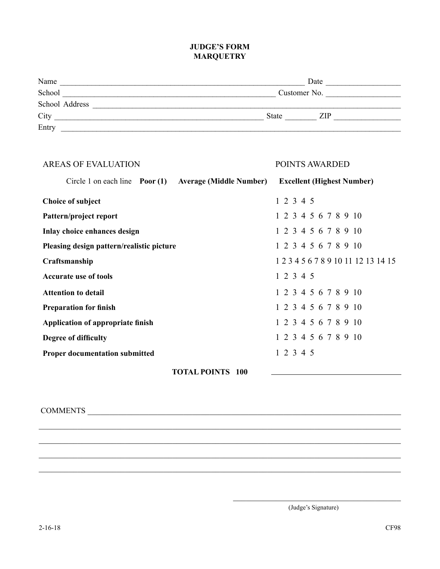#### **JUDGE'S FORM MARQUETRY**

| Name           | Date                |
|----------------|---------------------|
| School         | Customer No.        |
| School Address |                     |
| City           | <b>State</b><br>ZIP |
| Entry          |                     |

| <b>AREAS OF EVALUATION</b>                                            | POINTS AWARDED                      |
|-----------------------------------------------------------------------|-------------------------------------|
| Circle 1 on each line $\frac{P}{Q}$<br><b>Average (Middle Number)</b> | <b>Excellent (Highest Number)</b>   |
| <b>Choice of subject</b>                                              | 1 2 3 4 5                           |
| Pattern/project report                                                | 1 2 3 4 5 6 7 8 9 10                |
| Inlay choice enhances design                                          | 1 2 3 4 5 6 7 8 9 10                |
| Pleasing design pattern/realistic picture                             | 1 2 3 4 5 6 7 8 9 10                |
| Craftsmanship                                                         | 1 2 3 4 5 6 7 8 9 10 11 12 13 14 15 |
| <b>Accurate use of tools</b>                                          | 1 2 3 4 5                           |
| <b>Attention to detail</b>                                            | 1 2 3 4 5 6 7 8 9 10                |
| <b>Preparation for finish</b>                                         | 1 2 3 4 5 6 7 8 9 10                |
| Application of appropriate finish                                     | 1 2 3 4 5 6 7 8 9 10                |
| Degree of difficulty                                                  | 1 2 3 4 5 6 7 8 9 10                |
| <b>Proper documentation submitted</b>                                 | 1 2 3 4 5                           |
| <b>TOTAL POINTS 100</b>                                               |                                     |

\_\_\_\_\_\_\_\_\_\_\_\_\_\_\_\_\_\_\_\_\_\_\_\_\_\_\_\_\_\_\_\_\_\_\_\_\_\_\_\_\_\_\_\_\_\_\_\_\_\_\_\_\_\_\_\_\_\_\_\_\_\_\_\_\_\_\_\_\_\_\_\_\_\_\_\_\_\_\_\_\_\_\_\_

\_\_\_\_\_\_\_\_\_\_\_\_\_\_\_\_\_\_\_\_\_\_\_\_\_\_\_\_\_\_\_\_\_\_\_\_\_\_\_\_\_\_\_\_\_\_\_\_\_\_\_\_\_\_\_\_\_\_\_\_\_\_\_\_\_\_\_\_\_\_\_\_\_\_\_\_\_\_\_\_\_\_\_\_

\_\_\_\_\_\_\_\_\_\_\_\_\_\_\_\_\_\_\_\_\_\_\_\_\_\_\_\_\_\_\_\_\_\_\_\_\_\_\_\_\_\_\_\_\_\_\_\_\_\_\_\_\_\_\_\_\_\_\_\_\_\_\_\_\_\_\_\_\_\_\_\_\_\_\_\_\_\_\_\_\_\_\_\_

\_\_\_\_\_\_\_\_\_\_\_\_\_\_\_\_\_\_\_\_\_\_\_\_\_\_\_\_\_\_\_\_\_\_\_\_\_\_\_\_\_\_\_\_\_\_\_\_\_\_\_\_\_\_\_\_\_\_\_\_\_\_\_\_\_\_\_\_\_\_\_\_\_\_\_\_\_\_\_\_\_\_\_\_

#### COMMENTS \_\_\_\_\_\_\_\_\_\_\_\_\_\_\_\_\_\_\_\_\_\_\_\_\_\_\_\_\_\_\_\_\_\_\_\_\_\_\_\_\_\_\_\_\_\_\_\_\_\_\_\_\_\_\_\_\_\_\_\_\_\_\_\_\_\_\_\_\_\_\_\_

\_\_\_\_\_\_\_\_\_\_\_\_\_\_\_\_\_\_\_\_\_\_\_\_\_\_\_\_\_\_\_\_\_\_\_\_\_\_\_ (Judge's Signature)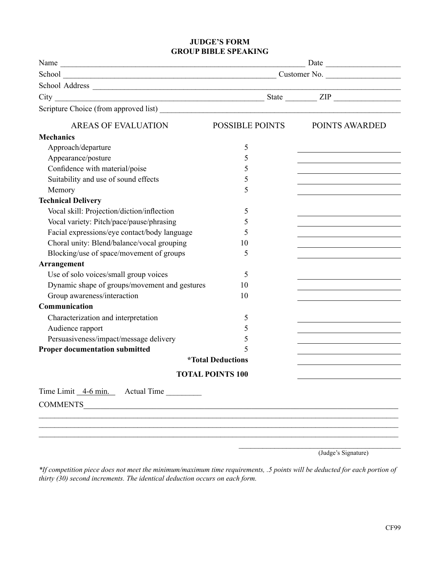#### **JUDGE'S FORM GROUP BIBLE SPEAKING**

|                                               | $\overline{\phantom{a}}$ Date $\overline{\phantom{a}}$ |                     |
|-----------------------------------------------|--------------------------------------------------------|---------------------|
|                                               |                                                        |                     |
|                                               |                                                        |                     |
|                                               |                                                        |                     |
|                                               |                                                        |                     |
| <b>AREAS OF EVALUATION</b>                    | POSSIBLE POINTS                                        | POINTS AWARDED      |
| <b>Mechanics</b>                              |                                                        |                     |
| Approach/departure                            | 5                                                      |                     |
| Appearance/posture                            | 5                                                      |                     |
| Confidence with material/poise                | 5                                                      |                     |
| Suitability and use of sound effects          | 5                                                      |                     |
| Memory                                        | 5                                                      |                     |
| <b>Technical Delivery</b>                     |                                                        |                     |
| Vocal skill: Projection/diction/inflection    | 5                                                      |                     |
| Vocal variety: Pitch/pace/pause/phrasing      | 5                                                      |                     |
| Facial expressions/eye contact/body language  | 5                                                      |                     |
| Choral unity: Blend/balance/vocal grouping    | 10                                                     |                     |
| Blocking/use of space/movement of groups      | 5                                                      |                     |
| <b>Arrangement</b>                            |                                                        |                     |
| Use of solo voices/small group voices         | 5                                                      |                     |
| Dynamic shape of groups/movement and gestures | 10                                                     |                     |
| Group awareness/interaction                   | 10                                                     |                     |
| Communication                                 |                                                        |                     |
| Characterization and interpretation           | 5                                                      |                     |
| Audience rapport                              | 5                                                      |                     |
| Persuasiveness/impact/message delivery        | 5                                                      |                     |
| <b>Proper documentation submitted</b>         | 5                                                      |                     |
|                                               | <i><b>*Total Deductions</b></i>                        |                     |
|                                               | <b>TOTAL POINTS 100</b>                                |                     |
| Time Limit 4-6 min. Actual Time               |                                                        |                     |
| <b>COMMENTS</b>                               |                                                        |                     |
|                                               |                                                        |                     |
|                                               |                                                        |                     |
|                                               |                                                        |                     |
|                                               |                                                        |                     |
|                                               |                                                        | (Judge's Signature) |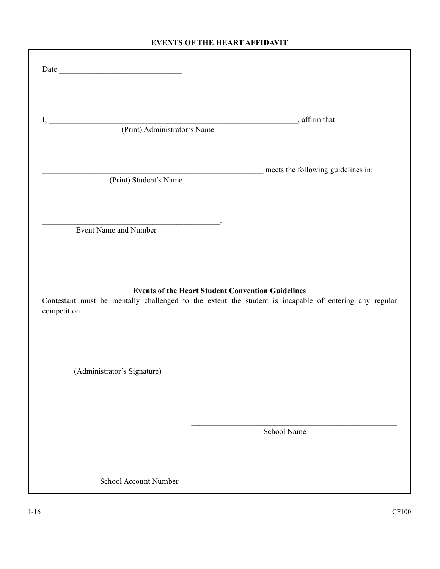#### **Events of the Heart Affidavit**

|                                                                            | meets the following guidelines in:                                                                    |
|----------------------------------------------------------------------------|-------------------------------------------------------------------------------------------------------|
| (Print) Student's Name                                                     |                                                                                                       |
|                                                                            |                                                                                                       |
| <u> 1989 - Johann Stein, Amerikaansk kanton (</u><br>Event Name and Number |                                                                                                       |
|                                                                            |                                                                                                       |
|                                                                            |                                                                                                       |
|                                                                            |                                                                                                       |
|                                                                            | <b>Events of the Heart Student Convention Guidelines</b>                                              |
| competition.                                                               |                                                                                                       |
|                                                                            |                                                                                                       |
| (Administrator's Signature)                                                |                                                                                                       |
|                                                                            |                                                                                                       |
|                                                                            | School Name                                                                                           |
|                                                                            | Contestant must be mentally challenged to the extent the student is incapable of entering any regular |